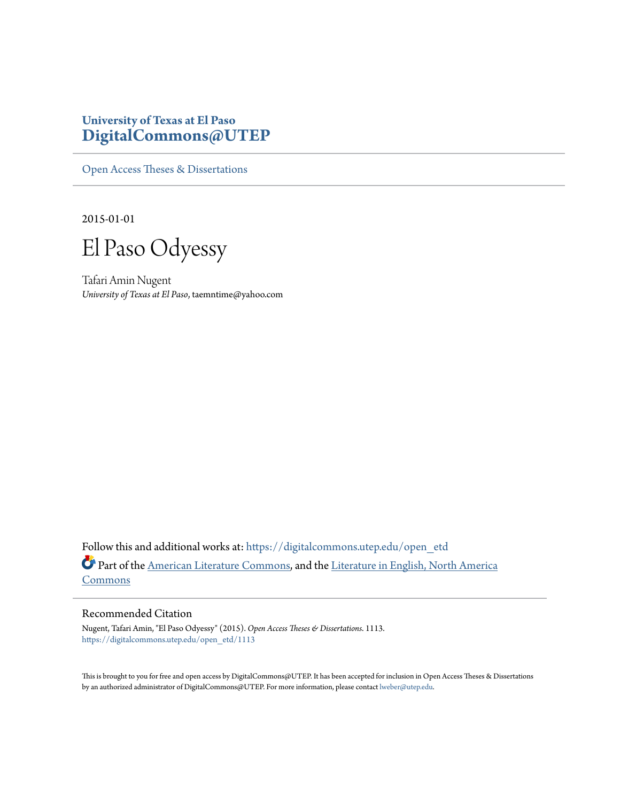## **University of Texas at El Paso [DigitalCommons@UTEP](https://digitalcommons.utep.edu/?utm_source=digitalcommons.utep.edu%2Fopen_etd%2F1113&utm_medium=PDF&utm_campaign=PDFCoverPages)**

[Open Access Theses & Dissertations](https://digitalcommons.utep.edu/open_etd?utm_source=digitalcommons.utep.edu%2Fopen_etd%2F1113&utm_medium=PDF&utm_campaign=PDFCoverPages)

2015-01-01

El Paso Odyessy

Tafari Amin Nugent *University of Texas at El Paso*, taemntime@yahoo.com

Follow this and additional works at: [https://digitalcommons.utep.edu/open\\_etd](https://digitalcommons.utep.edu/open_etd?utm_source=digitalcommons.utep.edu%2Fopen_etd%2F1113&utm_medium=PDF&utm_campaign=PDFCoverPages) Part of the [American Literature Commons,](http://network.bepress.com/hgg/discipline/441?utm_source=digitalcommons.utep.edu%2Fopen_etd%2F1113&utm_medium=PDF&utm_campaign=PDFCoverPages) and the [Literature in English, North America](http://network.bepress.com/hgg/discipline/458?utm_source=digitalcommons.utep.edu%2Fopen_etd%2F1113&utm_medium=PDF&utm_campaign=PDFCoverPages) **[Commons](http://network.bepress.com/hgg/discipline/458?utm_source=digitalcommons.utep.edu%2Fopen_etd%2F1113&utm_medium=PDF&utm_campaign=PDFCoverPages)** 

#### Recommended Citation

Nugent, Tafari Amin, "El Paso Odyessy" (2015). *Open Access Theses & Dissertations*. 1113. [https://digitalcommons.utep.edu/open\\_etd/1113](https://digitalcommons.utep.edu/open_etd/1113?utm_source=digitalcommons.utep.edu%2Fopen_etd%2F1113&utm_medium=PDF&utm_campaign=PDFCoverPages)

This is brought to you for free and open access by DigitalCommons@UTEP. It has been accepted for inclusion in Open Access Theses & Dissertations by an authorized administrator of DigitalCommons@UTEP. For more information, please contact [lweber@utep.edu.](mailto:lweber@utep.edu)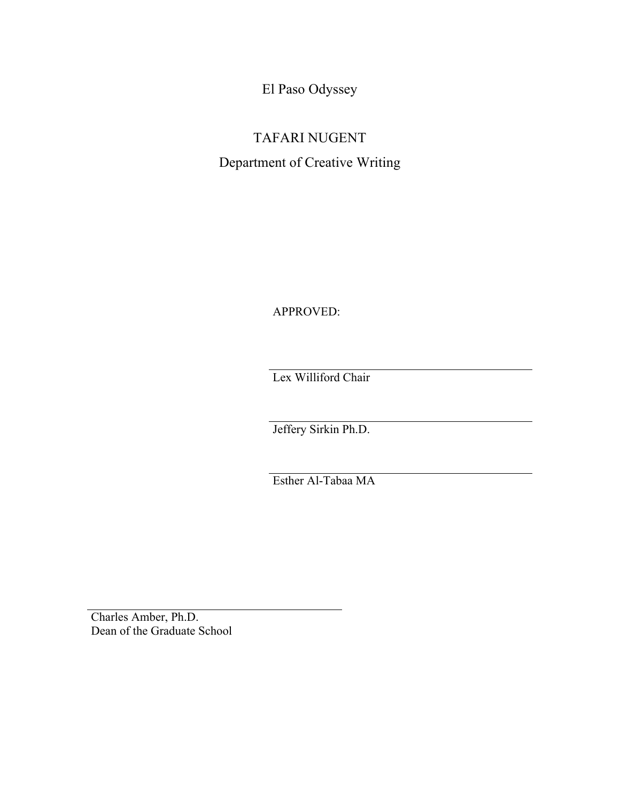El Paso Odyssey

# TAFARI NUGENT Department of Creative Writing

APPROVED:

Lex Williford Chair

Jeffery Sirkin Ph.D.

Esther Al-Tabaa MA

Charles Amber, Ph.D. Dean of the Graduate School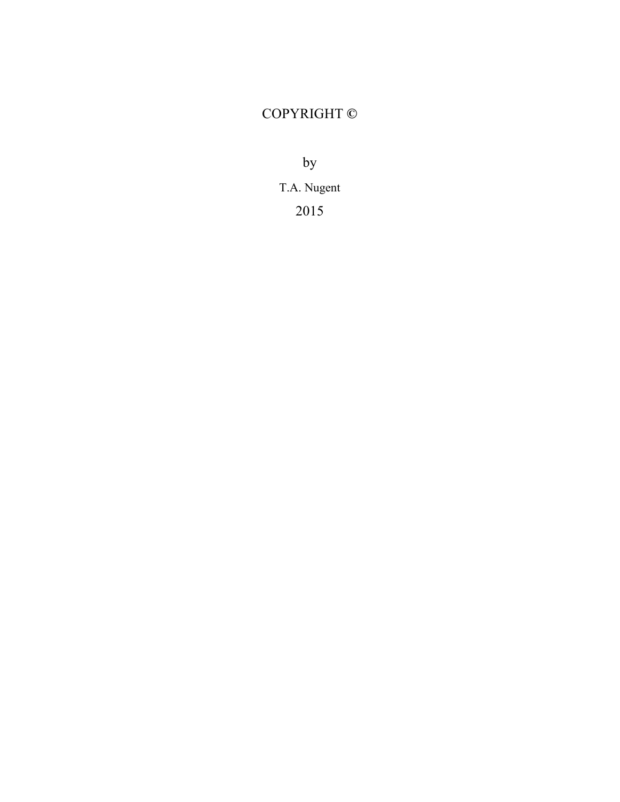## COPYRIGHT **©**

by

T.A. Nugent

2015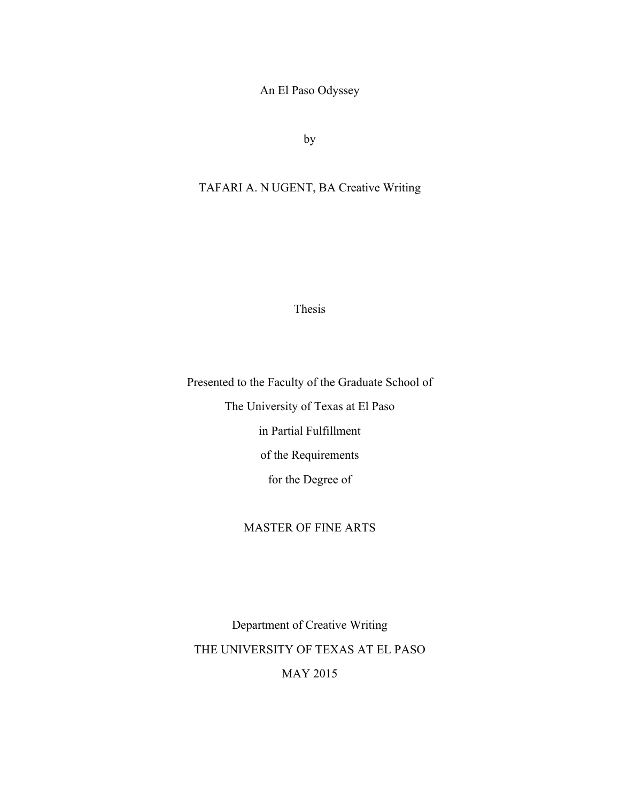An El Paso Odyssey

by

## TAFARI A. N UGENT, BA Creative Writing

Thesis

Presented to the Faculty of the Graduate School of The University of Texas at El Paso in Partial Fulfillment of the Requirements for the Degree of

#### MASTER OF FINE ARTS

Department of Creative Writing THE UNIVERSITY OF TEXAS AT EL PASO MAY 2015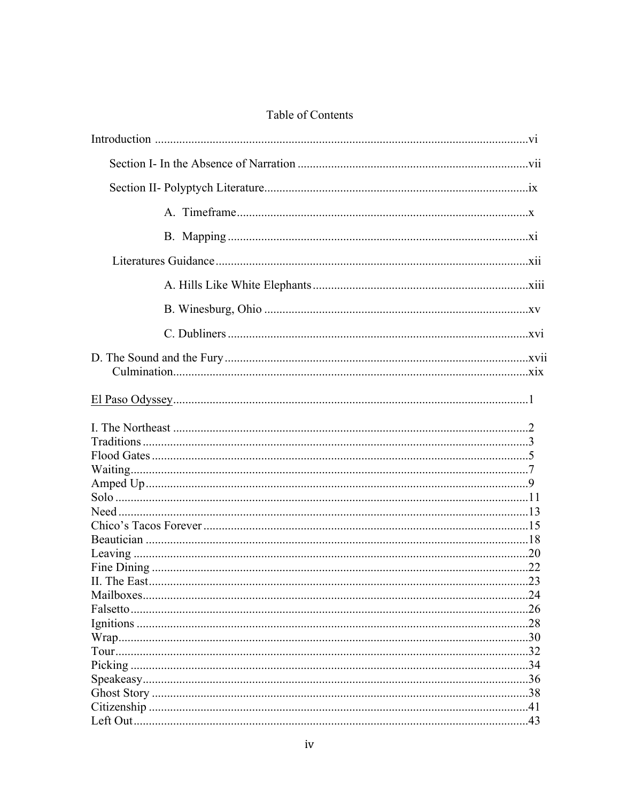| 23 |
|----|
|    |
|    |
|    |
|    |
|    |
|    |
|    |
|    |
|    |
|    |

## Table of Contents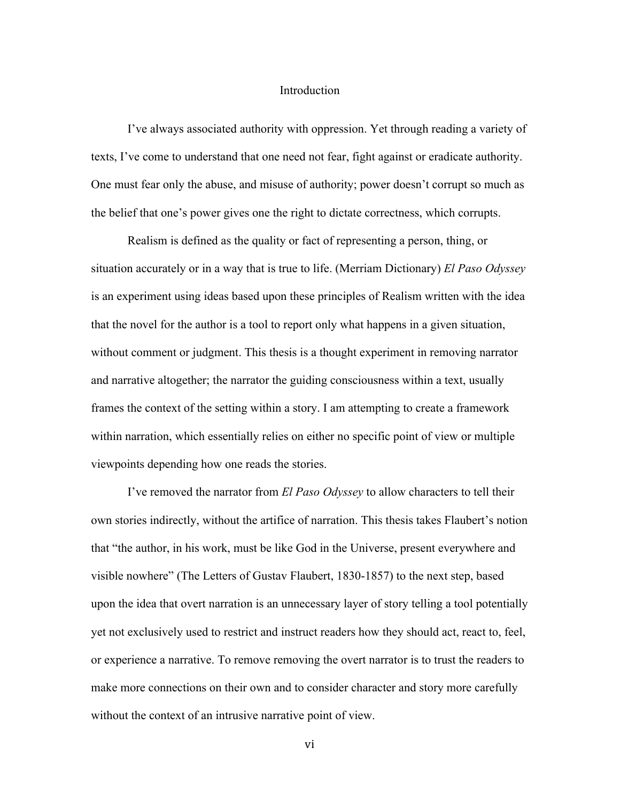#### Introduction

I've always associated authority with oppression. Yet through reading a variety of texts, I've come to understand that one need not fear, fight against or eradicate authority. One must fear only the abuse, and misuse of authority; power doesn't corrupt so much as the belief that one's power gives one the right to dictate correctness, which corrupts.

Realism is defined as the quality or fact of representing a person, thing, or situation accurately or in a way that is true to life. (Merriam Dictionary) *El Paso Odyssey* is an experiment using ideas based upon these principles of Realism written with the idea that the novel for the author is a tool to report only what happens in a given situation, without comment or judgment. This thesis is a thought experiment in removing narrator and narrative altogether; the narrator the guiding consciousness within a text, usually frames the context of the setting within a story. I am attempting to create a framework within narration, which essentially relies on either no specific point of view or multiple viewpoints depending how one reads the stories.

I've removed the narrator from *El Paso Odyssey* to allow characters to tell their own stories indirectly, without the artifice of narration. This thesis takes Flaubert's notion that "the author, in his work, must be like God in the Universe, present everywhere and visible nowhere" (The Letters of Gustav Flaubert, 1830-1857) to the next step, based upon the idea that overt narration is an unnecessary layer of story telling a tool potentially yet not exclusively used to restrict and instruct readers how they should act, react to, feel, or experience a narrative. To remove removing the overt narrator is to trust the readers to make more connections on their own and to consider character and story more carefully without the context of an intrusive narrative point of view.

vi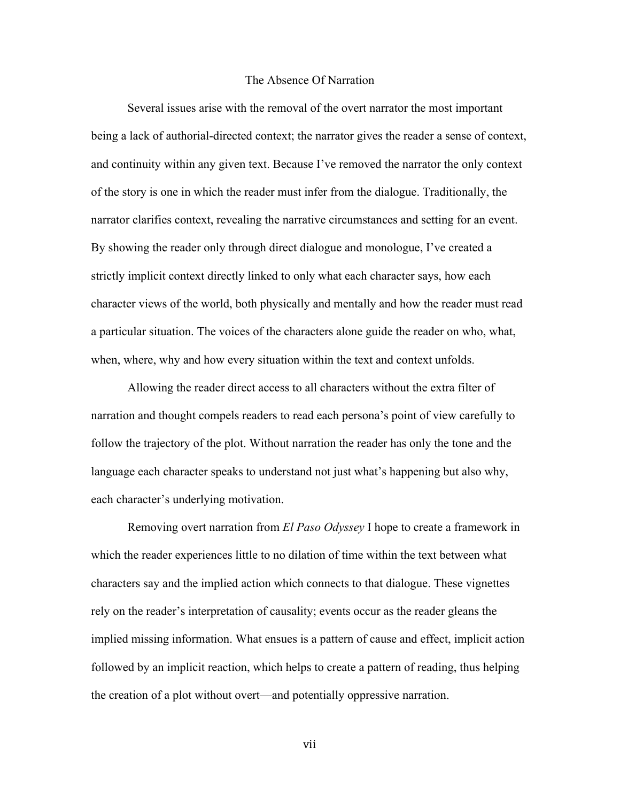#### The Absence Of Narration

Several issues arise with the removal of the overt narrator the most important being a lack of authorial-directed context; the narrator gives the reader a sense of context, and continuity within any given text. Because I've removed the narrator the only context of the story is one in which the reader must infer from the dialogue. Traditionally, the narrator clarifies context, revealing the narrative circumstances and setting for an event. By showing the reader only through direct dialogue and monologue, I've created a strictly implicit context directly linked to only what each character says, how each character views of the world, both physically and mentally and how the reader must read a particular situation. The voices of the characters alone guide the reader on who, what, when, where, why and how every situation within the text and context unfolds.

Allowing the reader direct access to all characters without the extra filter of narration and thought compels readers to read each persona's point of view carefully to follow the trajectory of the plot. Without narration the reader has only the tone and the language each character speaks to understand not just what's happening but also why, each character's underlying motivation.

Removing overt narration from *El Paso Odyssey* I hope to create a framework in which the reader experiences little to no dilation of time within the text between what characters say and the implied action which connects to that dialogue. These vignettes rely on the reader's interpretation of causality; events occur as the reader gleans the implied missing information. What ensues is a pattern of cause and effect, implicit action followed by an implicit reaction, which helps to create a pattern of reading, thus helping the creation of a plot without overt—and potentially oppressive narration.

vii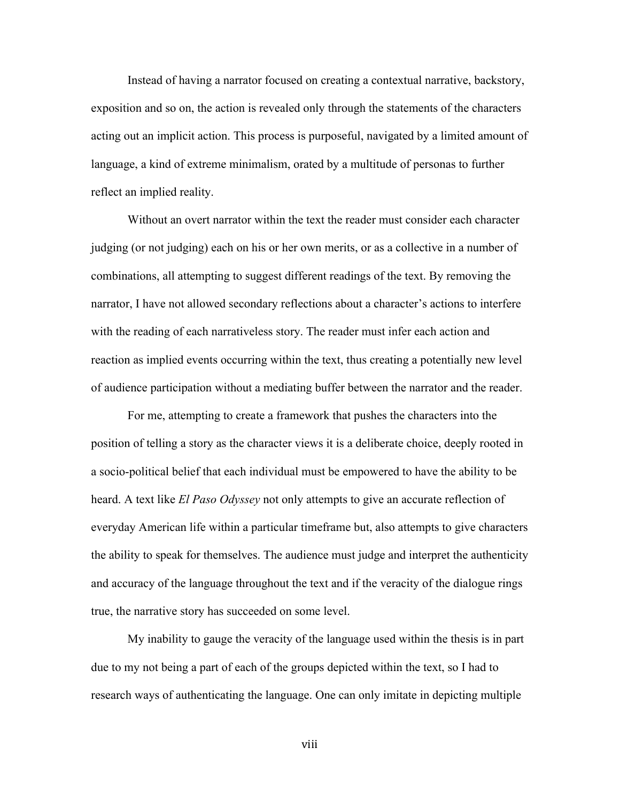Instead of having a narrator focused on creating a contextual narrative, backstory, exposition and so on, the action is revealed only through the statements of the characters acting out an implicit action. This process is purposeful, navigated by a limited amount of language, a kind of extreme minimalism, orated by a multitude of personas to further reflect an implied reality.

Without an overt narrator within the text the reader must consider each character judging (or not judging) each on his or her own merits, or as a collective in a number of combinations, all attempting to suggest different readings of the text. By removing the narrator, I have not allowed secondary reflections about a character's actions to interfere with the reading of each narrativeless story. The reader must infer each action and reaction as implied events occurring within the text, thus creating a potentially new level of audience participation without a mediating buffer between the narrator and the reader.

For me, attempting to create a framework that pushes the characters into the position of telling a story as the character views it is a deliberate choice, deeply rooted in a socio-political belief that each individual must be empowered to have the ability to be heard. A text like *El Paso Odyssey* not only attempts to give an accurate reflection of everyday American life within a particular timeframe but, also attempts to give characters the ability to speak for themselves. The audience must judge and interpret the authenticity and accuracy of the language throughout the text and if the veracity of the dialogue rings true, the narrative story has succeeded on some level.

My inability to gauge the veracity of the language used within the thesis is in part due to my not being a part of each of the groups depicted within the text, so I had to research ways of authenticating the language. One can only imitate in depicting multiple

viii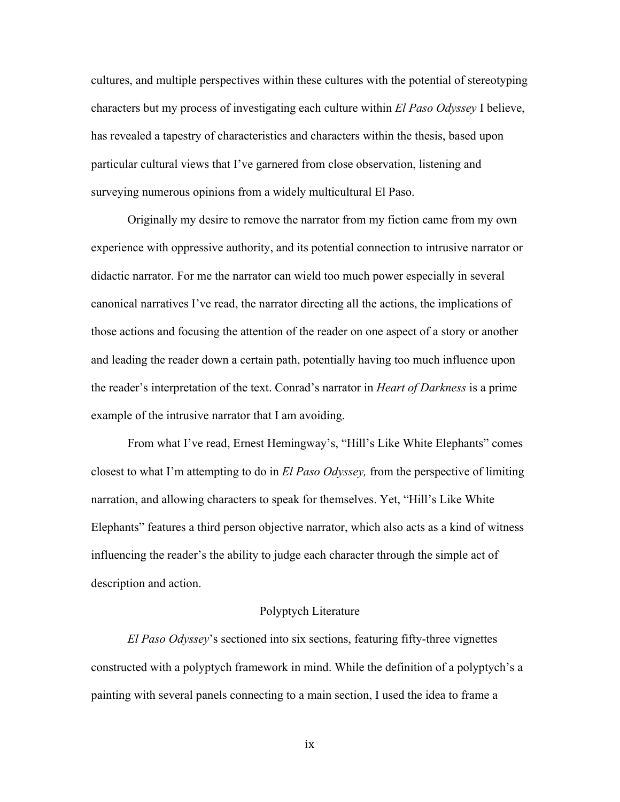cultures, and multiple perspectives within these cultures with the potential of stereotyping characters but my process of investigating each culture within *El Paso Odyssey* I believe, has revealed a tapestry of characteristics and characters within the thesis, based upon particular cultural views that I've garnered from close observation, listening and surveying numerous opinions from a widely multicultural El Paso.

Originally my desire to remove the narrator from my fiction came from my own experience with oppressive authority, and its potential connection to intrusive narrator or didactic narrator. For me the narrator can wield too much power especially in several canonical narratives I've read, the narrator directing all the actions, the implications of those actions and focusing the attention of the reader on one aspect of a story or another and leading the reader down a certain path, potentially having too much influence upon the reader's interpretation of the text. Conrad's narrator in *Heart of Darkness* is a prime example of the intrusive narrator that I am avoiding.

From what I've read, Ernest Hemingway's, "Hill's Like White Elephants" comes closest to what I'm attempting to do in *El Paso Odyssey,* from the perspective of limiting narration, and allowing characters to speak for themselves. Yet, "Hill's Like White Elephants" features a third person objective narrator, which also acts as a kind of witness influencing the reader's the ability to judge each character through the simple act of description and action.

#### Polyptych Literature

*El Paso Odyssey*'s sectioned into six sections, featuring fifty-three vignettes constructed with a polyptych framework in mind. While the definition of a polyptych's a painting with several panels connecting to a main section, I used the idea to frame a

ix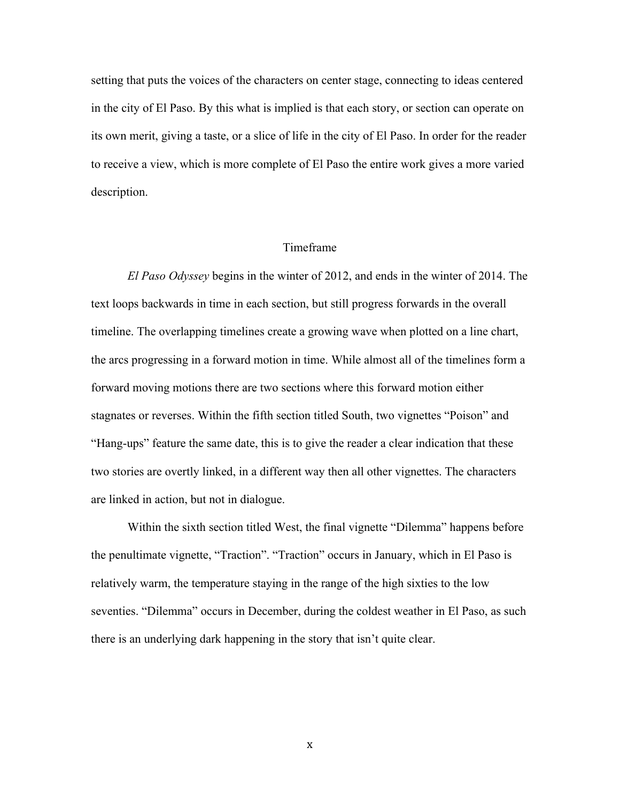setting that puts the voices of the characters on center stage, connecting to ideas centered in the city of El Paso. By this what is implied is that each story, or section can operate on its own merit, giving a taste, or a slice of life in the city of El Paso. In order for the reader to receive a view, which is more complete of El Paso the entire work gives a more varied description.

#### Timeframe

*El Paso Odyssey* begins in the winter of 2012, and ends in the winter of 2014. The text loops backwards in time in each section, but still progress forwards in the overall timeline. The overlapping timelines create a growing wave when plotted on a line chart, the arcs progressing in a forward motion in time. While almost all of the timelines form a forward moving motions there are two sections where this forward motion either stagnates or reverses. Within the fifth section titled South, two vignettes "Poison" and "Hang-ups" feature the same date, this is to give the reader a clear indication that these two stories are overtly linked, in a different way then all other vignettes. The characters are linked in action, but not in dialogue.

Within the sixth section titled West, the final vignette "Dilemma" happens before the penultimate vignette, "Traction". "Traction" occurs in January, which in El Paso is relatively warm, the temperature staying in the range of the high sixties to the low seventies. "Dilemma" occurs in December, during the coldest weather in El Paso, as such there is an underlying dark happening in the story that isn't quite clear.

x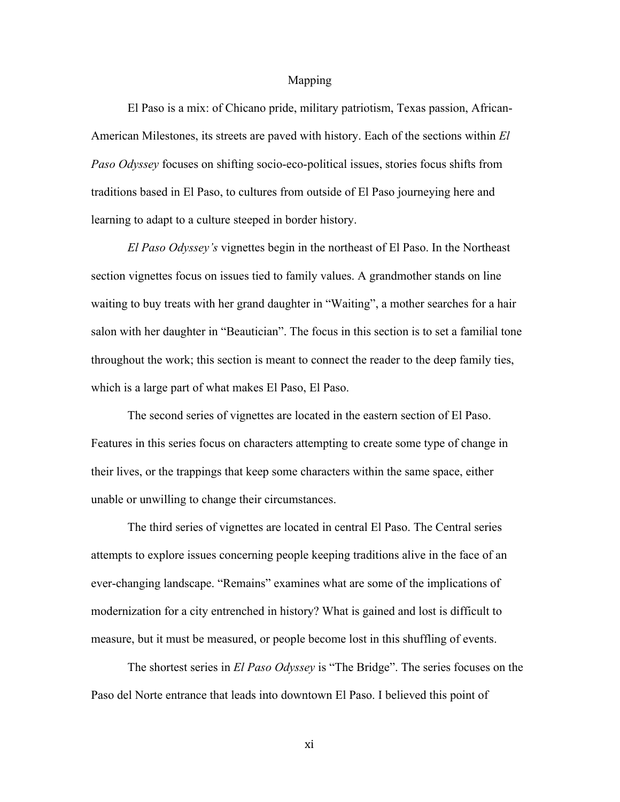#### Mapping

El Paso is a mix: of Chicano pride, military patriotism, Texas passion, African-American Milestones, its streets are paved with history. Each of the sections within *El Paso Odyssey* focuses on shifting socio-eco-political issues, stories focus shifts from traditions based in El Paso, to cultures from outside of El Paso journeying here and learning to adapt to a culture steeped in border history.

*El Paso Odyssey's* vignettes begin in the northeast of El Paso. In the Northeast section vignettes focus on issues tied to family values. A grandmother stands on line waiting to buy treats with her grand daughter in "Waiting", a mother searches for a hair salon with her daughter in "Beautician". The focus in this section is to set a familial tone throughout the work; this section is meant to connect the reader to the deep family ties, which is a large part of what makes El Paso, El Paso.

The second series of vignettes are located in the eastern section of El Paso. Features in this series focus on characters attempting to create some type of change in their lives, or the trappings that keep some characters within the same space, either unable or unwilling to change their circumstances.

The third series of vignettes are located in central El Paso. The Central series attempts to explore issues concerning people keeping traditions alive in the face of an ever-changing landscape. "Remains" examines what are some of the implications of modernization for a city entrenched in history? What is gained and lost is difficult to measure, but it must be measured, or people become lost in this shuffling of events.

The shortest series in *El Paso Odyssey* is "The Bridge". The series focuses on the Paso del Norte entrance that leads into downtown El Paso. I believed this point of

xi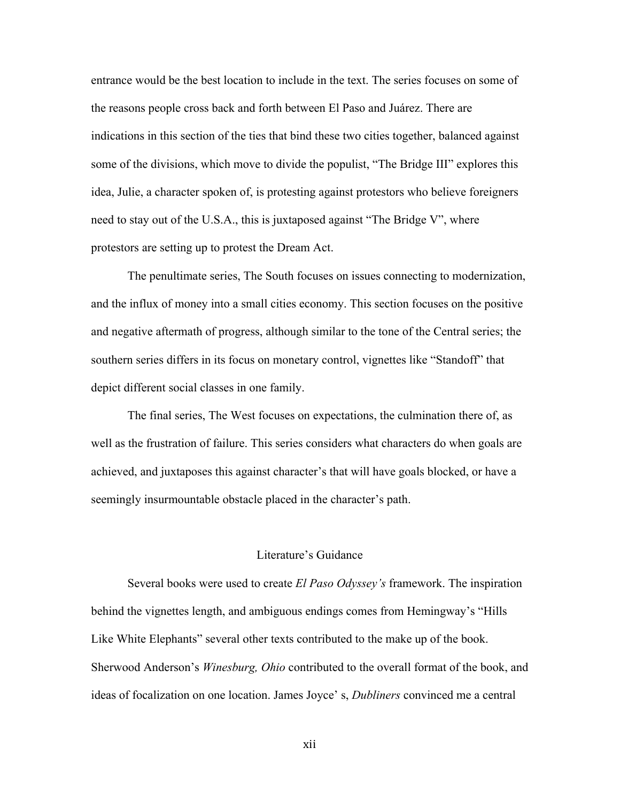entrance would be the best location to include in the text. The series focuses on some of the reasons people cross back and forth between El Paso and Juárez. There are indications in this section of the ties that bind these two cities together, balanced against some of the divisions, which move to divide the populist, "The Bridge III" explores this idea, Julie, a character spoken of, is protesting against protestors who believe foreigners need to stay out of the U.S.A., this is juxtaposed against "The Bridge V", where protestors are setting up to protest the Dream Act.

The penultimate series, The South focuses on issues connecting to modernization, and the influx of money into a small cities economy. This section focuses on the positive and negative aftermath of progress, although similar to the tone of the Central series; the southern series differs in its focus on monetary control, vignettes like "Standoff" that depict different social classes in one family.

The final series, The West focuses on expectations, the culmination there of, as well as the frustration of failure. This series considers what characters do when goals are achieved, and juxtaposes this against character's that will have goals blocked, or have a seemingly insurmountable obstacle placed in the character's path.

#### Literature's Guidance

Several books were used to create *El Paso Odyssey's* framework. The inspiration behind the vignettes length, and ambiguous endings comes from Hemingway's "Hills Like White Elephants" several other texts contributed to the make up of the book. Sherwood Anderson's *Winesburg, Ohio* contributed to the overall format of the book, and ideas of focalization on one location. James Joyce' s, *Dubliners* convinced me a central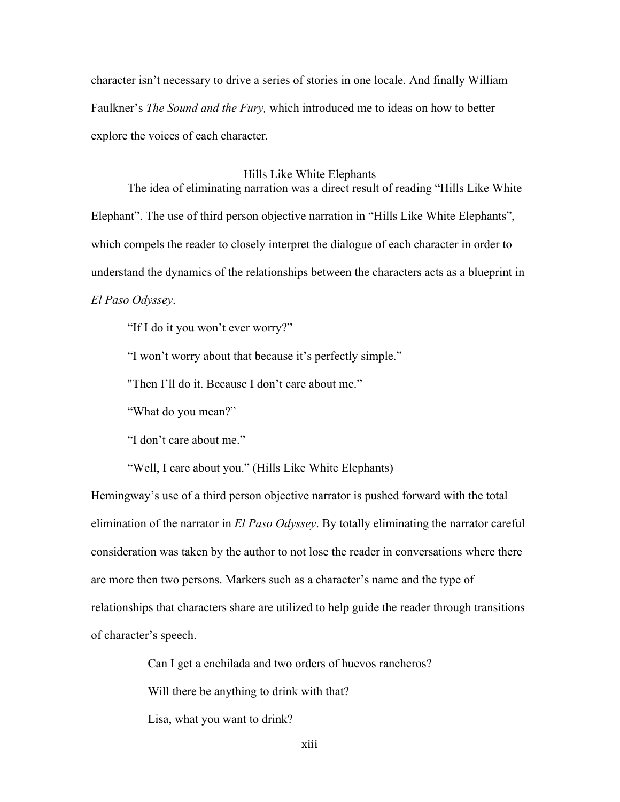character isn't necessary to drive a series of stories in one locale. And finally William Faulkner's *The Sound and the Fury,* which introduced me to ideas on how to better explore the voices of each character*.*

#### Hills Like White Elephants

The idea of eliminating narration was a direct result of reading "Hills Like White Elephant". The use of third person objective narration in "Hills Like White Elephants", which compels the reader to closely interpret the dialogue of each character in order to understand the dynamics of the relationships between the characters acts as a blueprint in *El Paso Odyssey*.

"If I do it you won't ever worry?"

"I won't worry about that because it's perfectly simple."

"Then I'll do it. Because I don't care about me."

"What do you mean?"

"I don't care about me."

"Well, I care about you." (Hills Like White Elephants)

Hemingway's use of a third person objective narrator is pushed forward with the total elimination of the narrator in *El Paso Odyssey*. By totally eliminating the narrator careful consideration was taken by the author to not lose the reader in conversations where there are more then two persons. Markers such as a character's name and the type of relationships that characters share are utilized to help guide the reader through transitions of character's speech.

Can I get a enchilada and two orders of huevos rancheros?

Will there be anything to drink with that?

Lisa, what you want to drink?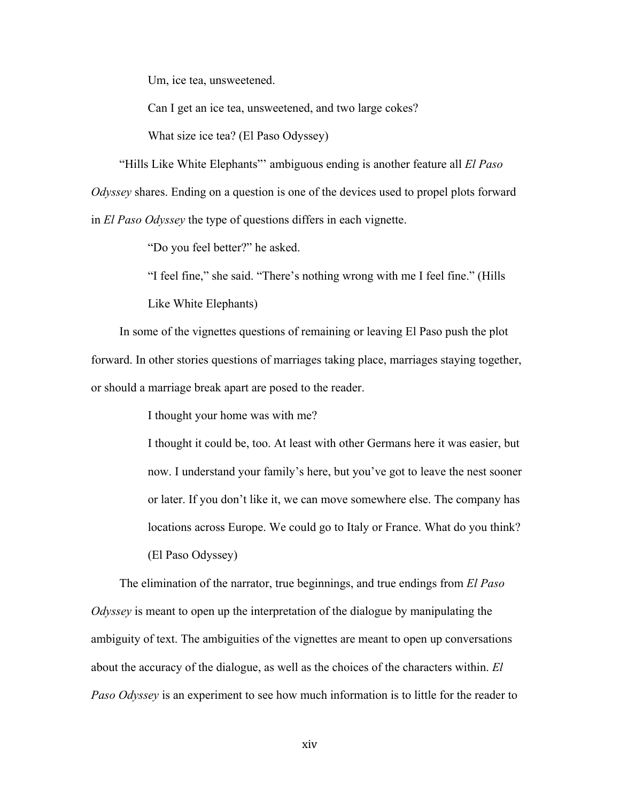Um, ice tea, unsweetened.

Can I get an ice tea, unsweetened, and two large cokes?

What size ice tea? (El Paso Odyssey)

"Hills Like White Elephants"' ambiguous ending is another feature all *El Paso Odyssey* shares. Ending on a question is one of the devices used to propel plots forward in *El Paso Odyssey* the type of questions differs in each vignette.

"Do you feel better?" he asked.

"I feel fine," she said. "There's nothing wrong with me I feel fine." (Hills

Like White Elephants)

In some of the vignettes questions of remaining or leaving El Paso push the plot forward. In other stories questions of marriages taking place, marriages staying together, or should a marriage break apart are posed to the reader.

I thought your home was with me?

I thought it could be, too. At least with other Germans here it was easier, but now. I understand your family's here, but you've got to leave the nest sooner or later. If you don't like it, we can move somewhere else. The company has locations across Europe. We could go to Italy or France. What do you think? (El Paso Odyssey)

The elimination of the narrator, true beginnings, and true endings from *El Paso Odyssey* is meant to open up the interpretation of the dialogue by manipulating the ambiguity of text. The ambiguities of the vignettes are meant to open up conversations about the accuracy of the dialogue, as well as the choices of the characters within. *El Paso Odyssey* is an experiment to see how much information is to little for the reader to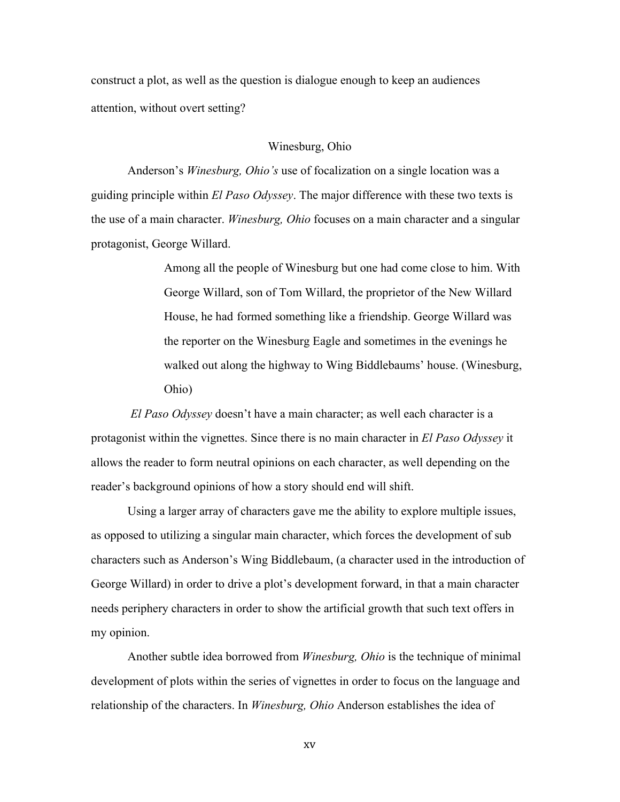construct a plot, as well as the question is dialogue enough to keep an audiences attention, without overt setting?

#### Winesburg, Ohio

Anderson's *Winesburg, Ohio's* use of focalization on a single location was a guiding principle within *El Paso Odyssey*. The major difference with these two texts is the use of a main character. *Winesburg, Ohio* focuses on a main character and a singular protagonist, George Willard.

> Among all the people of Winesburg but one had come close to him. With George Willard, son of Tom Willard, the proprietor of the New Willard House, he had formed something like a friendship. George Willard was the reporter on the Winesburg Eagle and sometimes in the evenings he walked out along the highway to Wing Biddlebaums' house. (Winesburg, Ohio)

*El Paso Odyssey* doesn't have a main character; as well each character is a protagonist within the vignettes. Since there is no main character in *El Paso Odyssey* it allows the reader to form neutral opinions on each character, as well depending on the reader's background opinions of how a story should end will shift.

Using a larger array of characters gave me the ability to explore multiple issues, as opposed to utilizing a singular main character, which forces the development of sub characters such as Anderson's Wing Biddlebaum, (a character used in the introduction of George Willard) in order to drive a plot's development forward, in that a main character needs periphery characters in order to show the artificial growth that such text offers in my opinion.

Another subtle idea borrowed from *Winesburg, Ohio* is the technique of minimal development of plots within the series of vignettes in order to focus on the language and relationship of the characters. In *Winesburg, Ohio* Anderson establishes the idea of

xv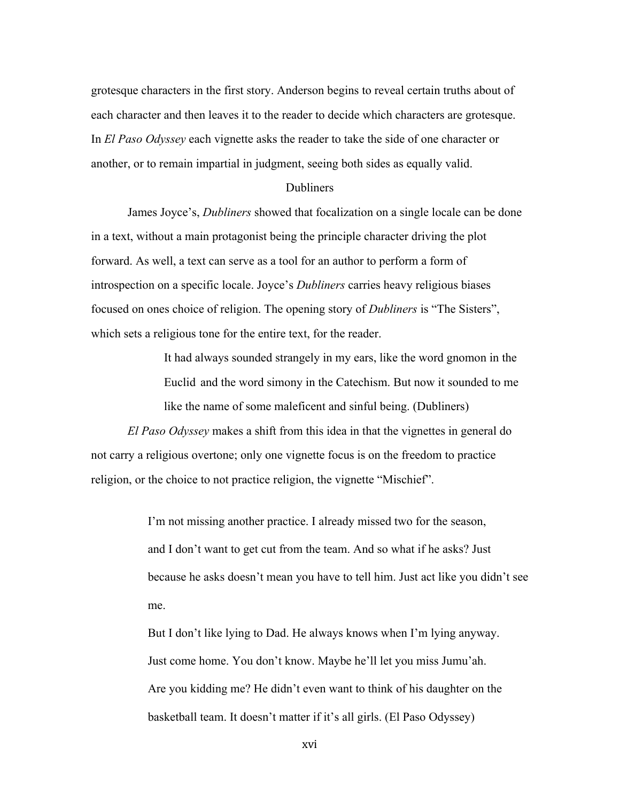grotesque characters in the first story. Anderson begins to reveal certain truths about of each character and then leaves it to the reader to decide which characters are grotesque. In *El Paso Odyssey* each vignette asks the reader to take the side of one character or another, or to remain impartial in judgment, seeing both sides as equally valid.

#### Dubliners

James Joyce's, *Dubliners* showed that focalization on a single locale can be done in a text, without a main protagonist being the principle character driving the plot forward. As well, a text can serve as a tool for an author to perform a form of introspection on a specific locale. Joyce's *Dubliners* carries heavy religious biases focused on ones choice of religion. The opening story of *Dubliners* is "The Sisters", which sets a religious tone for the entire text, for the reader.

> It had always sounded strangely in my ears, like the word gnomon in the Euclid and the word simony in the Catechism. But now it sounded to me like the name of some maleficent and sinful being. (Dubliners)

*El Paso Odyssey* makes a shift from this idea in that the vignettes in general do not carry a religious overtone; only one vignette focus is on the freedom to practice religion, or the choice to not practice religion, the vignette "Mischief".

> I'm not missing another practice. I already missed two for the season, and I don't want to get cut from the team. And so what if he asks? Just because he asks doesn't mean you have to tell him. Just act like you didn't see me.

But I don't like lying to Dad. He always knows when I'm lying anyway. Just come home. You don't know. Maybe he'll let you miss Jumu'ah. Are you kidding me? He didn't even want to think of his daughter on the basketball team. It doesn't matter if it's all girls. (El Paso Odyssey)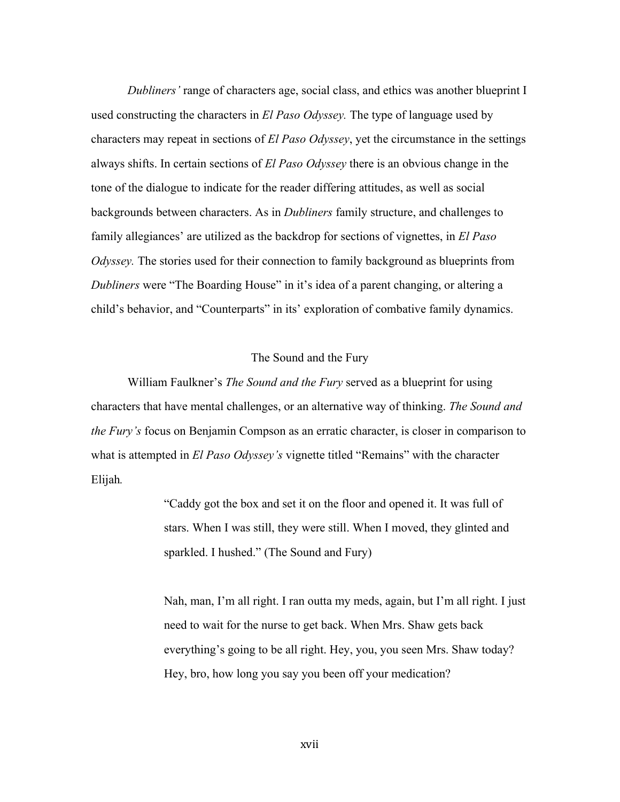*Dubliners'* range of characters age, social class, and ethics was another blueprint I used constructing the characters in *El Paso Odyssey.* The type of language used by characters may repeat in sections of *El Paso Odyssey*, yet the circumstance in the settings always shifts. In certain sections of *El Paso Odyssey* there is an obvious change in the tone of the dialogue to indicate for the reader differing attitudes, as well as social backgrounds between characters. As in *Dubliners* family structure, and challenges to family allegiances' are utilized as the backdrop for sections of vignettes, in *El Paso Odyssey*. The stories used for their connection to family background as blueprints from *Dubliners* were "The Boarding House" in it's idea of a parent changing, or altering a child's behavior, and "Counterparts" in its' exploration of combative family dynamics.

#### The Sound and the Fury

William Faulkner's *The Sound and the Fury* served as a blueprint for using characters that have mental challenges, or an alternative way of thinking. *The Sound and the Fury's* focus on Benjamin Compson as an erratic character, is closer in comparison to what is attempted in *El Paso Odyssey's* vignette titled "Remains" with the character Elijah*.*

> "Caddy got the box and set it on the floor and opened it. It was full of stars. When I was still, they were still. When I moved, they glinted and sparkled. I hushed." (The Sound and Fury)

Nah, man, I'm all right. I ran outta my meds, again, but I'm all right. I just need to wait for the nurse to get back. When Mrs. Shaw gets back everything's going to be all right. Hey, you, you seen Mrs. Shaw today? Hey, bro, how long you say you been off your medication?

xvii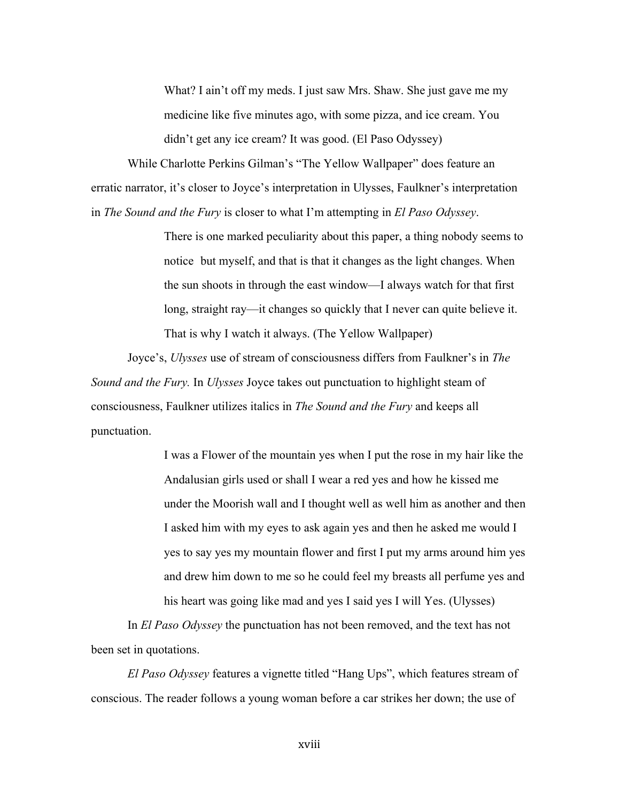What? I ain't off my meds. I just saw Mrs. Shaw. She just gave me my medicine like five minutes ago, with some pizza, and ice cream. You didn't get any ice cream? It was good. (El Paso Odyssey)

While Charlotte Perkins Gilman's "The Yellow Wallpaper" does feature an erratic narrator, it's closer to Joyce's interpretation in Ulysses, Faulkner's interpretation in *The Sound and the Fury* is closer to what I'm attempting in *El Paso Odyssey*.

> There is one marked peculiarity about this paper, a thing nobody seems to notice but myself, and that is that it changes as the light changes. When the sun shoots in through the east window—I always watch for that first long, straight ray—it changes so quickly that I never can quite believe it. That is why I watch it always. (The Yellow Wallpaper)

Joyce's, *Ulysses* use of stream of consciousness differs from Faulkner's in *The Sound and the Fury.* In *Ulysses* Joyce takes out punctuation to highlight steam of consciousness, Faulkner utilizes italics in *The Sound and the Fury* and keeps all punctuation.

> I was a Flower of the mountain yes when I put the rose in my hair like the Andalusian girls used or shall I wear a red yes and how he kissed me under the Moorish wall and I thought well as well him as another and then I asked him with my eyes to ask again yes and then he asked me would I yes to say yes my mountain flower and first I put my arms around him yes and drew him down to me so he could feel my breasts all perfume yes and his heart was going like mad and yes I said yes I will Yes. (Ulysses)

In *El Paso Odyssey* the punctuation has not been removed, and the text has not been set in quotations.

*El Paso Odyssey* features a vignette titled "Hang Ups", which features stream of conscious. The reader follows a young woman before a car strikes her down; the use of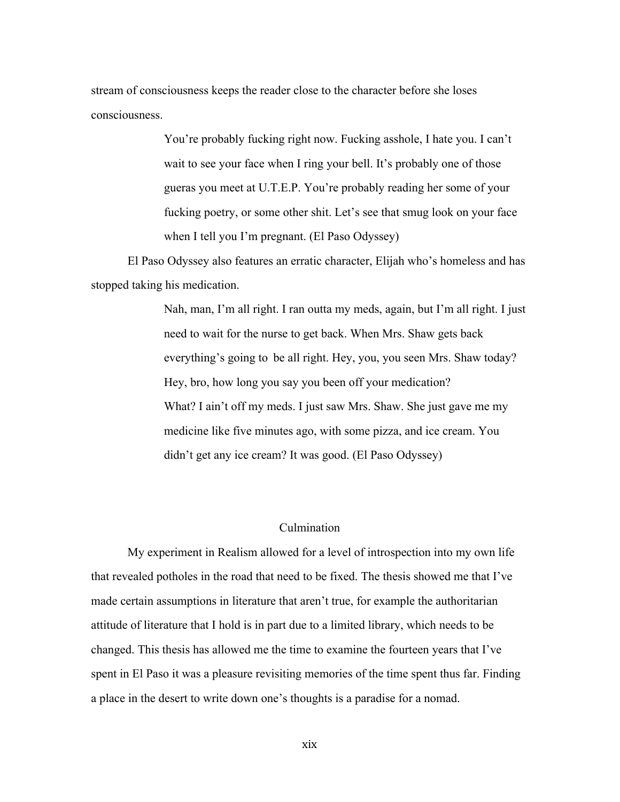stream of consciousness keeps the reader close to the character before she loses consciousness.

> You're probably fucking right now. Fucking asshole, I hate you. I can't wait to see your face when I ring your bell. It's probably one of those gueras you meet at U.T.E.P. You're probably reading her some of your fucking poetry, or some other shit. Let's see that smug look on your face when I tell you I'm pregnant. (El Paso Odyssey)

El Paso Odyssey also features an erratic character, Elijah who's homeless and has stopped taking his medication.

> Nah, man, I'm all right. I ran outta my meds, again, but I'm all right. I just need to wait for the nurse to get back. When Mrs. Shaw gets back everything's going to be all right. Hey, you, you seen Mrs. Shaw today? Hey, bro, how long you say you been off your medication? What? I ain't off my meds. I just saw Mrs. Shaw. She just gave me my medicine like five minutes ago, with some pizza, and ice cream. You didn't get any ice cream? It was good. (El Paso Odyssey)

#### Culmination

My experiment in Realism allowed for a level of introspection into my own life that revealed potholes in the road that need to be fixed. The thesis showed me that I've made certain assumptions in literature that aren't true, for example the authoritarian attitude of literature that I hold is in part due to a limited library, which needs to be changed. This thesis has allowed me the time to examine the fourteen years that I've spent in El Paso it was a pleasure revisiting memories of the time spent thus far. Finding a place in the desert to write down one's thoughts is a paradise for a nomad.

xix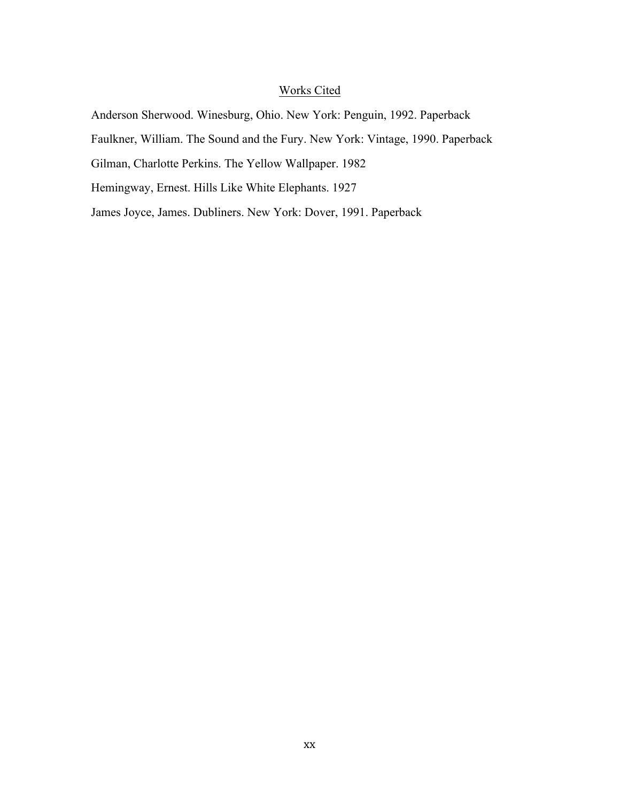### Works Cited

Anderson Sherwood. Winesburg, Ohio. New York: Penguin, 1992. Paperback Faulkner, William. The Sound and the Fury. New York: Vintage, 1990. Paperback

Gilman, Charlotte Perkins. The Yellow Wallpaper. 1982

Hemingway, Ernest. Hills Like White Elephants. 1927

James Joyce, James. Dubliners. New York: Dover, 1991. Paperback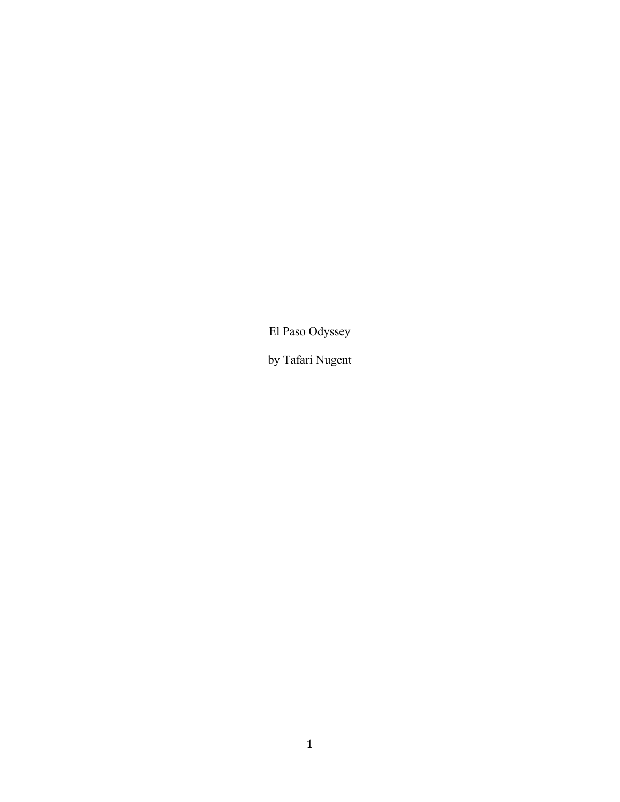El Paso Odyssey

by Tafari Nugent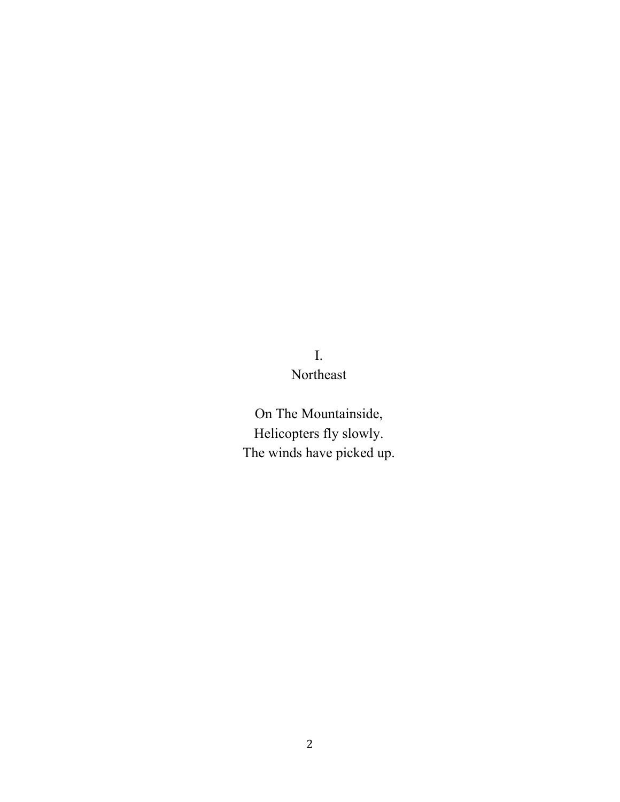# I. Northeast

On The Mountainside, Helicopters fly slowly. The winds have picked up.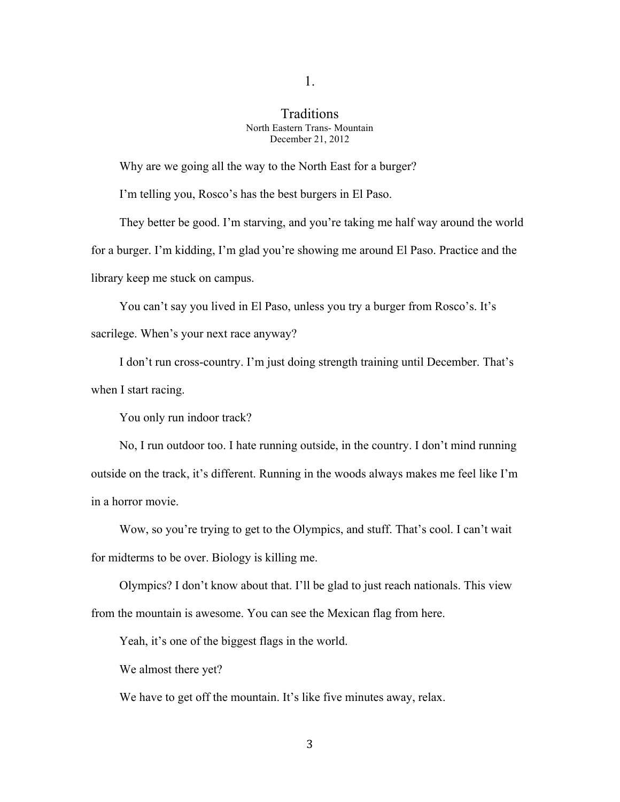#### **Traditions** North Eastern Trans- Mountain December 21, 2012

Why are we going all the way to the North East for a burger?

I'm telling you, Rosco's has the best burgers in El Paso.

They better be good. I'm starving, and you're taking me half way around the world for a burger. I'm kidding, I'm glad you're showing me around El Paso. Practice and the library keep me stuck on campus.

You can't say you lived in El Paso, unless you try a burger from Rosco's. It's sacrilege. When's your next race anyway?

I don't run cross-country. I'm just doing strength training until December. That's when I start racing.

You only run indoor track?

No, I run outdoor too. I hate running outside, in the country. I don't mind running outside on the track, it's different. Running in the woods always makes me feel like I'm in a horror movie.

Wow, so you're trying to get to the Olympics, and stuff. That's cool. I can't wait for midterms to be over. Biology is killing me.

Olympics? I don't know about that. I'll be glad to just reach nationals. This view from the mountain is awesome. You can see the Mexican flag from here.

Yeah, it's one of the biggest flags in the world.

We almost there yet?

We have to get off the mountain. It's like five minutes away, relax.

1.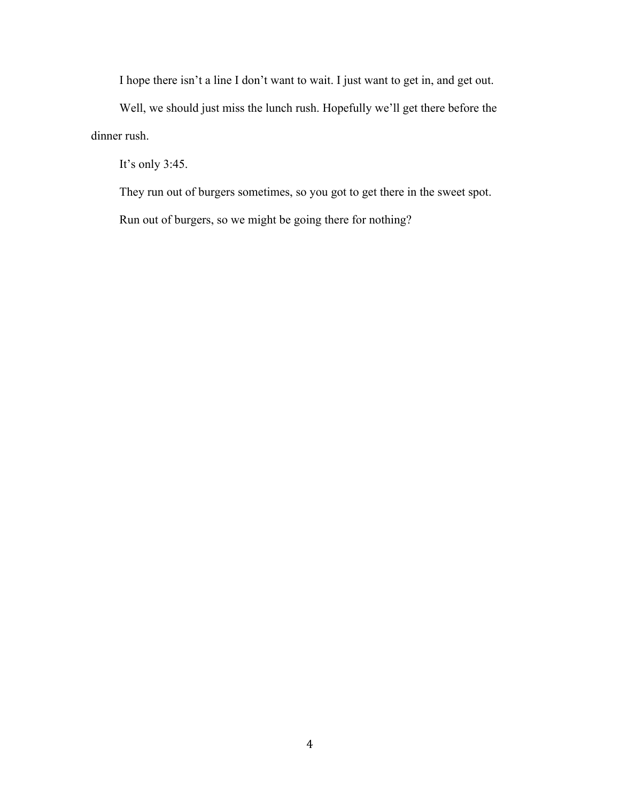I hope there isn't a line I don't want to wait. I just want to get in, and get out.

Well, we should just miss the lunch rush. Hopefully we'll get there before the dinner rush.

It's only 3:45.

They run out of burgers sometimes, so you got to get there in the sweet spot.

Run out of burgers, so we might be going there for nothing?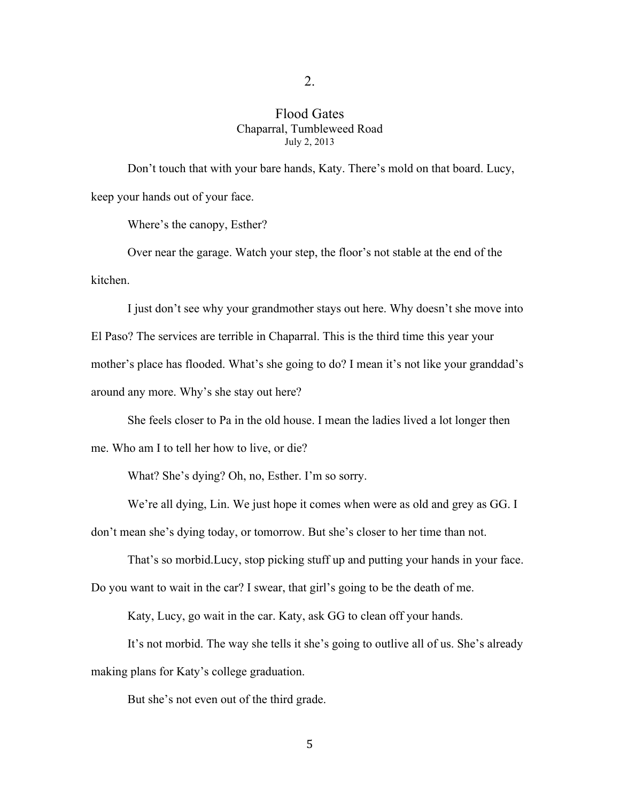#### 2.

#### Flood Gates Chaparral, Tumbleweed Road July 2, 2013

Don't touch that with your bare hands, Katy. There's mold on that board. Lucy, keep your hands out of your face.

Where's the canopy, Esther?

Over near the garage. Watch your step, the floor's not stable at the end of the kitchen.

I just don't see why your grandmother stays out here. Why doesn't she move into El Paso? The services are terrible in Chaparral. This is the third time this year your mother's place has flooded. What's she going to do? I mean it's not like your granddad's around any more. Why's she stay out here?

She feels closer to Pa in the old house. I mean the ladies lived a lot longer then me. Who am I to tell her how to live, or die?

What? She's dying? Oh, no, Esther. I'm so sorry.

We're all dying, Lin. We just hope it comes when were as old and grey as GG. I

don't mean she's dying today, or tomorrow. But she's closer to her time than not.

That's so morbid.Lucy, stop picking stuff up and putting your hands in your face.

Do you want to wait in the car? I swear, that girl's going to be the death of me.

Katy, Lucy, go wait in the car. Katy, ask GG to clean off your hands.

It's not morbid. The way she tells it she's going to outlive all of us. She's already making plans for Katy's college graduation.

But she's not even out of the third grade.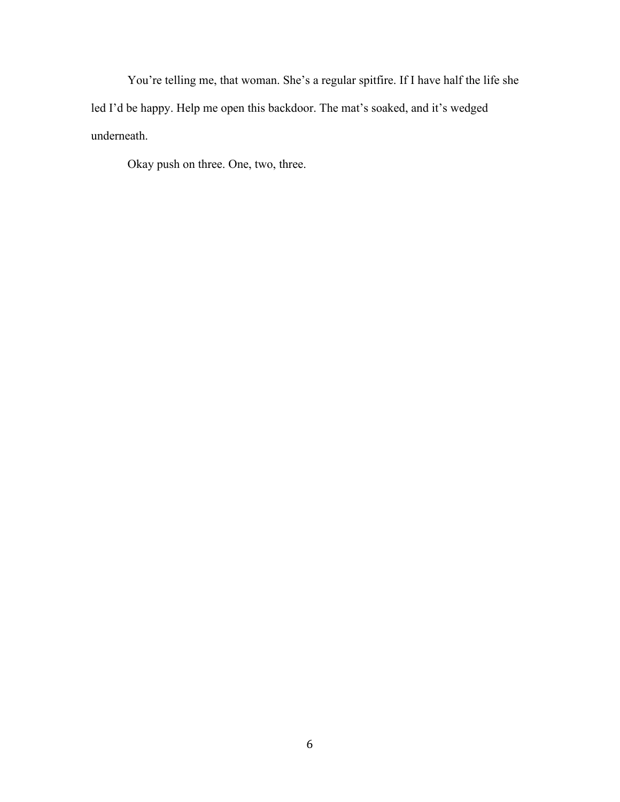You're telling me, that woman. She's a regular spitfire. If I have half the life she led I'd be happy. Help me open this backdoor. The mat's soaked, and it's wedged underneath.

Okay push on three. One, two, three.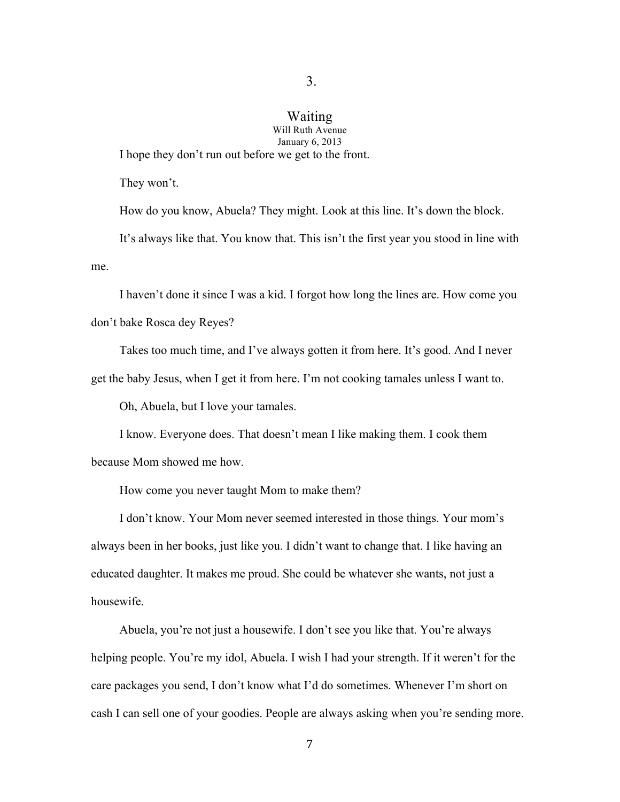## Waiting

Will Ruth Avenue January 6, 2013

I hope they don't run out before we get to the front.

They won't.

How do you know, Abuela? They might. Look at this line. It's down the block. It's always like that. You know that. This isn't the first year you stood in line with me.

I haven't done it since I was a kid. I forgot how long the lines are. How come you don't bake Rosca dey Reyes?

Takes too much time, and I've always gotten it from here. It's good. And I never get the baby Jesus, when I get it from here. I'm not cooking tamales unless I want to.

Oh, Abuela, but I love your tamales.

I know. Everyone does. That doesn't mean I like making them. I cook them because Mom showed me how.

How come you never taught Mom to make them?

I don't know. Your Mom never seemed interested in those things. Your mom's always been in her books, just like you. I didn't want to change that. I like having an educated daughter. It makes me proud. She could be whatever she wants, not just a housewife.

Abuela, you're not just a housewife. I don't see you like that. You're always helping people. You're my idol, Abuela. I wish I had your strength. If it weren't for the care packages you send, I don't know what I'd do sometimes. Whenever I'm short on cash I can sell one of your goodies. People are always asking when you're sending more.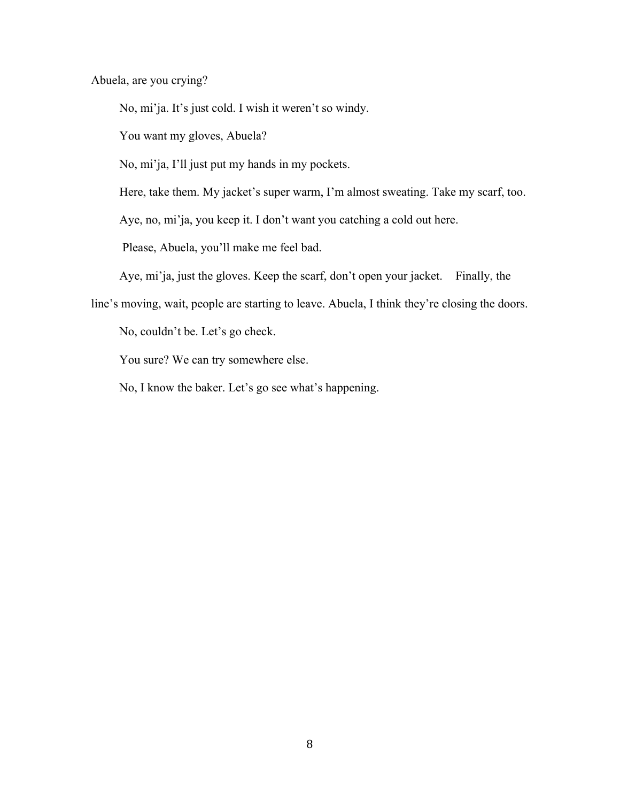Abuela, are you crying?

No, mi'ja. It's just cold. I wish it weren't so windy.

You want my gloves, Abuela?

No, mi'ja, I'll just put my hands in my pockets.

Here, take them. My jacket's super warm, I'm almost sweating. Take my scarf, too.

Aye, no, mi'ja, you keep it. I don't want you catching a cold out here.

Please, Abuela, you'll make me feel bad.

Aye, mi'ja, just the gloves. Keep the scarf, don't open your jacket. Finally, the

line's moving, wait, people are starting to leave. Abuela, I think they're closing the doors.

No, couldn't be. Let's go check.

You sure? We can try somewhere else.

No, I know the baker. Let's go see what's happening.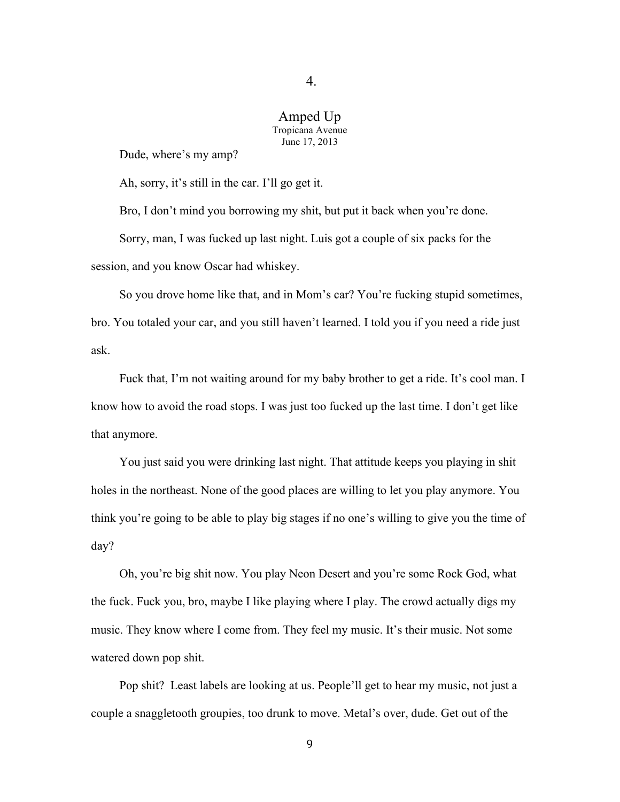4.

#### Amped Up Tropicana Avenue June 17, 2013

Dude, where's my amp?

Ah, sorry, it's still in the car. I'll go get it.

Bro, I don't mind you borrowing my shit, but put it back when you're done. Sorry, man, I was fucked up last night. Luis got a couple of six packs for the session, and you know Oscar had whiskey.

So you drove home like that, and in Mom's car? You're fucking stupid sometimes, bro. You totaled your car, and you still haven't learned. I told you if you need a ride just ask.

Fuck that, I'm not waiting around for my baby brother to get a ride. It's cool man. I know how to avoid the road stops. I was just too fucked up the last time. I don't get like that anymore.

You just said you were drinking last night. That attitude keeps you playing in shit holes in the northeast. None of the good places are willing to let you play anymore. You think you're going to be able to play big stages if no one's willing to give you the time of day?

Oh, you're big shit now. You play Neon Desert and you're some Rock God, what the fuck. Fuck you, bro, maybe I like playing where I play. The crowd actually digs my music. They know where I come from. They feel my music. It's their music. Not some watered down pop shit.

Pop shit? Least labels are looking at us. People'll get to hear my music, not just a couple a snaggletooth groupies, too drunk to move. Metal's over, dude. Get out of the

9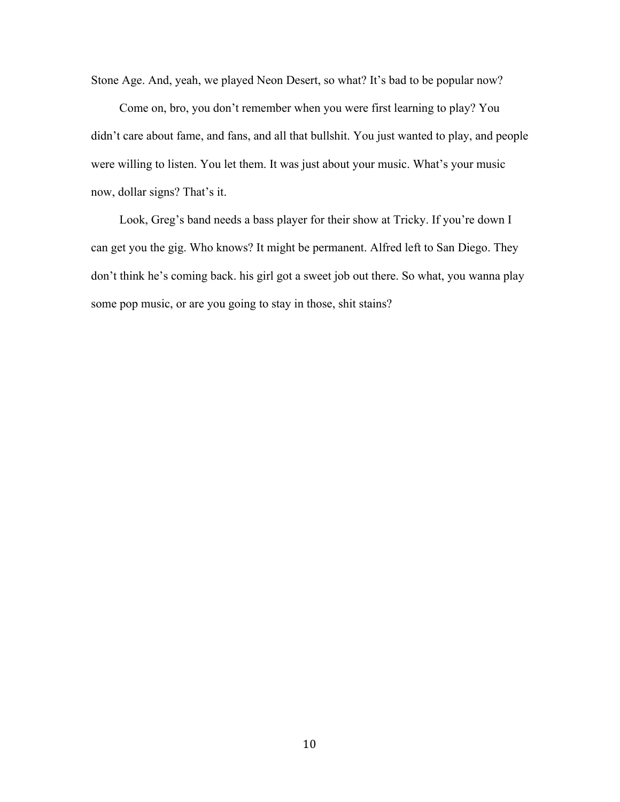Stone Age. And, yeah, we played Neon Desert, so what? It's bad to be popular now?

Come on, bro, you don't remember when you were first learning to play? You didn't care about fame, and fans, and all that bullshit. You just wanted to play, and people were willing to listen. You let them. It was just about your music. What's your music now, dollar signs? That's it.

Look, Greg's band needs a bass player for their show at Tricky. If you're down I can get you the gig. Who knows? It might be permanent. Alfred left to San Diego. They don't think he's coming back. his girl got a sweet job out there. So what, you wanna play some pop music, or are you going to stay in those, shit stains?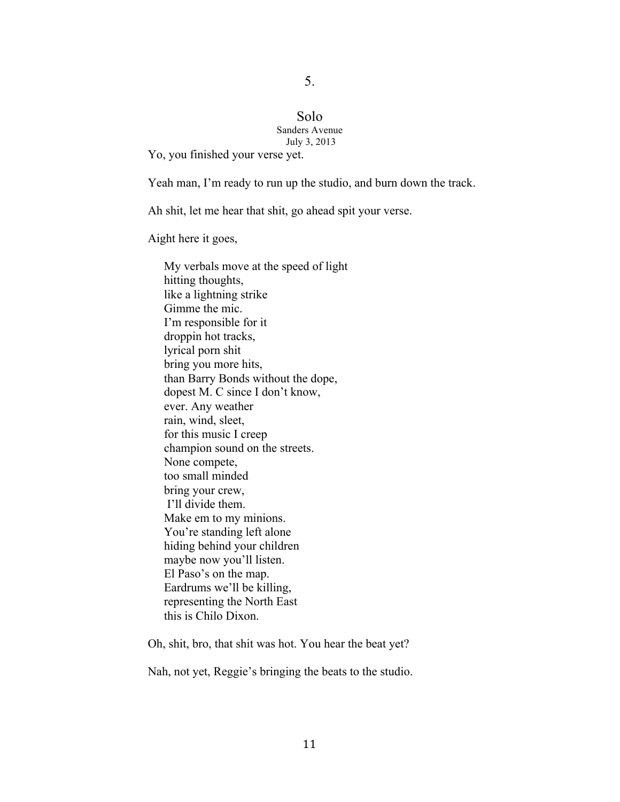### 5.

#### Solo Sanders Avenue July 3, 2013

Yo, you finished your verse yet.

Yeah man, I'm ready to run up the studio, and burn down the track.

Ah shit, let me hear that shit, go ahead spit your verse.

Aight here it goes,

My verbals move at the speed of light hitting thoughts, like a lightning strike Gimme the mic. I'm responsible for it droppin hot tracks, lyrical porn shit bring you more hits, than Barry Bonds without the dope, dopest M. C since I don't know, ever. Any weather rain, wind, sleet, for this music I creep champion sound on the streets. None compete, too small minded bring your crew, I'll divide them. Make em to my minions. You're standing left alone hiding behind your children maybe now you'll listen. El Paso's on the map. Eardrums we'll be killing, representing the North East this is Chilo Dixon.

Oh, shit, bro, that shit was hot. You hear the beat yet?

Nah, not yet, Reggie's bringing the beats to the studio.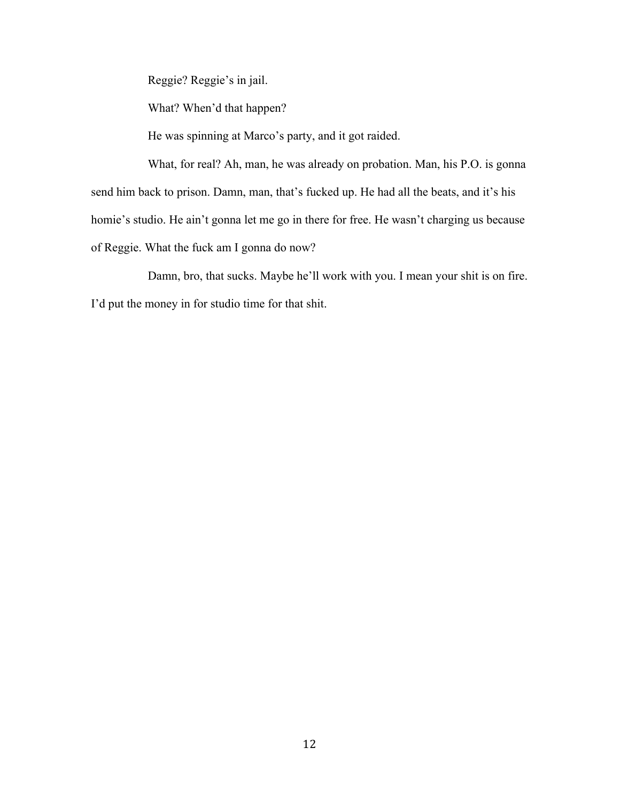Reggie? Reggie's in jail.

What? When'd that happen?

He was spinning at Marco's party, and it got raided.

What, for real? Ah, man, he was already on probation. Man, his P.O. is gonna send him back to prison. Damn, man, that's fucked up. He had all the beats, and it's his homie's studio. He ain't gonna let me go in there for free. He wasn't charging us because of Reggie. What the fuck am I gonna do now?

Damn, bro, that sucks. Maybe he'll work with you. I mean your shit is on fire. I'd put the money in for studio time for that shit.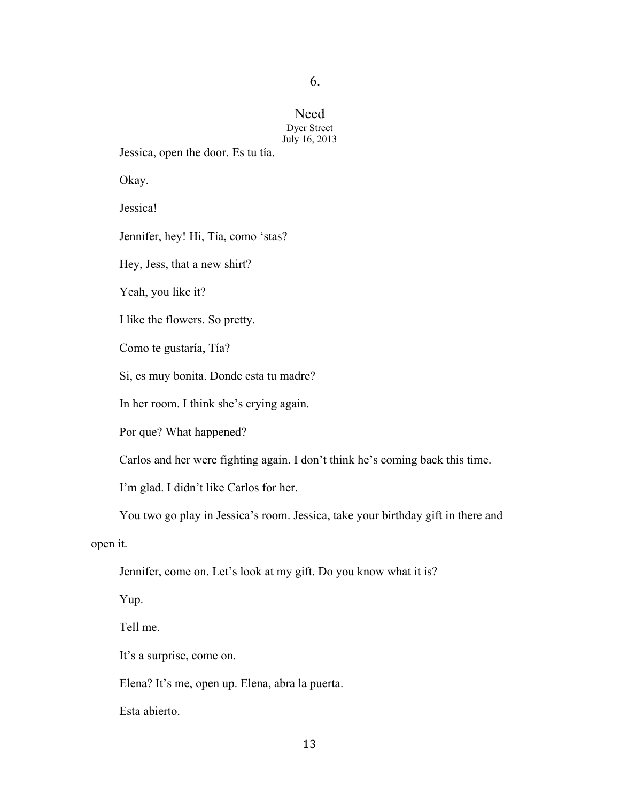6.

#### Need Dyer Street July 16, 2013

Jessica, open the door. Es tu tía.

Okay.

Jessica!

Jennifer, hey! Hi, Tía, como 'stas?

Hey, Jess, that a new shirt?

Yeah, you like it?

I like the flowers. So pretty.

Como te gustaría, Tía?

Si, es muy bonita. Donde esta tu madre?

In her room. I think she's crying again.

Por que? What happened?

Carlos and her were fighting again. I don't think he's coming back this time.

I'm glad. I didn't like Carlos for her.

You two go play in Jessica's room. Jessica, take your birthday gift in there and

open it.

Jennifer, come on. Let's look at my gift. Do you know what it is?

Yup.

Tell me.

It's a surprise, come on.

Elena? It's me, open up. Elena, abra la puerta.

Esta abierto.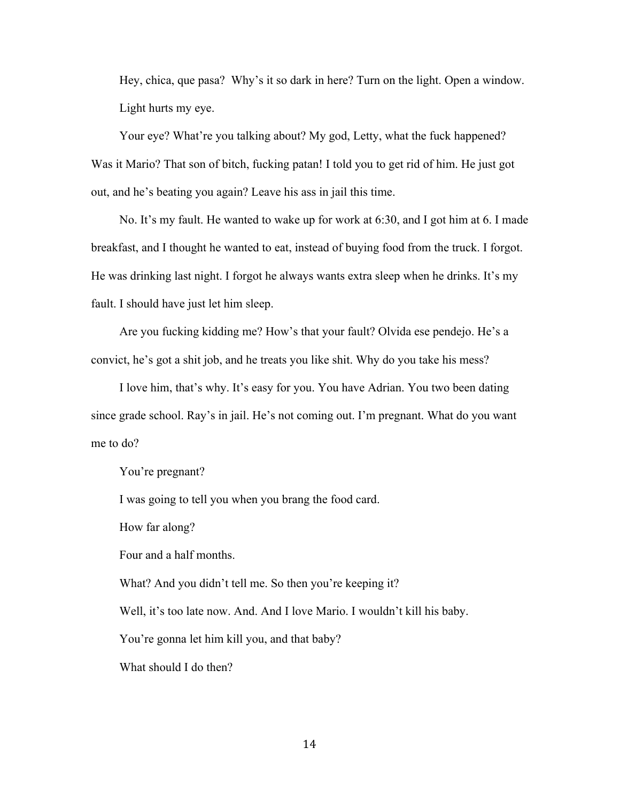Hey, chica, que pasa? Why's it so dark in here? Turn on the light. Open a window. Light hurts my eye.

Your eye? What're you talking about? My god, Letty, what the fuck happened? Was it Mario? That son of bitch, fucking patan! I told you to get rid of him. He just got out, and he's beating you again? Leave his ass in jail this time.

No. It's my fault. He wanted to wake up for work at 6:30, and I got him at 6. I made breakfast, and I thought he wanted to eat, instead of buying food from the truck. I forgot. He was drinking last night. I forgot he always wants extra sleep when he drinks. It's my fault. I should have just let him sleep.

Are you fucking kidding me? How's that your fault? Olvida ese pendejo. He's a convict, he's got a shit job, and he treats you like shit. Why do you take his mess?

I love him, that's why. It's easy for you. You have Adrian. You two been dating since grade school. Ray's in jail. He's not coming out. I'm pregnant. What do you want me to do?

You're pregnant?

I was going to tell you when you brang the food card.

How far along?

Four and a half months.

What? And you didn't tell me. So then you're keeping it?

Well, it's too late now. And. And I love Mario. I wouldn't kill his baby.

You're gonna let him kill you, and that baby?

What should I do then?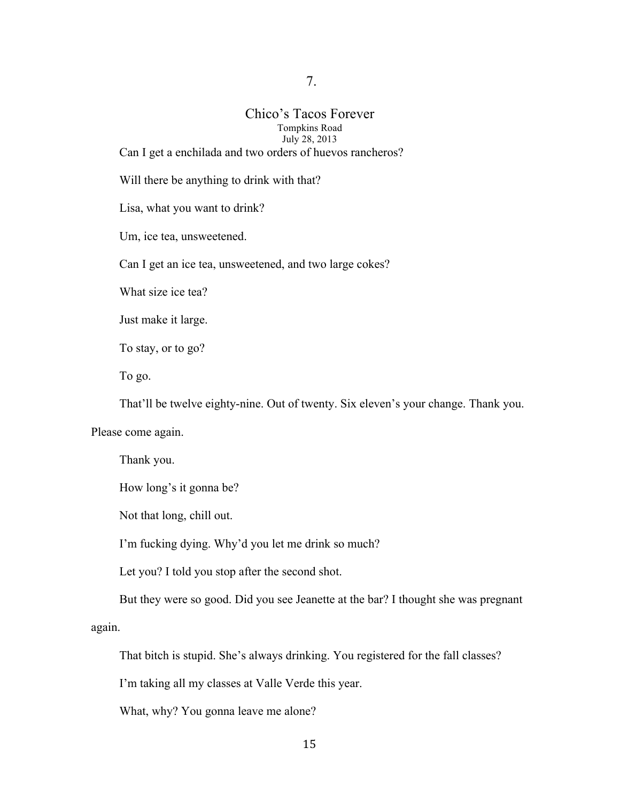7.

## Chico's Tacos Forever Tompkins Road July 28, 2013

Can I get a enchilada and two orders of huevos rancheros?

Will there be anything to drink with that?

Lisa, what you want to drink?

Um, ice tea, unsweetened.

Can I get an ice tea, unsweetened, and two large cokes?

What size ice tea?

Just make it large.

To stay, or to go?

To go.

That'll be twelve eighty-nine. Out of twenty. Six eleven's your change. Thank you.

Please come again.

Thank you.

How long's it gonna be?

Not that long, chill out.

I'm fucking dying. Why'd you let me drink so much?

Let you? I told you stop after the second shot.

But they were so good. Did you see Jeanette at the bar? I thought she was pregnant

again.

That bitch is stupid. She's always drinking. You registered for the fall classes?

I'm taking all my classes at Valle Verde this year.

What, why? You gonna leave me alone?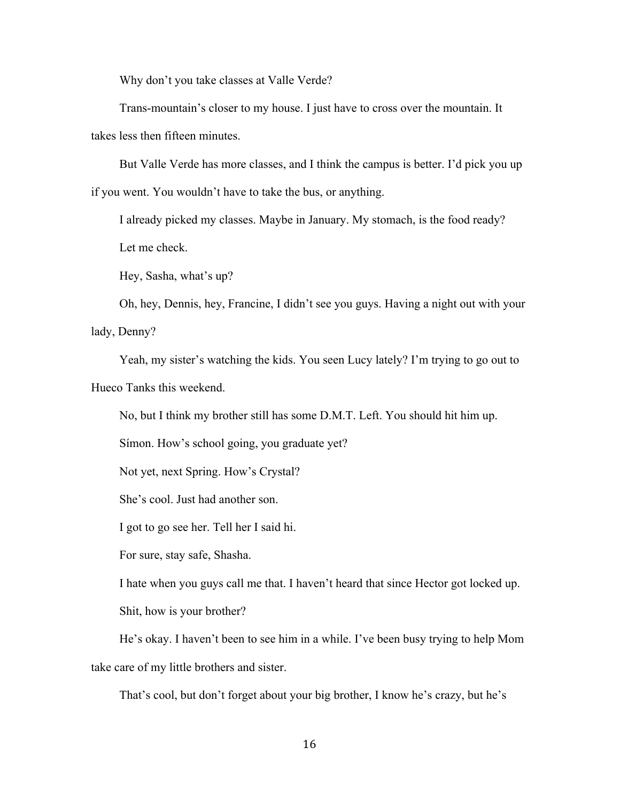Why don't you take classes at Valle Verde?

Trans-mountain's closer to my house. I just have to cross over the mountain. It takes less then fifteen minutes.

But Valle Verde has more classes, and I think the campus is better. I'd pick you up if you went. You wouldn't have to take the bus, or anything.

I already picked my classes. Maybe in January. My stomach, is the food ready? Let me check.

Hey, Sasha, what's up?

Oh, hey, Dennis, hey, Francine, I didn't see you guys. Having a night out with your lady, Denny?

Yeah, my sister's watching the kids. You seen Lucy lately? I'm trying to go out to Hueco Tanks this weekend.

No, but I think my brother still has some D.M.T. Left. You should hit him up.

Símon. How's school going, you graduate yet?

Not yet, next Spring. How's Crystal?

She's cool. Just had another son.

I got to go see her. Tell her I said hi.

For sure, stay safe, Shasha.

I hate when you guys call me that. I haven't heard that since Hector got locked up.

Shit, how is your brother?

He's okay. I haven't been to see him in a while. I've been busy trying to help Mom take care of my little brothers and sister.

That's cool, but don't forget about your big brother, I know he's crazy, but he's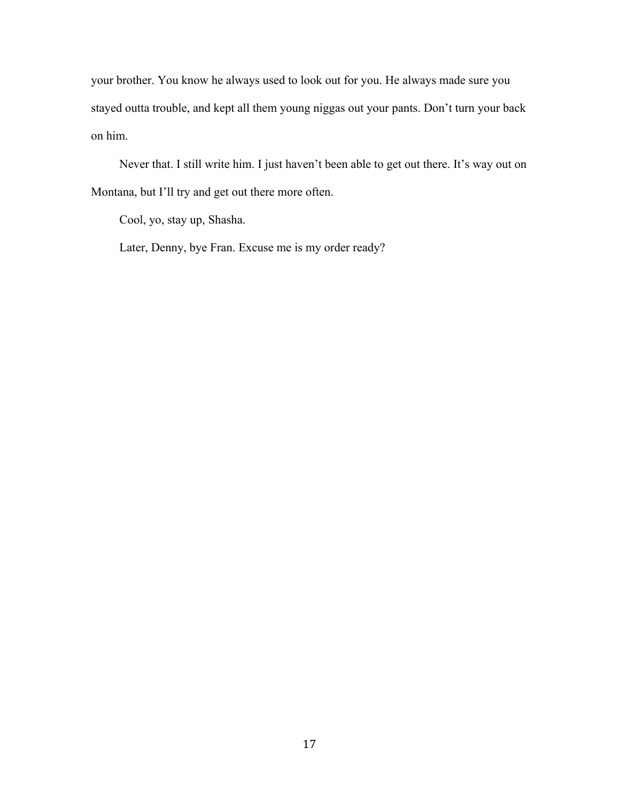your brother. You know he always used to look out for you. He always made sure you stayed outta trouble, and kept all them young niggas out your pants. Don't turn your back on him.

Never that. I still write him. I just haven't been able to get out there. It's way out on Montana, but I'll try and get out there more often.

Cool, yo, stay up, Shasha.

Later, Denny, bye Fran. Excuse me is my order ready?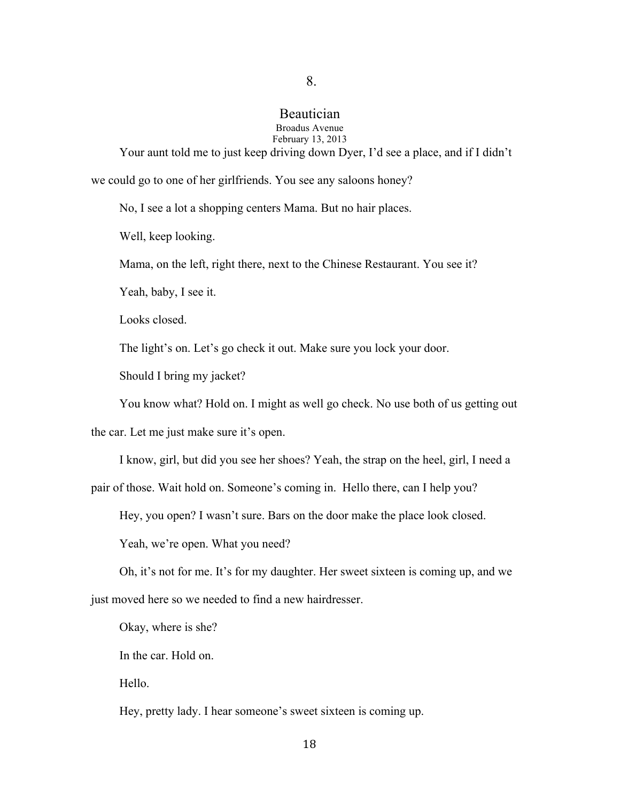#### Beautician Broadus Avenue February 13, 2013

8.

Your aunt told me to just keep driving down Dyer, I'd see a place, and if I didn't we could go to one of her girlfriends. You see any saloons honey?

No, I see a lot a shopping centers Mama. But no hair places.

Well, keep looking.

Mama, on the left, right there, next to the Chinese Restaurant. You see it?

Yeah, baby, I see it.

Looks closed.

The light's on. Let's go check it out. Make sure you lock your door.

Should I bring my jacket?

You know what? Hold on. I might as well go check. No use both of us getting out

the car. Let me just make sure it's open.

I know, girl, but did you see her shoes? Yeah, the strap on the heel, girl, I need a

pair of those. Wait hold on. Someone's coming in. Hello there, can I help you?

Hey, you open? I wasn't sure. Bars on the door make the place look closed.

Yeah, we're open. What you need?

Oh, it's not for me. It's for my daughter. Her sweet sixteen is coming up, and we

just moved here so we needed to find a new hairdresser.

Okay, where is she?

In the car. Hold on.

Hello.

Hey, pretty lady. I hear someone's sweet sixteen is coming up.

18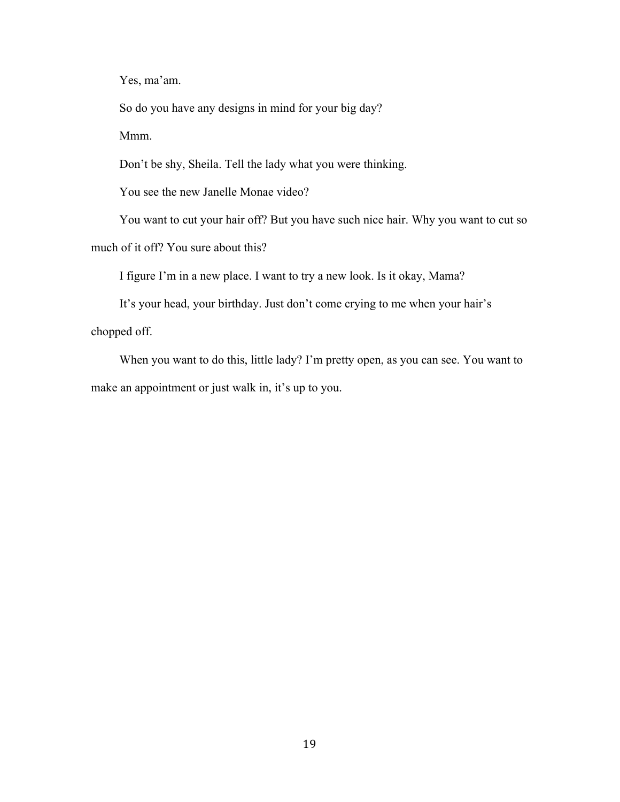Yes, ma'am.

So do you have any designs in mind for your big day? Mmm.

Don't be shy, Sheila. Tell the lady what you were thinking.

You see the new Janelle Monae video?

You want to cut your hair off? But you have such nice hair. Why you want to cut so much of it off? You sure about this?

I figure I'm in a new place. I want to try a new look. Is it okay, Mama?

It's your head, your birthday. Just don't come crying to me when your hair's chopped off.

When you want to do this, little lady? I'm pretty open, as you can see. You want to make an appointment or just walk in, it's up to you.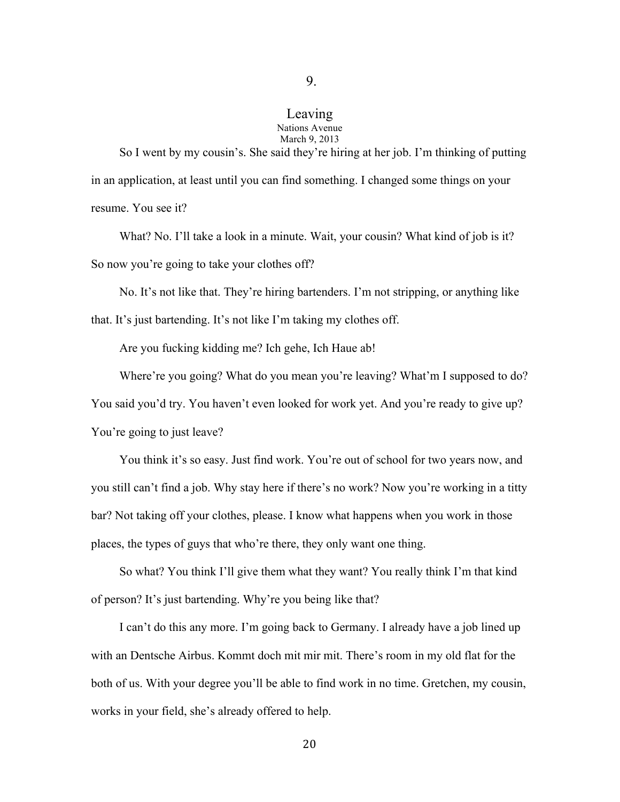#### Leaving Nations Avenue March 9, 2013

So I went by my cousin's. She said they're hiring at her job. I'm thinking of putting in an application, at least until you can find something. I changed some things on your resume. You see it?

What? No. I'll take a look in a minute. Wait, your cousin? What kind of job is it? So now you're going to take your clothes off?

No. It's not like that. They're hiring bartenders. I'm not stripping, or anything like that. It's just bartending. It's not like I'm taking my clothes off.

Are you fucking kidding me? Ich gehe, Ich Haue ab!

Where're you going? What do you mean you're leaving? What'm I supposed to do? You said you'd try. You haven't even looked for work yet. And you're ready to give up? You're going to just leave?

You think it's so easy. Just find work. You're out of school for two years now, and you still can't find a job. Why stay here if there's no work? Now you're working in a titty bar? Not taking off your clothes, please. I know what happens when you work in those places, the types of guys that who're there, they only want one thing.

So what? You think I'll give them what they want? You really think I'm that kind of person? It's just bartending. Why're you being like that?

I can't do this any more. I'm going back to Germany. I already have a job lined up with an Dentsche Airbus. Kommt doch mit mir mit. There's room in my old flat for the both of us. With your degree you'll be able to find work in no time. Gretchen, my cousin, works in your field, she's already offered to help.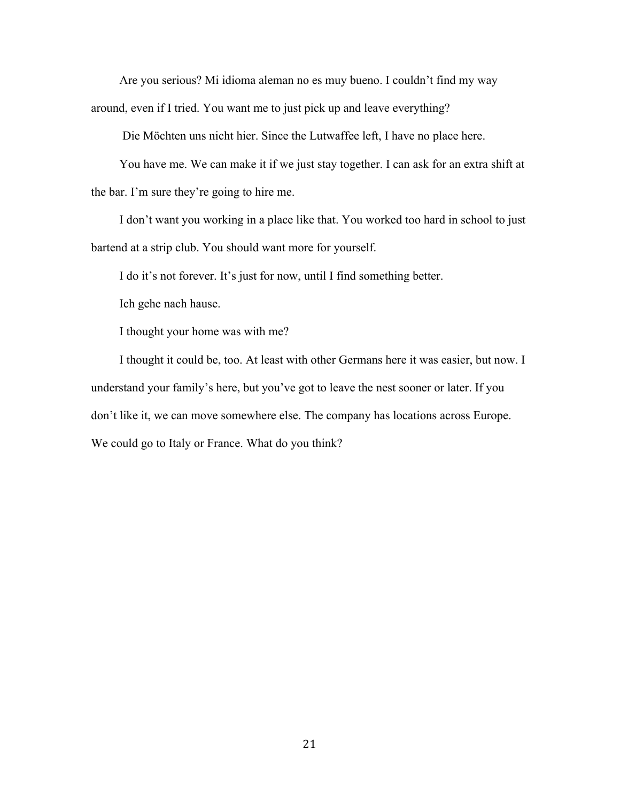Are you serious? Mi idioma aleman no es muy bueno. I couldn't find my way around, even if I tried. You want me to just pick up and leave everything?

Die Möchten uns nicht hier. Since the Lutwaffee left, I have no place here.

You have me. We can make it if we just stay together. I can ask for an extra shift at the bar. I'm sure they're going to hire me.

I don't want you working in a place like that. You worked too hard in school to just bartend at a strip club. You should want more for yourself.

I do it's not forever. It's just for now, until I find something better.

Ich gehe nach hause.

I thought your home was with me?

I thought it could be, too. At least with other Germans here it was easier, but now. I understand your family's here, but you've got to leave the nest sooner or later. If you don't like it, we can move somewhere else. The company has locations across Europe. We could go to Italy or France. What do you think?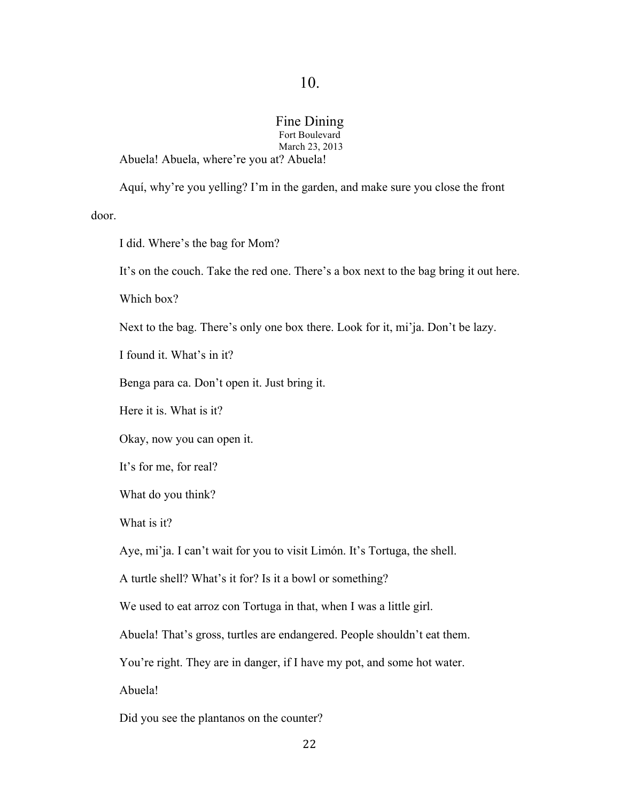## Fine Dining

Fort Boulevard March 23, 2013 Abuela! Abuela, where're you at? Abuela!

Aquí, why're you yelling? I'm in the garden, and make sure you close the front door.

I did. Where's the bag for Mom?

It's on the couch. Take the red one. There's a box next to the bag bring it out here.

Which box?

Next to the bag. There's only one box there. Look for it, mi'ja. Don't be lazy.

I found it. What's in it?

Benga para ca. Don't open it. Just bring it.

Here it is. What is it?

Okay, now you can open it.

It's for me, for real?

What do you think?

What is it?

Aye, mi'ja. I can't wait for you to visit Limón. It's Tortuga, the shell.

A turtle shell? What's it for? Is it a bowl or something?

We used to eat arroz con Tortuga in that, when I was a little girl.

Abuela! That's gross, turtles are endangered. People shouldn't eat them.

You're right. They are in danger, if I have my pot, and some hot water.

Abuela!

Did you see the plantanos on the counter?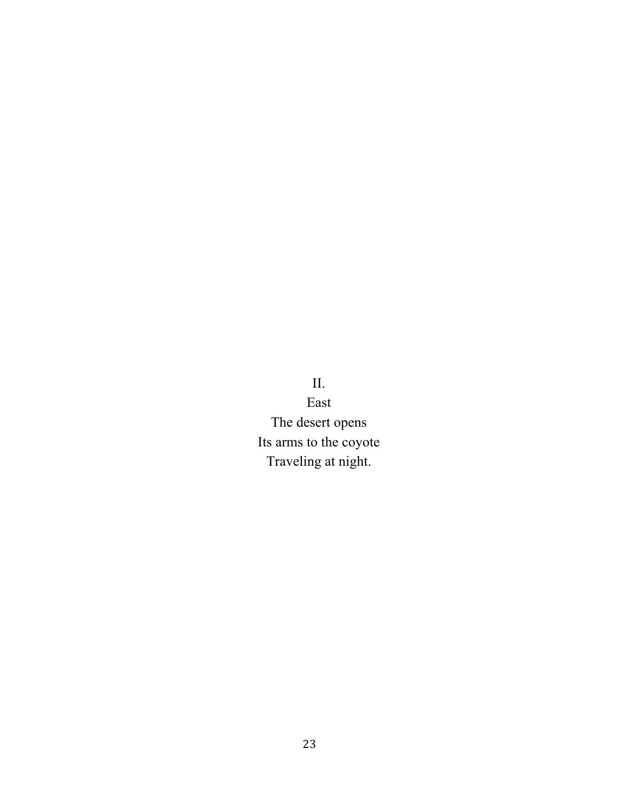II. East The desert opens Its arms to the coyote Traveling at night.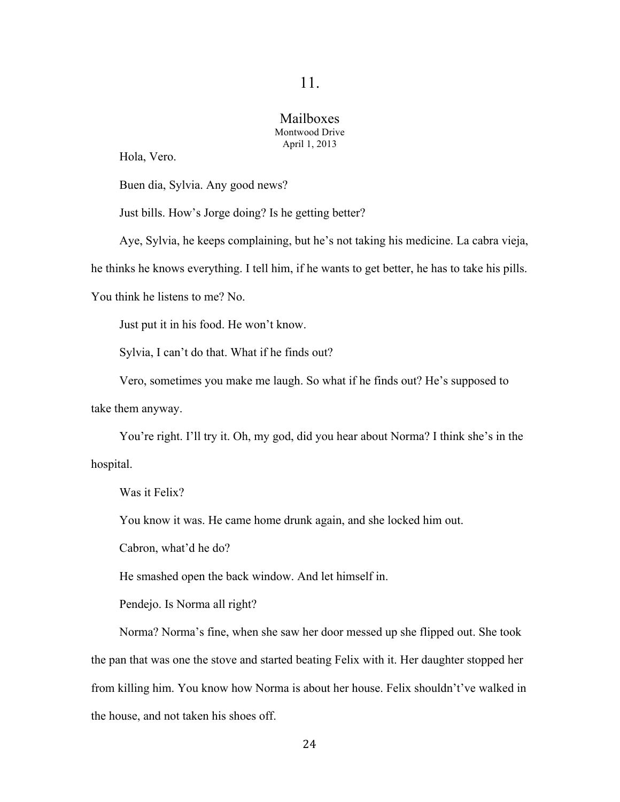## Mailboxes Montwood Drive April 1, 2013

Hola, Vero.

Buen dia, Sylvia. Any good news?

Just bills. How's Jorge doing? Is he getting better?

Aye, Sylvia, he keeps complaining, but he's not taking his medicine. La cabra vieja,

he thinks he knows everything. I tell him, if he wants to get better, he has to take his pills.

You think he listens to me? No.

Just put it in his food. He won't know.

Sylvia, I can't do that. What if he finds out?

Vero, sometimes you make me laugh. So what if he finds out? He's supposed to

take them anyway.

You're right. I'll try it. Oh, my god, did you hear about Norma? I think she's in the hospital.

Was it Felix?

You know it was. He came home drunk again, and she locked him out.

Cabron, what'd he do?

He smashed open the back window. And let himself in.

Pendejo. Is Norma all right?

Norma? Norma's fine, when she saw her door messed up she flipped out. She took the pan that was one the stove and started beating Felix with it. Her daughter stopped her from killing him. You know how Norma is about her house. Felix shouldn't've walked in the house, and not taken his shoes off.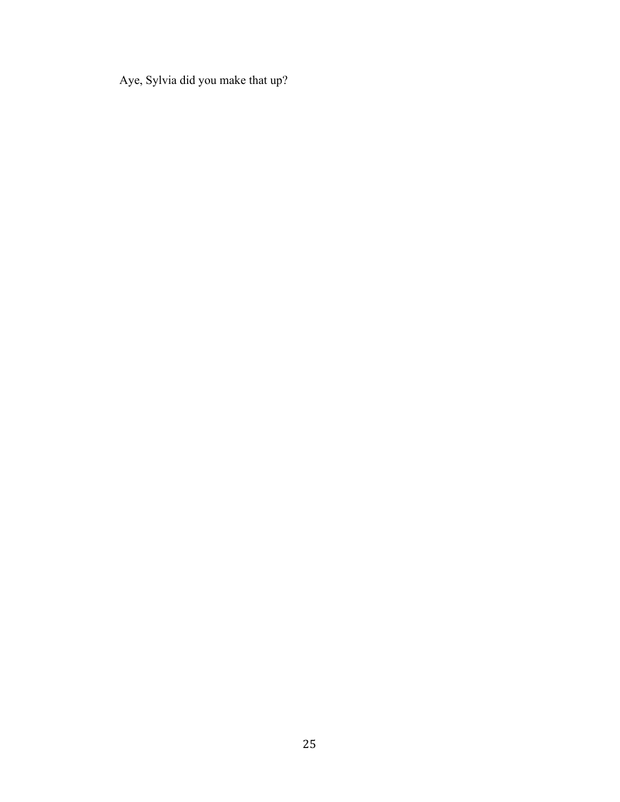Aye, Sylvia did you make that up?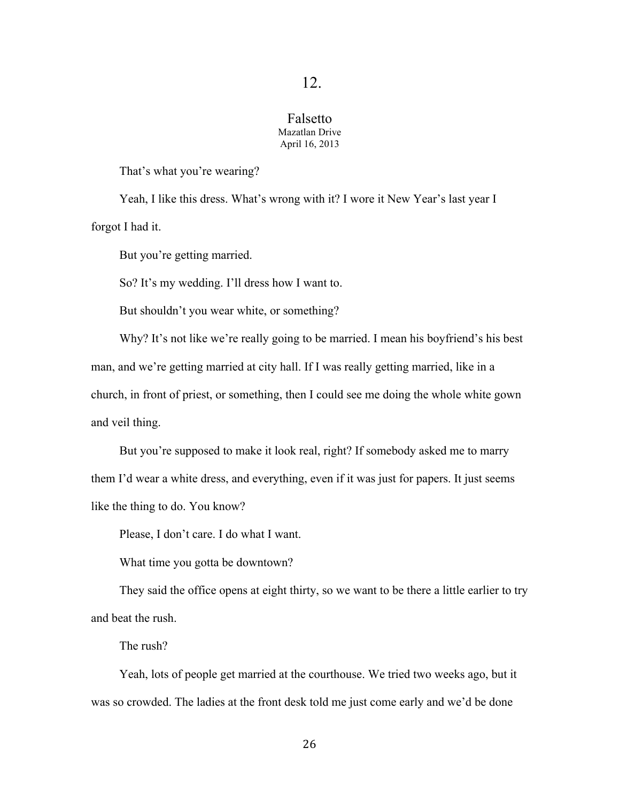### Falsetto Mazatlan Drive April 16, 2013

That's what you're wearing?

Yeah, I like this dress. What's wrong with it? I wore it New Year's last year I forgot I had it.

But you're getting married.

So? It's my wedding. I'll dress how I want to.

But shouldn't you wear white, or something?

Why? It's not like we're really going to be married. I mean his boyfriend's his best man, and we're getting married at city hall. If I was really getting married, like in a church, in front of priest, or something, then I could see me doing the whole white gown and veil thing.

But you're supposed to make it look real, right? If somebody asked me to marry them I'd wear a white dress, and everything, even if it was just for papers. It just seems like the thing to do. You know?

Please, I don't care. I do what I want.

What time you gotta be downtown?

They said the office opens at eight thirty, so we want to be there a little earlier to try and beat the rush.

The rush?

Yeah, lots of people get married at the courthouse. We tried two weeks ago, but it was so crowded. The ladies at the front desk told me just come early and we'd be done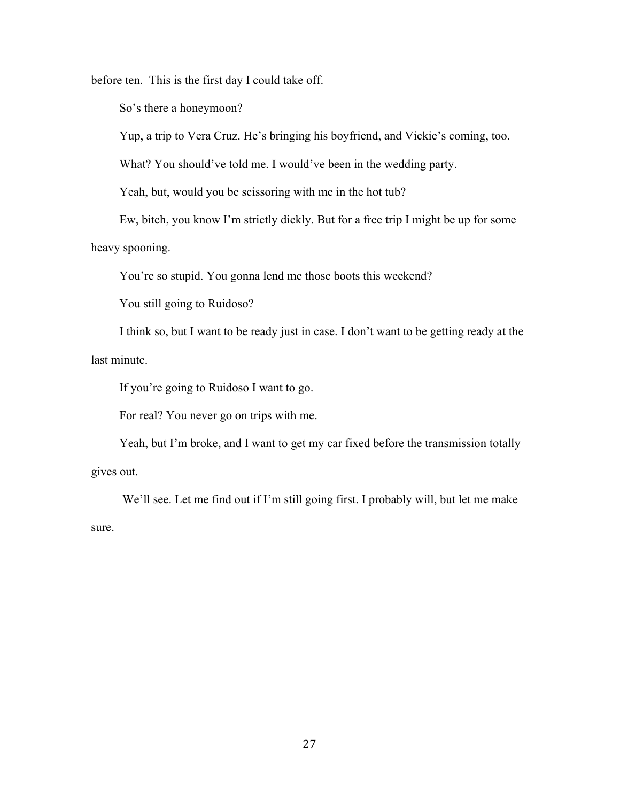before ten. This is the first day I could take off.

So's there a honeymoon?

Yup, a trip to Vera Cruz. He's bringing his boyfriend, and Vickie's coming, too.

What? You should've told me. I would've been in the wedding party.

Yeah, but, would you be scissoring with me in the hot tub?

Ew, bitch, you know I'm strictly dickly. But for a free trip I might be up for some

heavy spooning.

You're so stupid. You gonna lend me those boots this weekend?

You still going to Ruidoso?

I think so, but I want to be ready just in case. I don't want to be getting ready at the last minute.

If you're going to Ruidoso I want to go.

For real? You never go on trips with me.

Yeah, but I'm broke, and I want to get my car fixed before the transmission totally gives out.

We'll see. Let me find out if I'm still going first. I probably will, but let me make sure.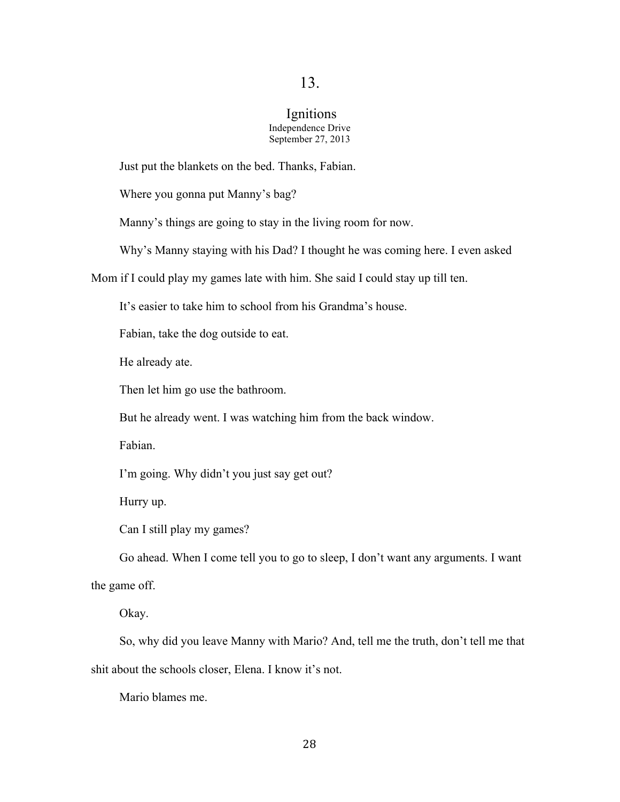### Ignitions Independence Drive September 27, 2013

Just put the blankets on the bed. Thanks, Fabian.

Where you gonna put Manny's bag?

Manny's things are going to stay in the living room for now.

Why's Manny staying with his Dad? I thought he was coming here. I even asked

Mom if I could play my games late with him. She said I could stay up till ten.

It's easier to take him to school from his Grandma's house.

Fabian, take the dog outside to eat.

He already ate.

Then let him go use the bathroom.

But he already went. I was watching him from the back window.

Fabian.

I'm going. Why didn't you just say get out?

Hurry up.

Can I still play my games?

Go ahead. When I come tell you to go to sleep, I don't want any arguments. I want the game off.

Okay.

So, why did you leave Manny with Mario? And, tell me the truth, don't tell me that shit about the schools closer, Elena. I know it's not.

Mario blames me.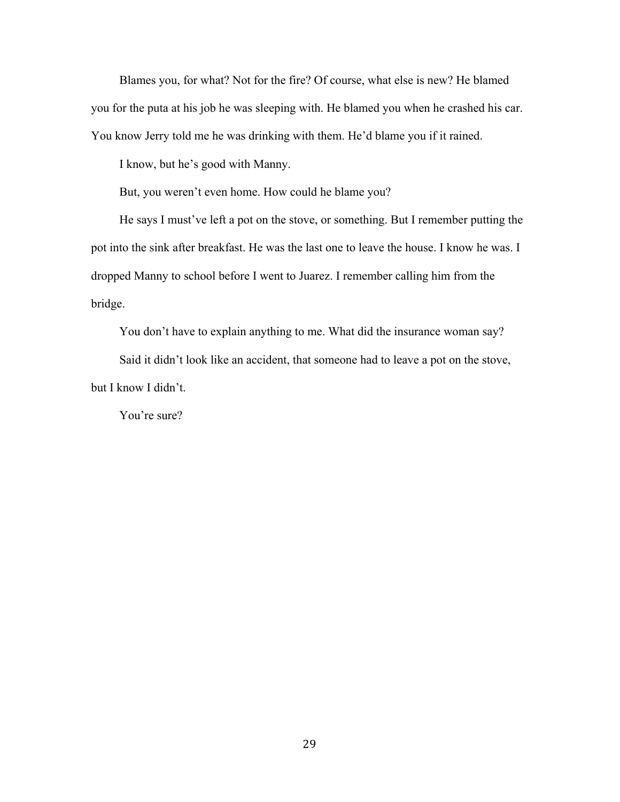Blames you, for what? Not for the fire? Of course, what else is new? He blamed you for the puta at his job he was sleeping with. He blamed you when he crashed his car. You know Jerry told me he was drinking with them. He'd blame you if it rained.

I know, but he's good with Manny.

But, you weren't even home. How could he blame you?

He says I must've left a pot on the stove, or something. But I remember putting the pot into the sink after breakfast. He was the last one to leave the house. I know he was. I dropped Manny to school before I went to Juarez. I remember calling him from the bridge.

You don't have to explain anything to me. What did the insurance woman say?

Said it didn't look like an accident, that someone had to leave a pot on the stove, but I know I didn't.

You're sure?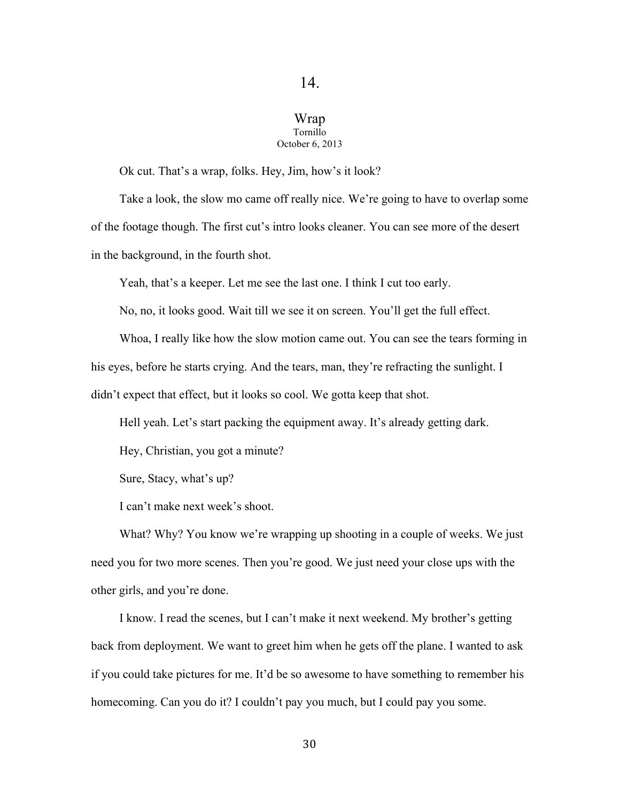## Wrap Tornillo October 6, 2013

Ok cut. That's a wrap, folks. Hey, Jim, how's it look?

Take a look, the slow mo came off really nice. We're going to have to overlap some of the footage though. The first cut's intro looks cleaner. You can see more of the desert in the background, in the fourth shot.

Yeah, that's a keeper. Let me see the last one. I think I cut too early.

No, no, it looks good. Wait till we see it on screen. You'll get the full effect.

Whoa, I really like how the slow motion came out. You can see the tears forming in his eyes, before he starts crying. And the tears, man, they're refracting the sunlight. I didn't expect that effect, but it looks so cool. We gotta keep that shot.

Hell yeah. Let's start packing the equipment away. It's already getting dark.

Hey, Christian, you got a minute?

Sure, Stacy, what's up?

I can't make next week's shoot.

What? Why? You know we're wrapping up shooting in a couple of weeks. We just need you for two more scenes. Then you're good. We just need your close ups with the other girls, and you're done.

I know. I read the scenes, but I can't make it next weekend. My brother's getting back from deployment. We want to greet him when he gets off the plane. I wanted to ask if you could take pictures for me. It'd be so awesome to have something to remember his homecoming. Can you do it? I couldn't pay you much, but I could pay you some.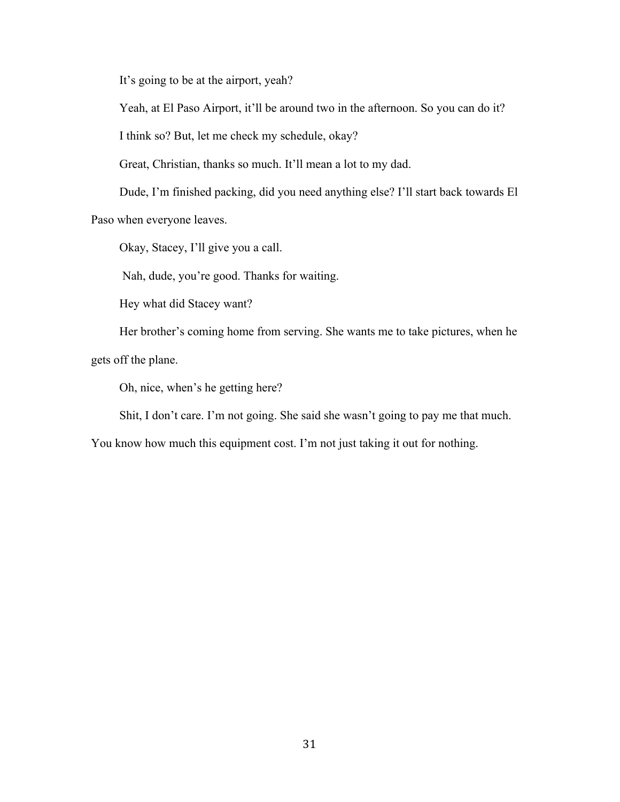It's going to be at the airport, yeah?

Yeah, at El Paso Airport, it'll be around two in the afternoon. So you can do it?

I think so? But, let me check my schedule, okay?

Great, Christian, thanks so much. It'll mean a lot to my dad.

Dude, I'm finished packing, did you need anything else? I'll start back towards El

Paso when everyone leaves.

Okay, Stacey, I'll give you a call.

Nah, dude, you're good. Thanks for waiting.

Hey what did Stacey want?

Her brother's coming home from serving. She wants me to take pictures, when he gets off the plane.

Oh, nice, when's he getting here?

Shit, I don't care. I'm not going. She said she wasn't going to pay me that much.

You know how much this equipment cost. I'm not just taking it out for nothing.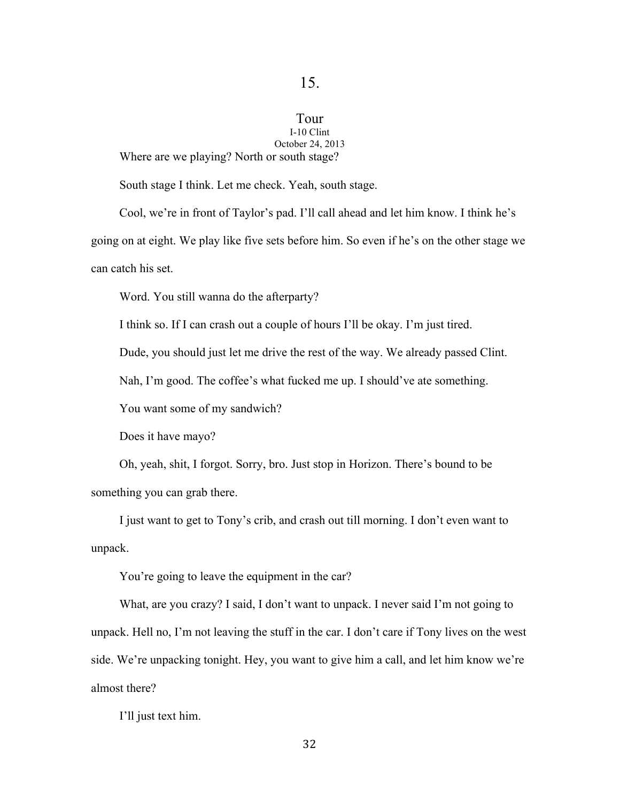#### Tour I-10 Clint

October 24, 2013 Where are we playing? North or south stage?

South stage I think. Let me check. Yeah, south stage.

Cool, we're in front of Taylor's pad. I'll call ahead and let him know. I think he's going on at eight. We play like five sets before him. So even if he's on the other stage we can catch his set.

Word. You still wanna do the afterparty?

I think so. If I can crash out a couple of hours I'll be okay. I'm just tired.

Dude, you should just let me drive the rest of the way. We already passed Clint.

Nah, I'm good. The coffee's what fucked me up. I should've ate something.

You want some of my sandwich?

Does it have mayo?

Oh, yeah, shit, I forgot. Sorry, bro. Just stop in Horizon. There's bound to be something you can grab there.

I just want to get to Tony's crib, and crash out till morning. I don't even want to unpack.

You're going to leave the equipment in the car?

What, are you crazy? I said, I don't want to unpack. I never said I'm not going to unpack. Hell no, I'm not leaving the stuff in the car. I don't care if Tony lives on the west side. We're unpacking tonight. Hey, you want to give him a call, and let him know we're almost there?

I'll just text him.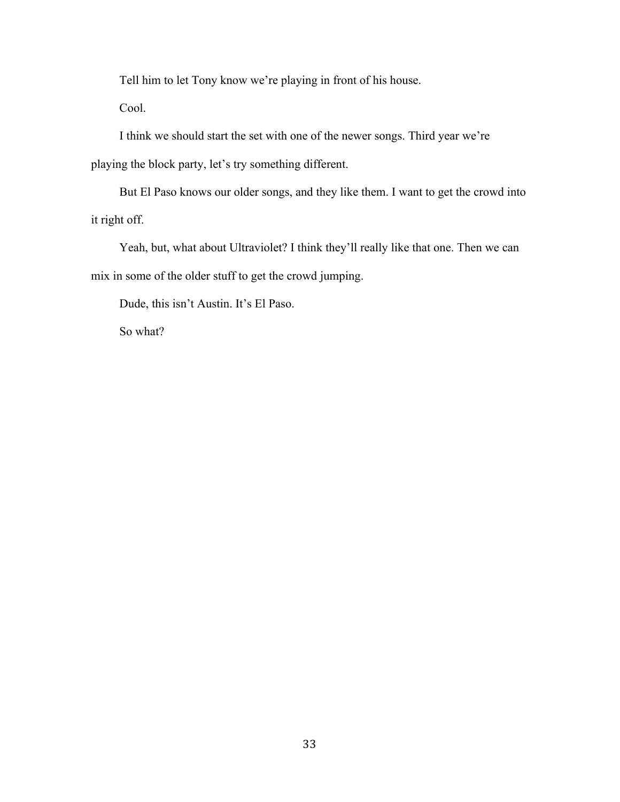Tell him to let Tony know we're playing in front of his house.

Cool.

I think we should start the set with one of the newer songs. Third year we're playing the block party, let's try something different.

But El Paso knows our older songs, and they like them. I want to get the crowd into it right off.

Yeah, but, what about Ultraviolet? I think they'll really like that one. Then we can mix in some of the older stuff to get the crowd jumping.

Dude, this isn't Austin. It's El Paso.

So what?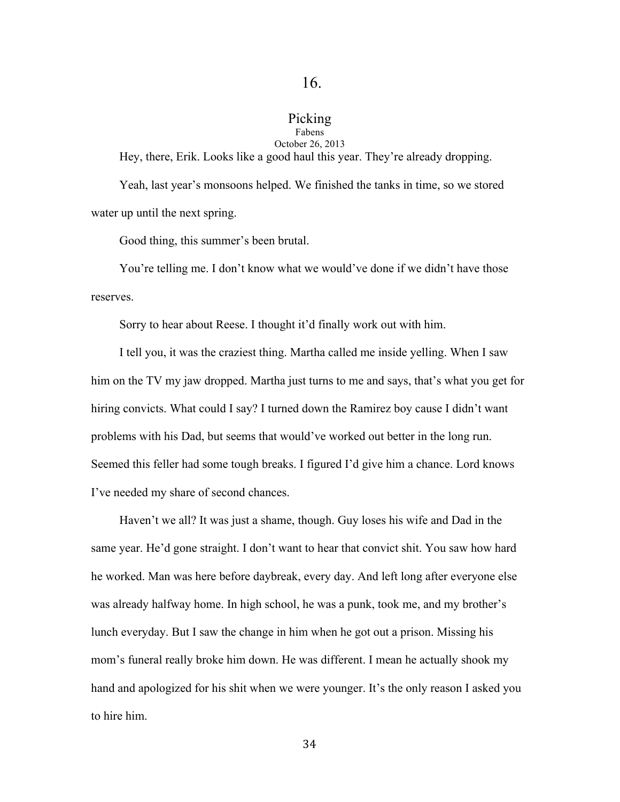# Picking

#### Fabens October 26, 2013

Hey, there, Erik. Looks like a good haul this year. They're already dropping.

Yeah, last year's monsoons helped. We finished the tanks in time, so we stored water up until the next spring.

Good thing, this summer's been brutal.

You're telling me. I don't know what we would've done if we didn't have those reserves.

Sorry to hear about Reese. I thought it'd finally work out with him.

I tell you, it was the craziest thing. Martha called me inside yelling. When I saw him on the TV my jaw dropped. Martha just turns to me and says, that's what you get for hiring convicts. What could I say? I turned down the Ramirez boy cause I didn't want problems with his Dad, but seems that would've worked out better in the long run. Seemed this feller had some tough breaks. I figured I'd give him a chance. Lord knows I've needed my share of second chances.

Haven't we all? It was just a shame, though. Guy loses his wife and Dad in the same year. He'd gone straight. I don't want to hear that convict shit. You saw how hard he worked. Man was here before daybreak, every day. And left long after everyone else was already halfway home. In high school, he was a punk, took me, and my brother's lunch everyday. But I saw the change in him when he got out a prison. Missing his mom's funeral really broke him down. He was different. I mean he actually shook my hand and apologized for his shit when we were younger. It's the only reason I asked you to hire him.

34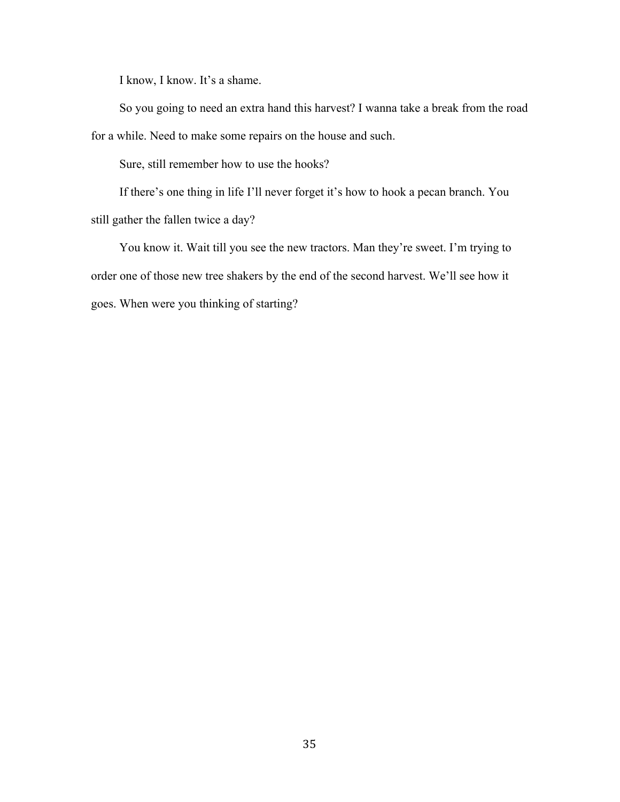I know, I know. It's a shame.

So you going to need an extra hand this harvest? I wanna take a break from the road for a while. Need to make some repairs on the house and such.

Sure, still remember how to use the hooks?

If there's one thing in life I'll never forget it's how to hook a pecan branch. You still gather the fallen twice a day?

You know it. Wait till you see the new tractors. Man they're sweet. I'm trying to order one of those new tree shakers by the end of the second harvest. We'll see how it goes. When were you thinking of starting?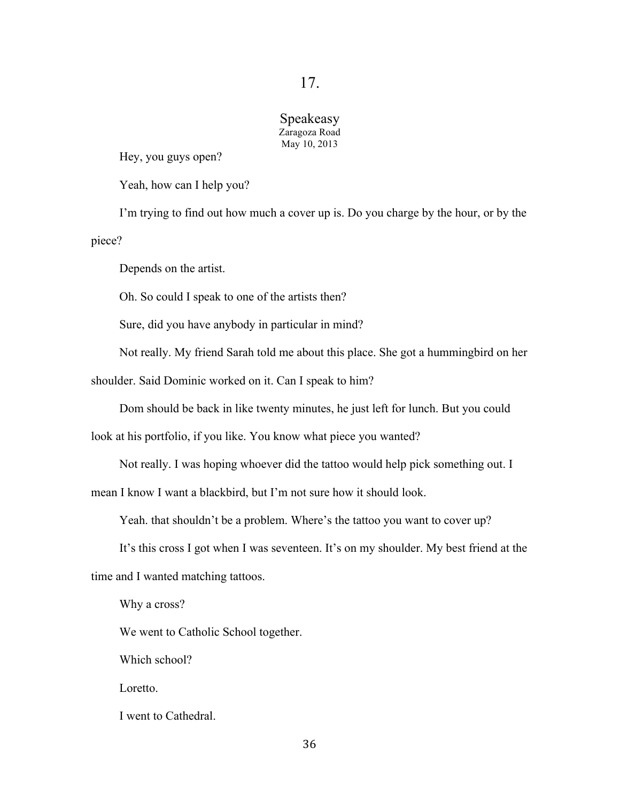#### Speakeasy Zaragoza Road May 10, 2013

Hey, you guys open?

Yeah, how can I help you?

I'm trying to find out how much a cover up is. Do you charge by the hour, or by the piece?

Depends on the artist.

Oh. So could I speak to one of the artists then?

Sure, did you have anybody in particular in mind?

Not really. My friend Sarah told me about this place. She got a hummingbird on her

shoulder. Said Dominic worked on it. Can I speak to him?

Dom should be back in like twenty minutes, he just left for lunch. But you could

look at his portfolio, if you like. You know what piece you wanted?

Not really. I was hoping whoever did the tattoo would help pick something out. I

mean I know I want a blackbird, but I'm not sure how it should look.

Yeah. that shouldn't be a problem. Where's the tattoo you want to cover up?

It's this cross I got when I was seventeen. It's on my shoulder. My best friend at the

time and I wanted matching tattoos.

Why a cross?

We went to Catholic School together.

Which school?

Loretto.

I went to Cathedral.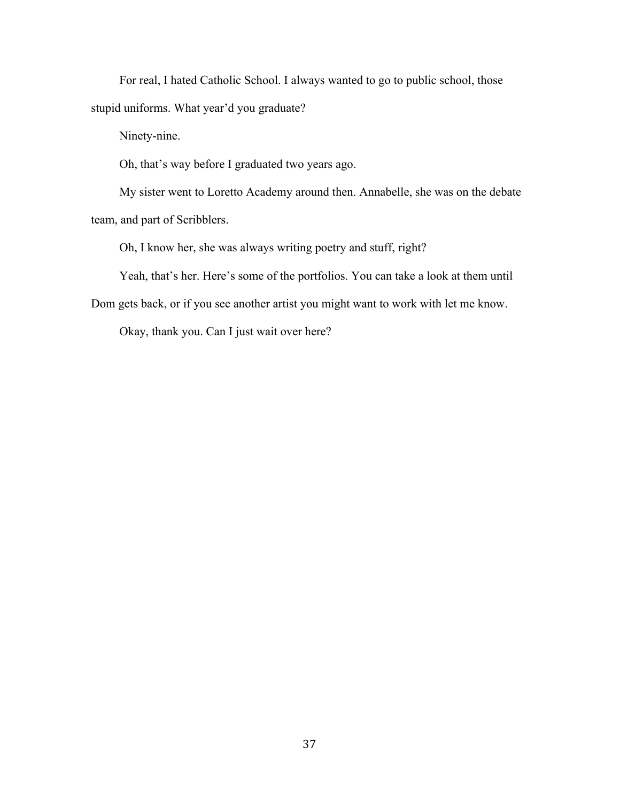For real, I hated Catholic School. I always wanted to go to public school, those stupid uniforms. What year'd you graduate?

Ninety-nine.

Oh, that's way before I graduated two years ago.

My sister went to Loretto Academy around then. Annabelle, she was on the debate team, and part of Scribblers.

Oh, I know her, she was always writing poetry and stuff, right?

Yeah, that's her. Here's some of the portfolios. You can take a look at them until

Dom gets back, or if you see another artist you might want to work with let me know.

Okay, thank you. Can I just wait over here?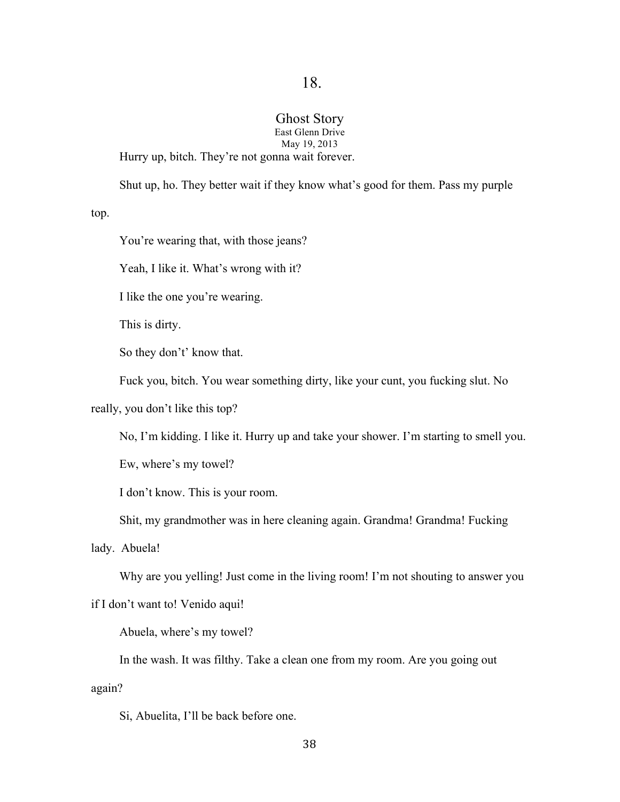## Ghost Story

East Glenn Drive May 19, 2013

Hurry up, bitch. They're not gonna wait forever.

Shut up, ho. They better wait if they know what's good for them. Pass my purple

top.

You're wearing that, with those jeans?

Yeah, I like it. What's wrong with it?

I like the one you're wearing.

This is dirty.

So they don't' know that.

Fuck you, bitch. You wear something dirty, like your cunt, you fucking slut. No

really, you don't like this top?

No, I'm kidding. I like it. Hurry up and take your shower. I'm starting to smell you.

Ew, where's my towel?

I don't know. This is your room.

Shit, my grandmother was in here cleaning again. Grandma! Grandma! Fucking

lady. Abuela!

Why are you yelling! Just come in the living room! I'm not shouting to answer you

if I don't want to! Venido aqui!

Abuela, where's my towel?

In the wash. It was filthy. Take a clean one from my room. Are you going out

again?

Si, Abuelita, I'll be back before one.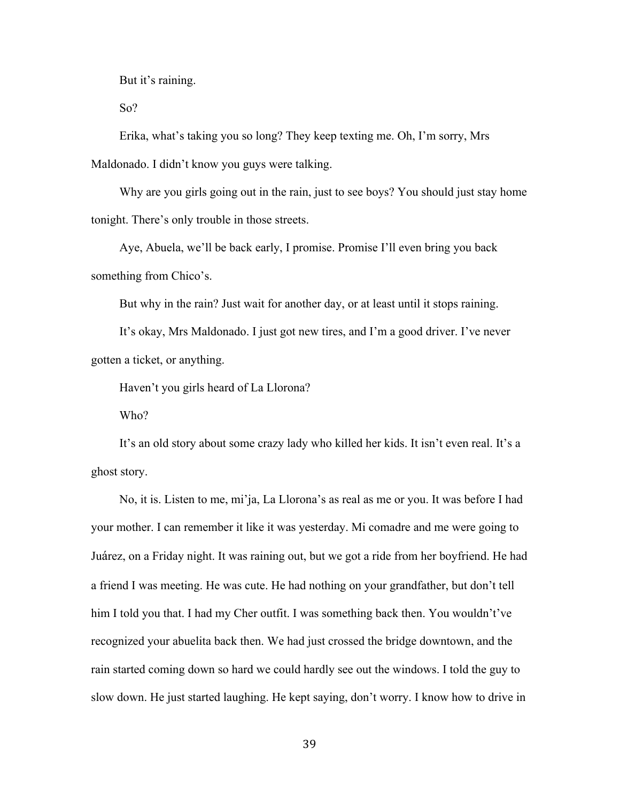But it's raining.

So?

Erika, what's taking you so long? They keep texting me. Oh, I'm sorry, Mrs Maldonado. I didn't know you guys were talking.

Why are you girls going out in the rain, just to see boys? You should just stay home tonight. There's only trouble in those streets.

Aye, Abuela, we'll be back early, I promise. Promise I'll even bring you back something from Chico's.

But why in the rain? Just wait for another day, or at least until it stops raining.

It's okay, Mrs Maldonado. I just got new tires, and I'm a good driver. I've never gotten a ticket, or anything.

Haven't you girls heard of La Llorona?

Who?

It's an old story about some crazy lady who killed her kids. It isn't even real. It's a ghost story.

No, it is. Listen to me, mi'ja, La Llorona's as real as me or you. It was before I had your mother. I can remember it like it was yesterday. Mi comadre and me were going to Juárez, on a Friday night. It was raining out, but we got a ride from her boyfriend. He had a friend I was meeting. He was cute. He had nothing on your grandfather, but don't tell him I told you that. I had my Cher outfit. I was something back then. You wouldn't've recognized your abuelita back then. We had just crossed the bridge downtown, and the rain started coming down so hard we could hardly see out the windows. I told the guy to slow down. He just started laughing. He kept saying, don't worry. I know how to drive in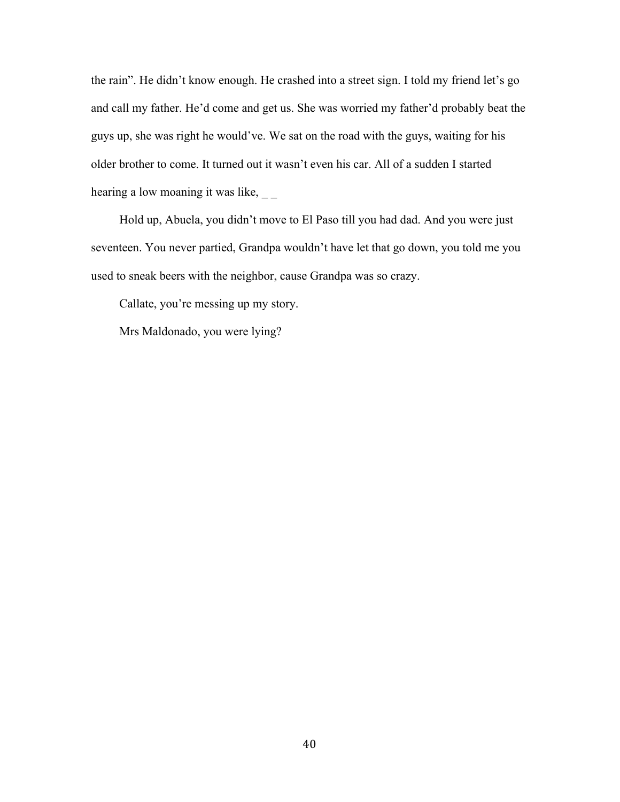the rain". He didn't know enough. He crashed into a street sign. I told my friend let's go and call my father. He'd come and get us. She was worried my father'd probably beat the guys up, she was right he would've. We sat on the road with the guys, waiting for his older brother to come. It turned out it wasn't even his car. All of a sudden I started hearing a low moaning it was like, \_\_

Hold up, Abuela, you didn't move to El Paso till you had dad. And you were just seventeen. You never partied, Grandpa wouldn't have let that go down, you told me you used to sneak beers with the neighbor, cause Grandpa was so crazy.

Callate, you're messing up my story.

Mrs Maldonado, you were lying?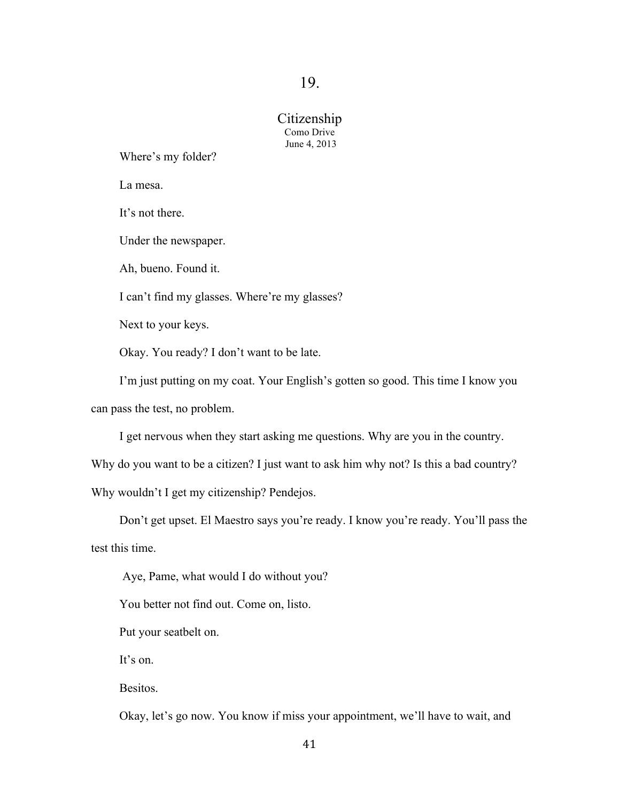## Citizenship Como Drive June 4, 2013

Where's my folder?

La mesa.

It's not there.

Under the newspaper.

Ah, bueno. Found it.

I can't find my glasses. Where're my glasses?

Next to your keys.

Okay. You ready? I don't want to be late.

I'm just putting on my coat. Your English's gotten so good. This time I know you can pass the test, no problem.

I get nervous when they start asking me questions. Why are you in the country.

Why do you want to be a citizen? I just want to ask him why not? Is this a bad country?

Why wouldn't I get my citizenship? Pendejos.

Don't get upset. El Maestro says you're ready. I know you're ready. You'll pass the test this time.

Aye, Pame, what would I do without you?

You better not find out. Come on, listo.

Put your seatbelt on.

It's on.

**Besitos**.

Okay, let's go now. You know if miss your appointment, we'll have to wait, and

41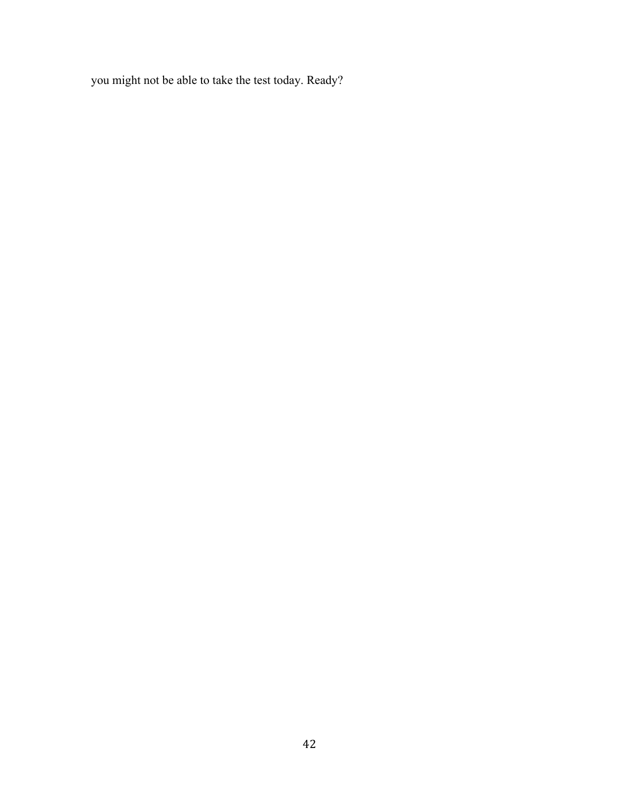you might not be able to take the test today. Ready?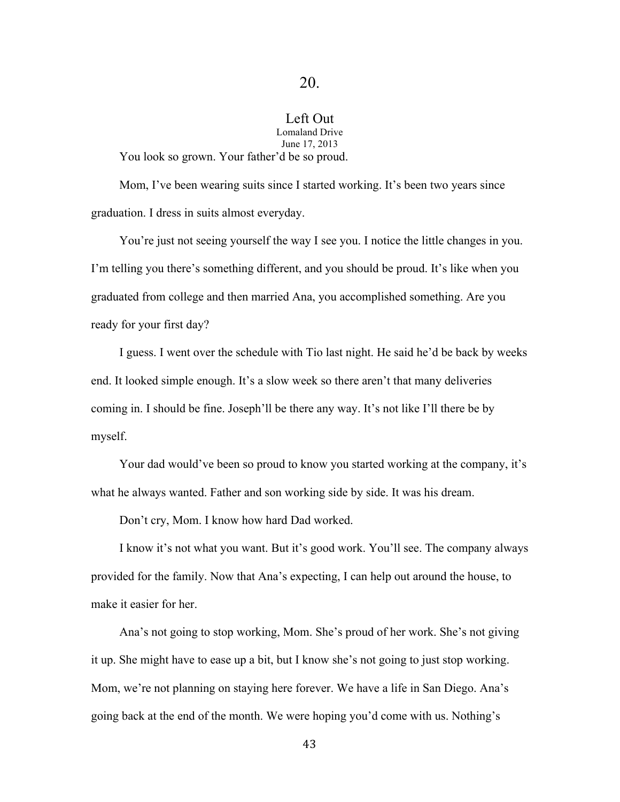## Left Out

Lomaland Drive June 17, 2013 You look so grown. Your father'd be so proud.

Mom, I've been wearing suits since I started working. It's been two years since graduation. I dress in suits almost everyday.

You're just not seeing yourself the way I see you. I notice the little changes in you. I'm telling you there's something different, and you should be proud. It's like when you graduated from college and then married Ana, you accomplished something. Are you ready for your first day?

I guess. I went over the schedule with Tio last night. He said he'd be back by weeks end. It looked simple enough. It's a slow week so there aren't that many deliveries coming in. I should be fine. Joseph'll be there any way. It's not like I'll there be by myself.

Your dad would've been so proud to know you started working at the company, it's what he always wanted. Father and son working side by side. It was his dream.

Don't cry, Mom. I know how hard Dad worked.

I know it's not what you want. But it's good work. You'll see. The company always provided for the family. Now that Ana's expecting, I can help out around the house, to make it easier for her.

Ana's not going to stop working, Mom. She's proud of her work. She's not giving it up. She might have to ease up a bit, but I know she's not going to just stop working. Mom, we're not planning on staying here forever. We have a life in San Diego. Ana's going back at the end of the month. We were hoping you'd come with us. Nothing's

43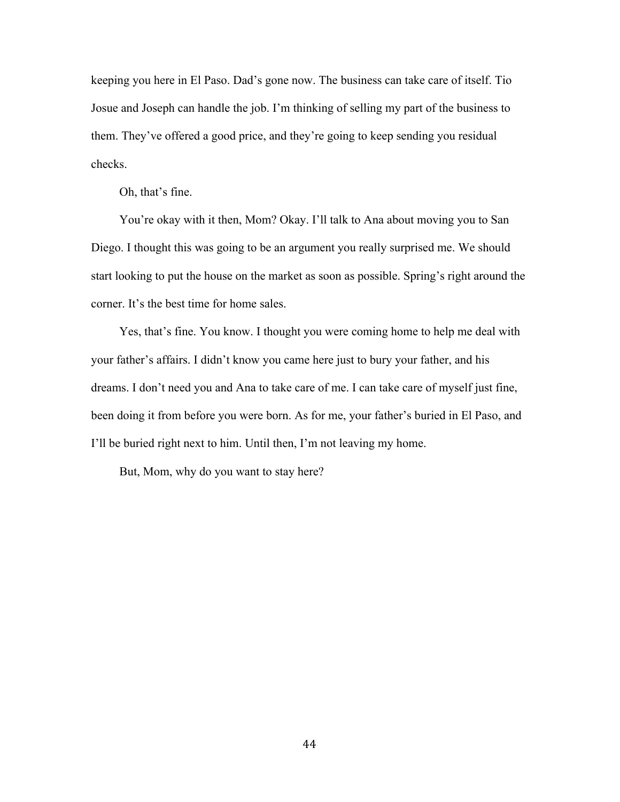keeping you here in El Paso. Dad's gone now. The business can take care of itself. Tio Josue and Joseph can handle the job. I'm thinking of selling my part of the business to them. They've offered a good price, and they're going to keep sending you residual checks.

Oh, that's fine.

You're okay with it then, Mom? Okay. I'll talk to Ana about moving you to San Diego. I thought this was going to be an argument you really surprised me. We should start looking to put the house on the market as soon as possible. Spring's right around the corner. It's the best time for home sales.

Yes, that's fine. You know. I thought you were coming home to help me deal with your father's affairs. I didn't know you came here just to bury your father, and his dreams. I don't need you and Ana to take care of me. I can take care of myself just fine, been doing it from before you were born. As for me, your father's buried in El Paso, and I'll be buried right next to him. Until then, I'm not leaving my home.

But, Mom, why do you want to stay here?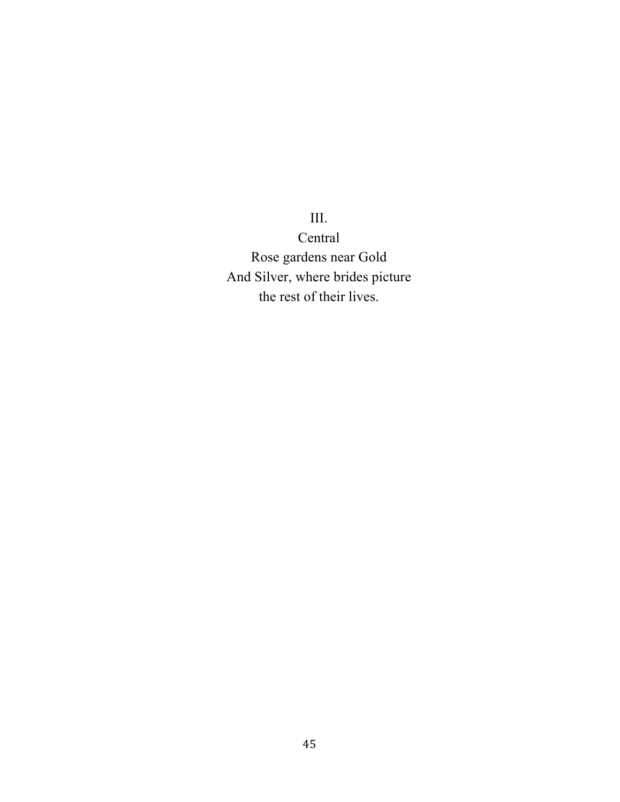III.

Central Rose gardens near Gold And Silver, where brides picture the rest of their lives.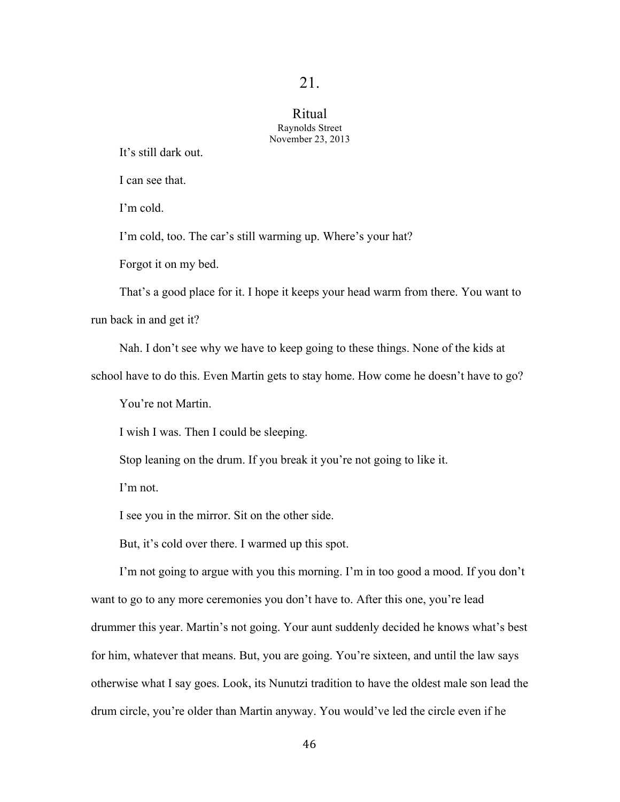### Ritual Raynolds Street November 23, 2013

It's still dark out.

I can see that.

I'm cold.

I'm cold, too. The car's still warming up. Where's your hat?

Forgot it on my bed.

That's a good place for it. I hope it keeps your head warm from there. You want to

run back in and get it?

Nah. I don't see why we have to keep going to these things. None of the kids at

school have to do this. Even Martin gets to stay home. How come he doesn't have to go?

You're not Martin.

I wish I was. Then I could be sleeping.

Stop leaning on the drum. If you break it you're not going to like it.

I'm not.

I see you in the mirror. Sit on the other side.

But, it's cold over there. I warmed up this spot.

I'm not going to argue with you this morning. I'm in too good a mood. If you don't want to go to any more ceremonies you don't have to. After this one, you're lead drummer this year. Martin's not going. Your aunt suddenly decided he knows what's best for him, whatever that means. But, you are going. You're sixteen, and until the law says otherwise what I say goes. Look, its Nunutzi tradition to have the oldest male son lead the drum circle, you're older than Martin anyway. You would've led the circle even if he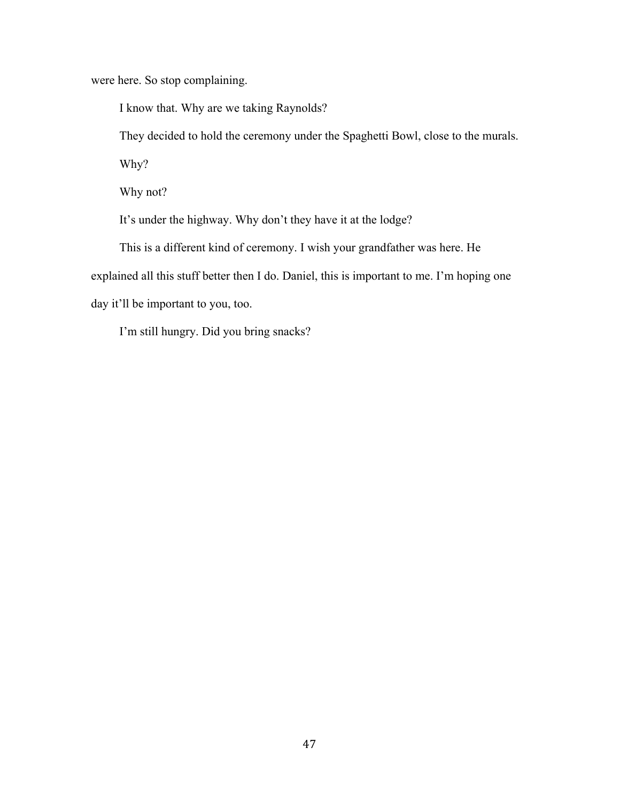were here. So stop complaining.

I know that. Why are we taking Raynolds?

They decided to hold the ceremony under the Spaghetti Bowl, close to the murals.

Why?

Why not?

It's under the highway. Why don't they have it at the lodge?

This is a different kind of ceremony. I wish your grandfather was here. He explained all this stuff better then I do. Daniel, this is important to me. I'm hoping one day it'll be important to you, too.

I'm still hungry. Did you bring snacks?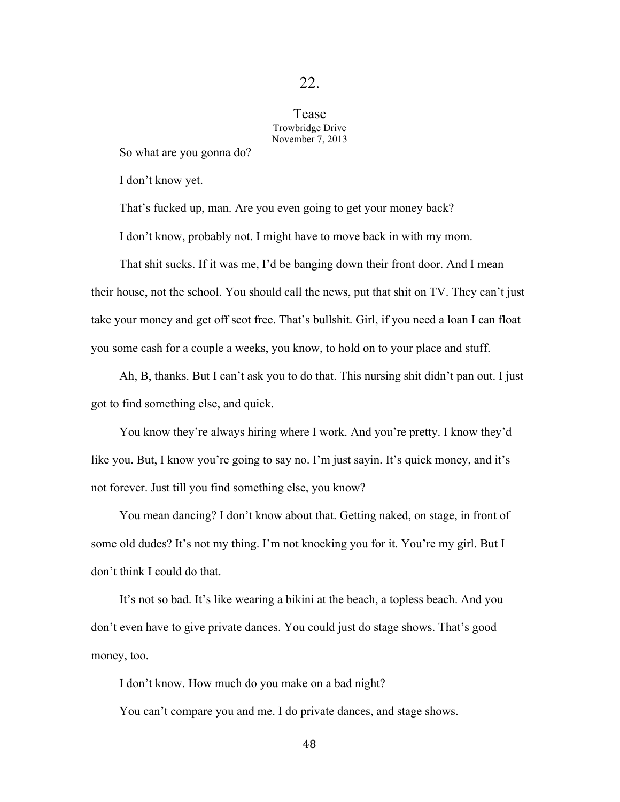Tease Trowbridge Drive November 7, 2013

So what are you gonna do?

I don't know yet.

That's fucked up, man. Are you even going to get your money back?

I don't know, probably not. I might have to move back in with my mom.

That shit sucks. If it was me, I'd be banging down their front door. And I mean their house, not the school. You should call the news, put that shit on TV. They can't just take your money and get off scot free. That's bullshit. Girl, if you need a loan I can float you some cash for a couple a weeks, you know, to hold on to your place and stuff.

Ah, B, thanks. But I can't ask you to do that. This nursing shit didn't pan out. I just got to find something else, and quick.

You know they're always hiring where I work. And you're pretty. I know they'd like you. But, I know you're going to say no. I'm just sayin. It's quick money, and it's not forever. Just till you find something else, you know?

You mean dancing? I don't know about that. Getting naked, on stage, in front of some old dudes? It's not my thing. I'm not knocking you for it. You're my girl. But I don't think I could do that.

It's not so bad. It's like wearing a bikini at the beach, a topless beach. And you don't even have to give private dances. You could just do stage shows. That's good money, too.

I don't know. How much do you make on a bad night?

You can't compare you and me. I do private dances, and stage shows.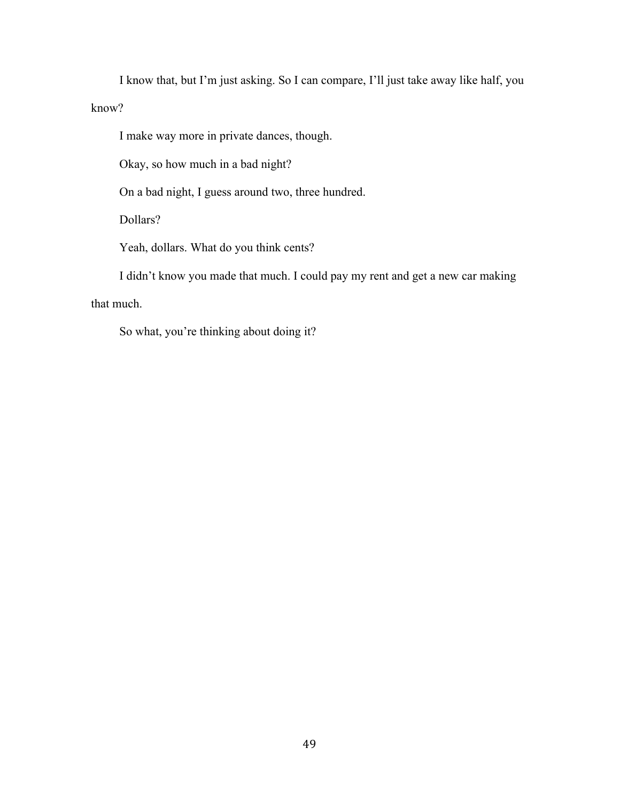I know that, but I'm just asking. So I can compare, I'll just take away like half, you know?

I make way more in private dances, though.

Okay, so how much in a bad night?

On a bad night, I guess around two, three hundred.

Dollars?

Yeah, dollars. What do you think cents?

I didn't know you made that much. I could pay my rent and get a new car making that much.

So what, you're thinking about doing it?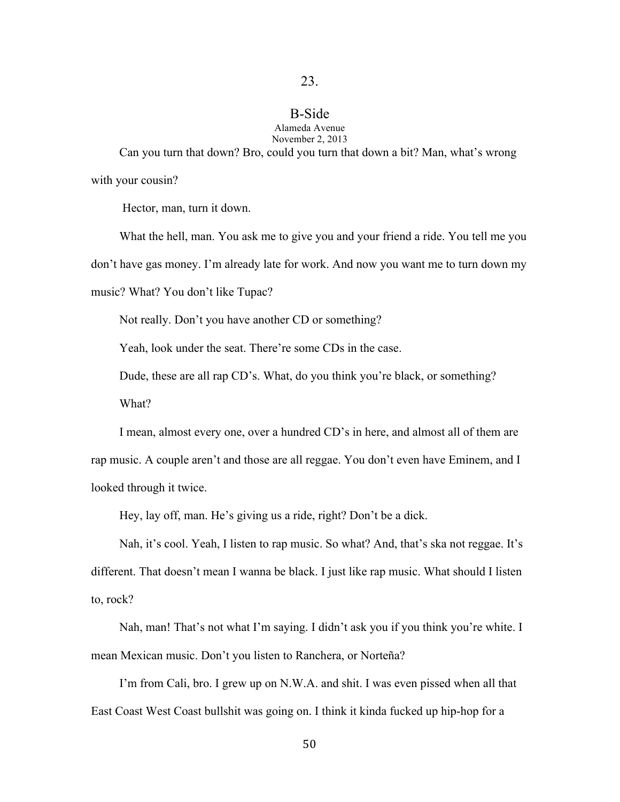## B-Side Alameda Avenue

November 2, 2013 Can you turn that down? Bro, could you turn that down a bit? Man, what's wrong with your cousin?

Hector, man, turn it down.

What the hell, man. You ask me to give you and your friend a ride. You tell me you don't have gas money. I'm already late for work. And now you want me to turn down my music? What? You don't like Tupac?

Not really. Don't you have another CD or something?

Yeah, look under the seat. There're some CDs in the case.

Dude, these are all rap CD's. What, do you think you're black, or something?

What?

I mean, almost every one, over a hundred CD's in here, and almost all of them are rap music. A couple aren't and those are all reggae. You don't even have Eminem, and I looked through it twice.

Hey, lay off, man. He's giving us a ride, right? Don't be a dick.

Nah, it's cool. Yeah, I listen to rap music. So what? And, that's ska not reggae. It's different. That doesn't mean I wanna be black. I just like rap music. What should I listen to, rock?

Nah, man! That's not what I'm saying. I didn't ask you if you think you're white. I mean Mexican music. Don't you listen to Ranchera, or Norteña?

I'm from Cali, bro. I grew up on N.W.A. and shit. I was even pissed when all that East Coast West Coast bullshit was going on. I think it kinda fucked up hip-hop for a

50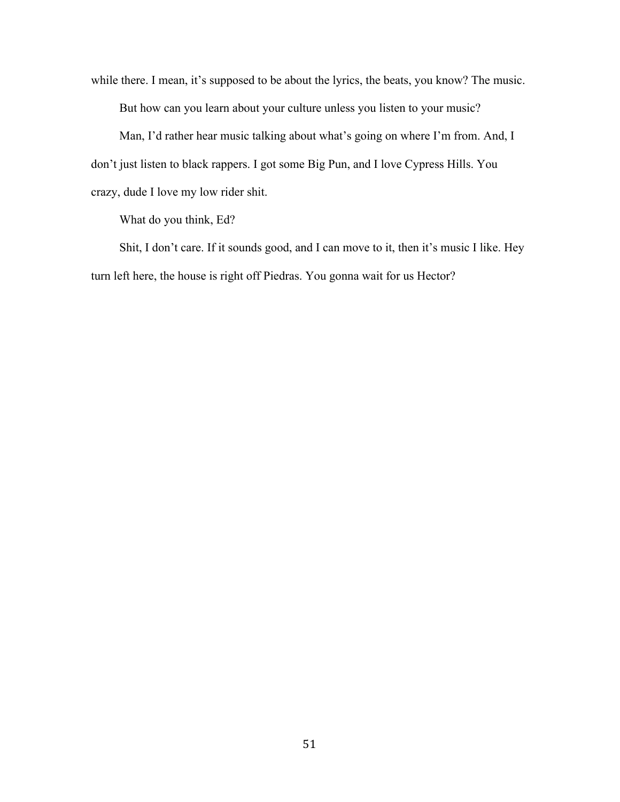while there. I mean, it's supposed to be about the lyrics, the beats, you know? The music. But how can you learn about your culture unless you listen to your music?

Man, I'd rather hear music talking about what's going on where I'm from. And, I don't just listen to black rappers. I got some Big Pun, and I love Cypress Hills. You crazy, dude I love my low rider shit.

What do you think, Ed?

Shit, I don't care. If it sounds good, and I can move to it, then it's music I like. Hey turn left here, the house is right off Piedras. You gonna wait for us Hector?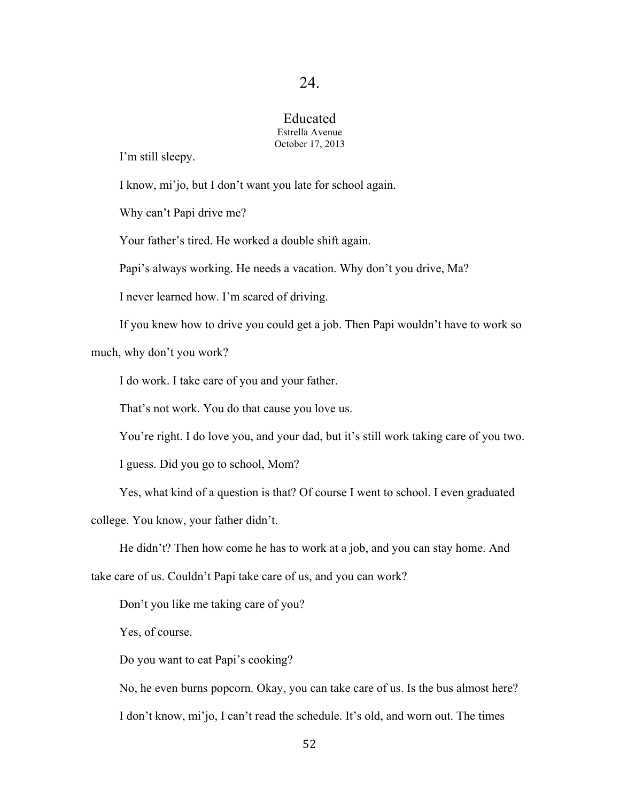### Educated Estrella Avenue October 17, 2013

I'm still sleepy.

I know, mi'jo, but I don't want you late for school again.

Why can't Papi drive me?

Your father's tired. He worked a double shift again.

Papi's always working. He needs a vacation. Why don't you drive, Ma?

I never learned how. I'm scared of driving.

If you knew how to drive you could get a job. Then Papi wouldn't have to work so

much, why don't you work?

I do work. I take care of you and your father.

That's not work. You do that cause you love us.

You're right. I do love you, and your dad, but it's still work taking care of you two.

I guess. Did you go to school, Mom?

Yes, what kind of a question is that? Of course I went to school. I even graduated

college. You know, your father didn't.

He didn't? Then how come he has to work at a job, and you can stay home. And

take care of us. Couldn't Papi take care of us, and you can work?

Don't you like me taking care of you?

Yes, of course.

Do you want to eat Papi's cooking?

No, he even burns popcorn. Okay, you can take care of us. Is the bus almost here? I don't know, mi'jo, I can't read the schedule. It's old, and worn out. The times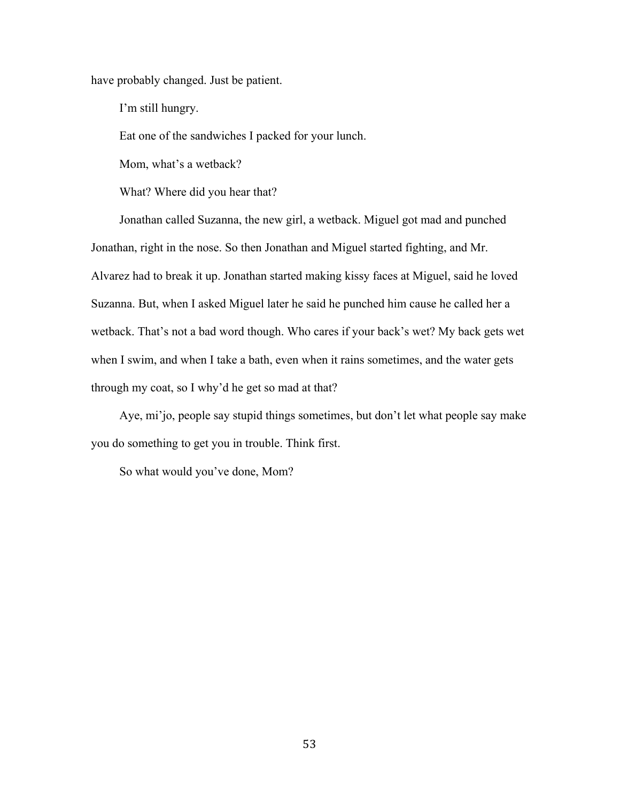have probably changed. Just be patient.

I'm still hungry.

Eat one of the sandwiches I packed for your lunch.

Mom, what's a wetback?

What? Where did you hear that?

Jonathan called Suzanna, the new girl, a wetback. Miguel got mad and punched Jonathan, right in the nose. So then Jonathan and Miguel started fighting, and Mr. Alvarez had to break it up. Jonathan started making kissy faces at Miguel, said he loved Suzanna. But, when I asked Miguel later he said he punched him cause he called her a wetback. That's not a bad word though. Who cares if your back's wet? My back gets wet when I swim, and when I take a bath, even when it rains sometimes, and the water gets through my coat, so I why'd he get so mad at that?

Aye, mi'jo, people say stupid things sometimes, but don't let what people say make you do something to get you in trouble. Think first.

So what would you've done, Mom?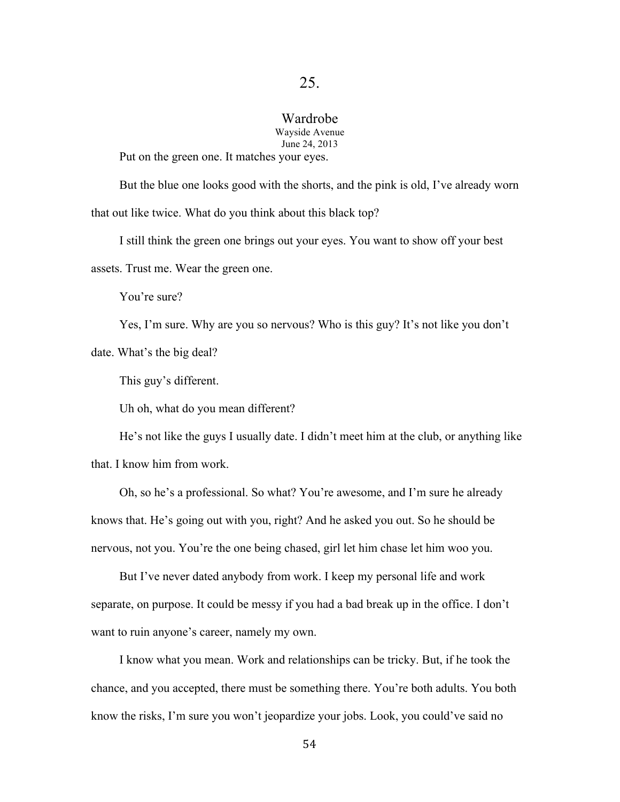### Wardrobe

Wayside Avenue June 24, 2013

Put on the green one. It matches your eyes.

But the blue one looks good with the shorts, and the pink is old, I've already worn that out like twice. What do you think about this black top?

I still think the green one brings out your eyes. You want to show off your best assets. Trust me. Wear the green one.

You're sure?

Yes, I'm sure. Why are you so nervous? Who is this guy? It's not like you don't date. What's the big deal?

This guy's different.

Uh oh, what do you mean different?

He's not like the guys I usually date. I didn't meet him at the club, or anything like that. I know him from work.

Oh, so he's a professional. So what? You're awesome, and I'm sure he already knows that. He's going out with you, right? And he asked you out. So he should be nervous, not you. You're the one being chased, girl let him chase let him woo you.

But I've never dated anybody from work. I keep my personal life and work separate, on purpose. It could be messy if you had a bad break up in the office. I don't want to ruin anyone's career, namely my own.

I know what you mean. Work and relationships can be tricky. But, if he took the chance, and you accepted, there must be something there. You're both adults. You both know the risks, I'm sure you won't jeopardize your jobs. Look, you could've said no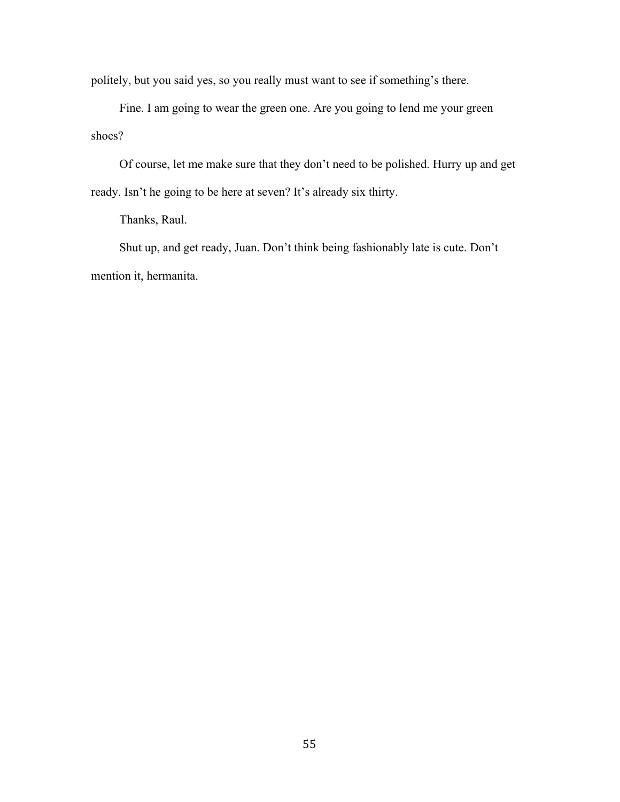politely, but you said yes, so you really must want to see if something's there.

Fine. I am going to wear the green one. Are you going to lend me your green shoes?

Of course, let me make sure that they don't need to be polished. Hurry up and get ready. Isn't he going to be here at seven? It's already six thirty.

Thanks, Raul.

Shut up, and get ready, Juan. Don't think being fashionably late is cute. Don't mention it, hermanita.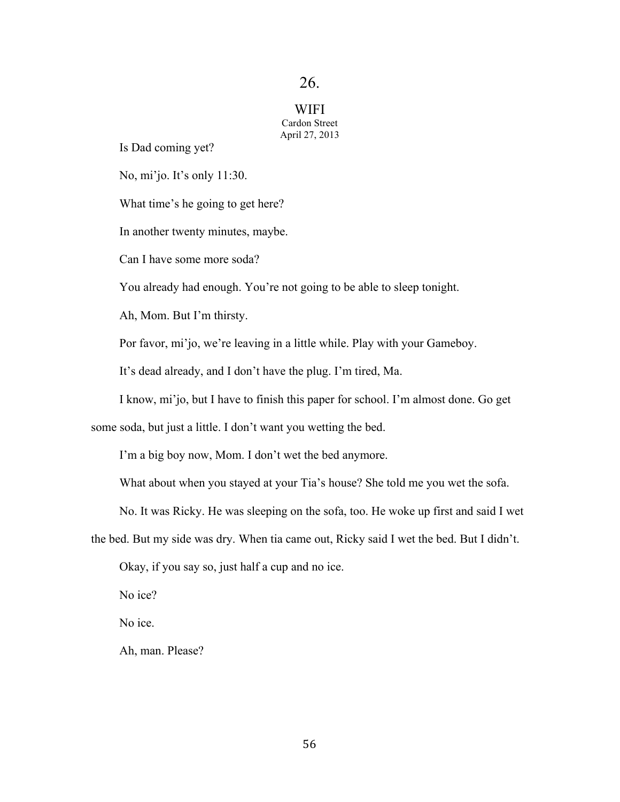**WIFI** Cardon Street April 27, 2013

Is Dad coming yet?

No, mi'jo. It's only 11:30.

What time's he going to get here?

In another twenty minutes, maybe.

Can I have some more soda?

You already had enough. You're not going to be able to sleep tonight.

Ah, Mom. But I'm thirsty.

Por favor, mi'jo, we're leaving in a little while. Play with your Gameboy.

It's dead already, and I don't have the plug. I'm tired, Ma.

I know, mi'jo, but I have to finish this paper for school. I'm almost done. Go get

some soda, but just a little. I don't want you wetting the bed.

I'm a big boy now, Mom. I don't wet the bed anymore.

What about when you stayed at your Tia's house? She told me you wet the sofa.

No. It was Ricky. He was sleeping on the sofa, too. He woke up first and said I wet

the bed. But my side was dry. When tia came out, Ricky said I wet the bed. But I didn't.

Okay, if you say so, just half a cup and no ice.

No ice?

No ice.

Ah, man. Please?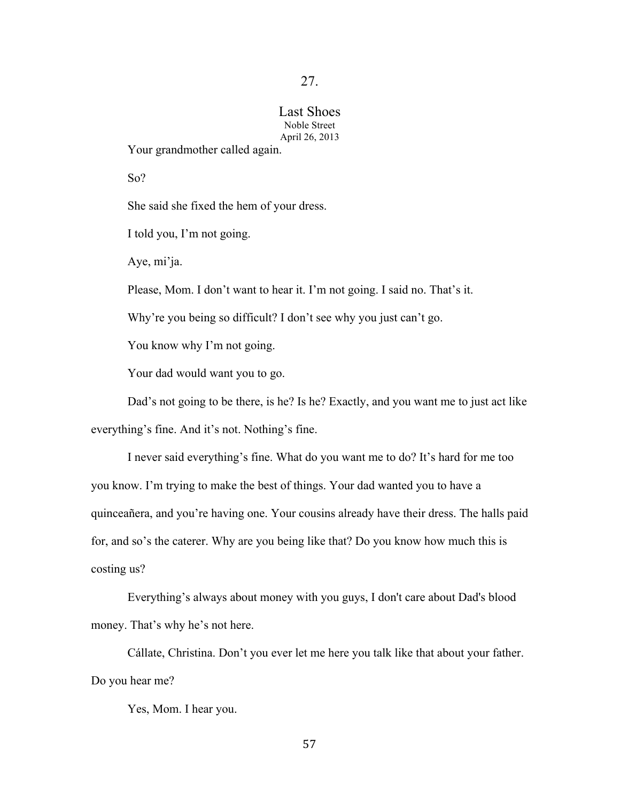## Last Shoes Noble Street April 26, 2013

Your grandmother called again.

So?

She said she fixed the hem of your dress.

I told you, I'm not going.

Aye, mi'ja.

Please, Mom. I don't want to hear it. I'm not going. I said no. That's it.

Why're you being so difficult? I don't see why you just can't go.

You know why I'm not going.

Your dad would want you to go.

Dad's not going to be there, is he? Is he? Exactly, and you want me to just act like

everything's fine. And it's not. Nothing's fine.

I never said everything's fine. What do you want me to do? It's hard for me too you know. I'm trying to make the best of things. Your dad wanted you to have a quinceañera, and you're having one. Your cousins already have their dress. The halls paid for, and so's the caterer. Why are you being like that? Do you know how much this is costing us?

Everything's always about money with you guys, I don't care about Dad's blood money. That's why he's not here.

Cállate, Christina. Don't you ever let me here you talk like that about your father. Do you hear me?

Yes, Mom. I hear you.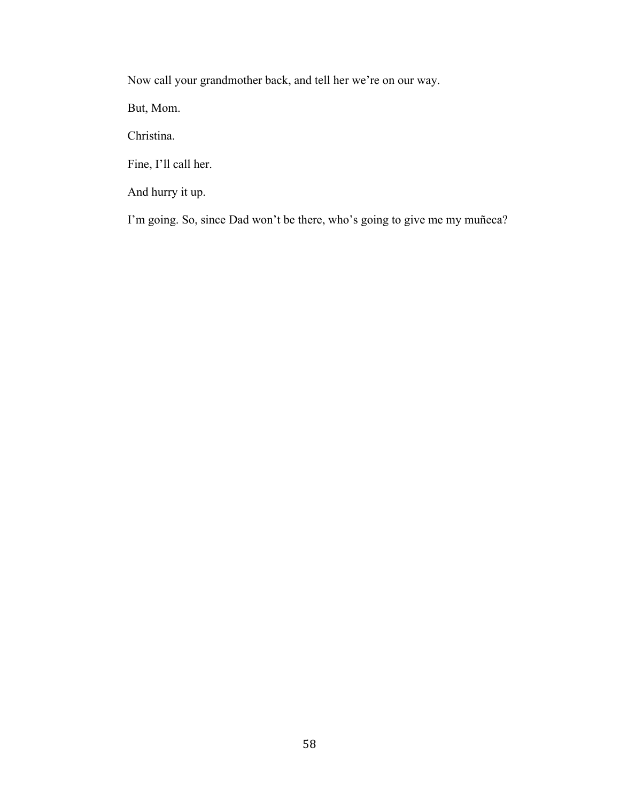Now call your grandmother back, and tell her we're on our way.

But, Mom.

Christina.

Fine, I'll call her.

And hurry it up.

I'm going. So, since Dad won't be there, who's going to give me my muñeca?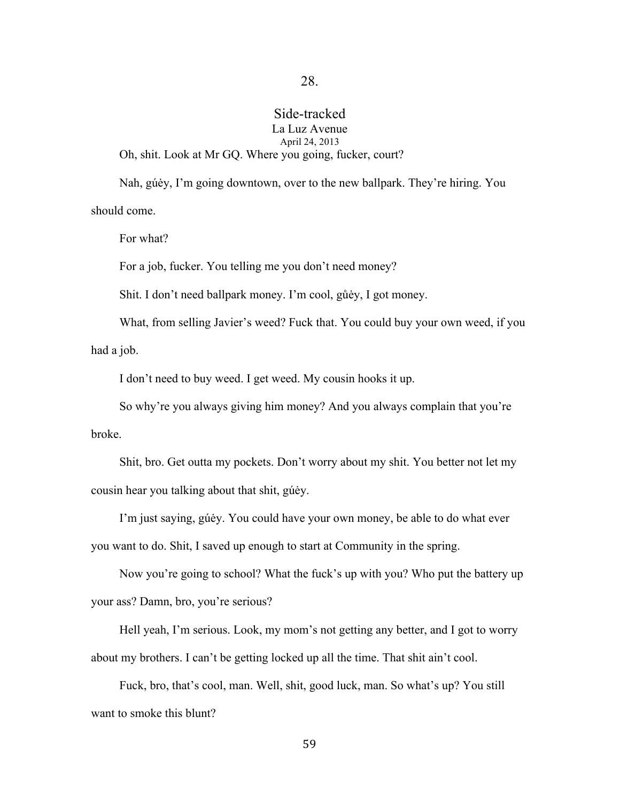## Side-tracked La Luz Avenue April 24, 2013 Oh, shit. Look at Mr GQ. Where you going, fucker, court?

Nah, gúėy, I'm going downtown, over to the new ballpark. They're hiring. You should come.

For what?

For a job, fucker. You telling me you don't need money?

Shit. I don't need ballpark money. I'm cool, gůėy, I got money.

What, from selling Javier's weed? Fuck that. You could buy your own weed, if you had a job.

I don't need to buy weed. I get weed. My cousin hooks it up.

So why're you always giving him money? And you always complain that you're broke.

Shit, bro. Get outta my pockets. Don't worry about my shit. You better not let my cousin hear you talking about that shit, gúėy.

I'm just saying, gúėy. You could have your own money, be able to do what ever you want to do. Shit, I saved up enough to start at Community in the spring.

Now you're going to school? What the fuck's up with you? Who put the battery up your ass? Damn, bro, you're serious?

Hell yeah, I'm serious. Look, my mom's not getting any better, and I got to worry about my brothers. I can't be getting locked up all the time. That shit ain't cool.

Fuck, bro, that's cool, man. Well, shit, good luck, man. So what's up? You still want to smoke this blunt?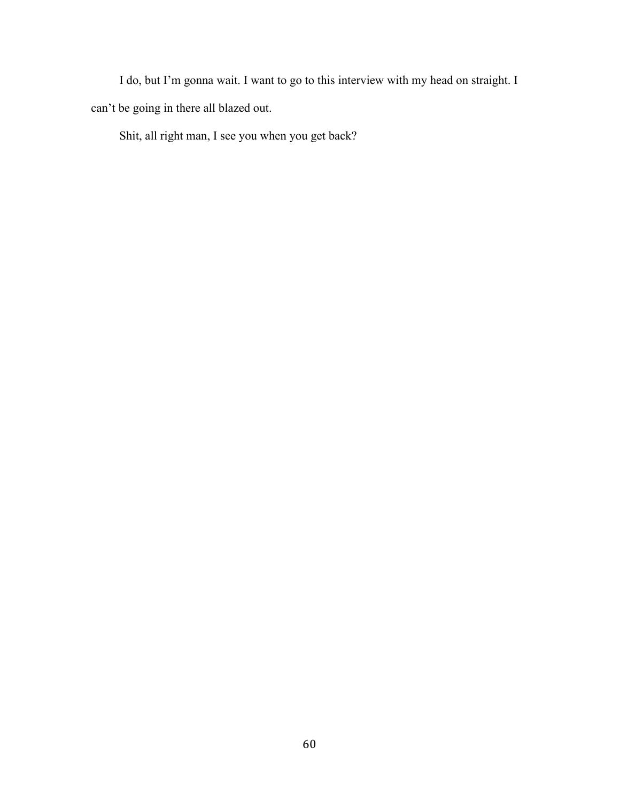I do, but I'm gonna wait. I want to go to this interview with my head on straight. I can't be going in there all blazed out.

Shit, all right man, I see you when you get back?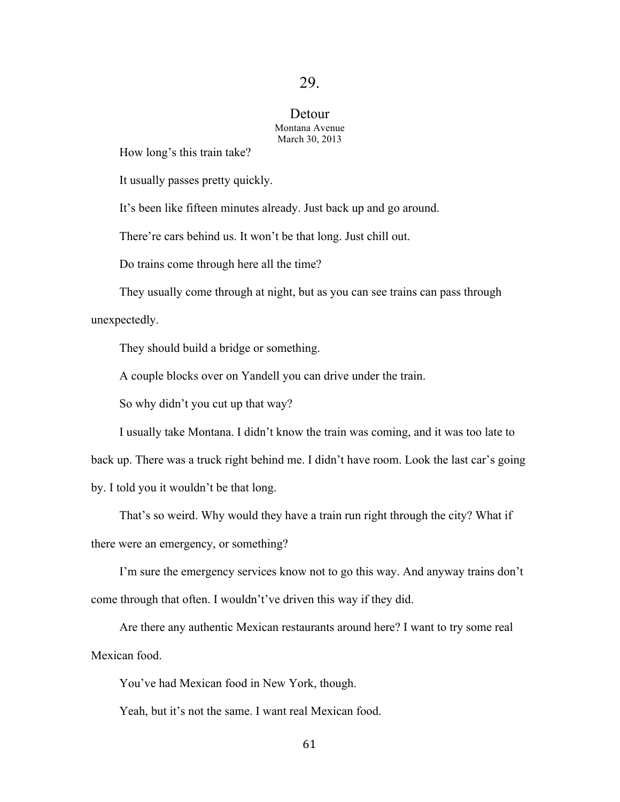### Detour Montana Avenue March 30, 2013

How long's this train take?

It usually passes pretty quickly.

It's been like fifteen minutes already. Just back up and go around.

There're cars behind us. It won't be that long. Just chill out.

Do trains come through here all the time?

They usually come through at night, but as you can see trains can pass through

unexpectedly.

They should build a bridge or something.

A couple blocks over on Yandell you can drive under the train.

So why didn't you cut up that way?

I usually take Montana. I didn't know the train was coming, and it was too late to

back up. There was a truck right behind me. I didn't have room. Look the last car's going

by. I told you it wouldn't be that long.

That's so weird. Why would they have a train run right through the city? What if there were an emergency, or something?

I'm sure the emergency services know not to go this way. And anyway trains don't come through that often. I wouldn't've driven this way if they did.

Are there any authentic Mexican restaurants around here? I want to try some real Mexican food.

You've had Mexican food in New York, though.

Yeah, but it's not the same. I want real Mexican food.

61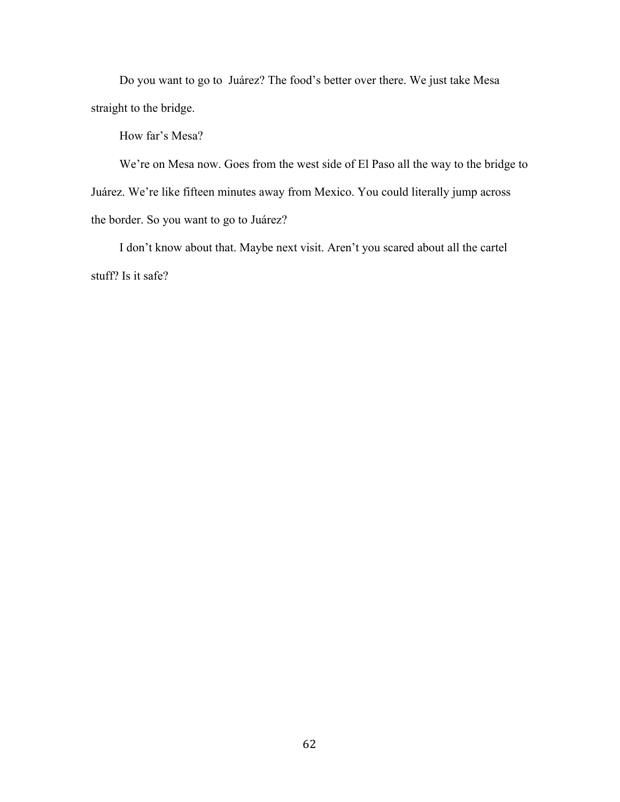Do you want to go to Juárez? The food's better over there. We just take Mesa straight to the bridge.

How far's Mesa?

We're on Mesa now. Goes from the west side of El Paso all the way to the bridge to Juárez. We're like fifteen minutes away from Mexico. You could literally jump across the border. So you want to go to Juárez?

I don't know about that. Maybe next visit. Aren't you scared about all the cartel stuff? Is it safe?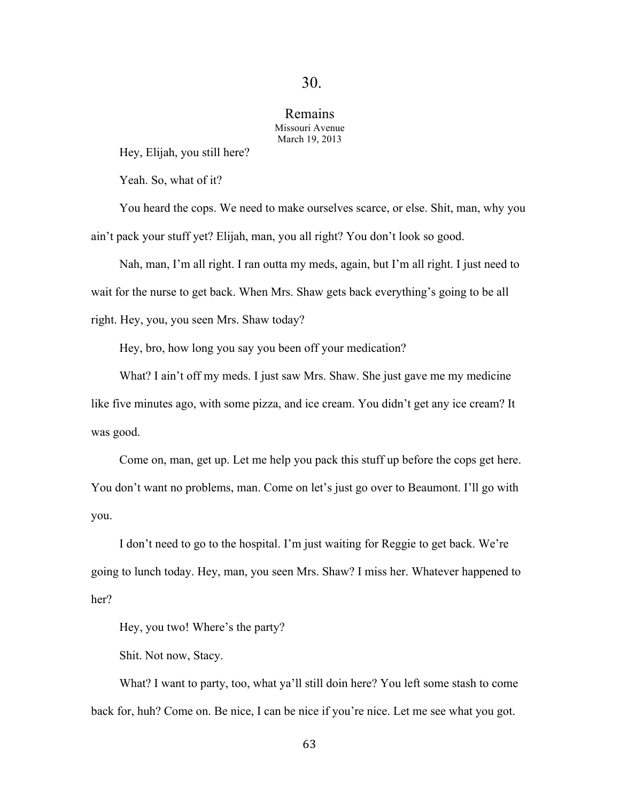### Remains Missouri Avenue March 19, 2013

Hey, Elijah, you still here?

Yeah. So, what of it?

You heard the cops. We need to make ourselves scarce, or else. Shit, man, why you ain't pack your stuff yet? Elijah, man, you all right? You don't look so good.

Nah, man, I'm all right. I ran outta my meds, again, but I'm all right. I just need to wait for the nurse to get back. When Mrs. Shaw gets back everything's going to be all right. Hey, you, you seen Mrs. Shaw today?

Hey, bro, how long you say you been off your medication?

What? I ain't off my meds. I just saw Mrs. Shaw. She just gave me my medicine like five minutes ago, with some pizza, and ice cream. You didn't get any ice cream? It was good.

Come on, man, get up. Let me help you pack this stuff up before the cops get here. You don't want no problems, man. Come on let's just go over to Beaumont. I'll go with you.

I don't need to go to the hospital. I'm just waiting for Reggie to get back. We're going to lunch today. Hey, man, you seen Mrs. Shaw? I miss her. Whatever happened to her?

Hey, you two! Where's the party?

Shit. Not now, Stacy.

What? I want to party, too, what ya'll still doin here? You left some stash to come back for, huh? Come on. Be nice, I can be nice if you're nice. Let me see what you got.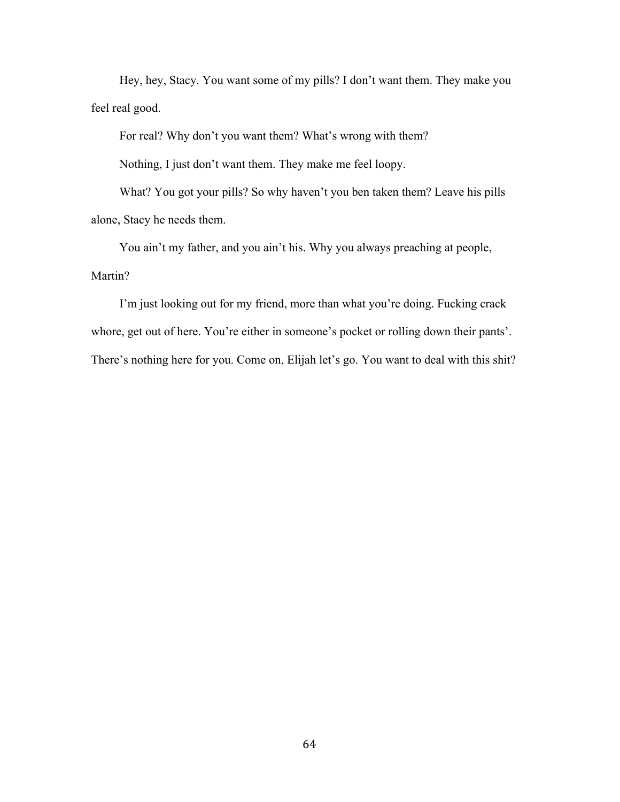Hey, hey, Stacy. You want some of my pills? I don't want them. They make you feel real good.

For real? Why don't you want them? What's wrong with them?

Nothing, I just don't want them. They make me feel loopy.

What? You got your pills? So why haven't you ben taken them? Leave his pills alone, Stacy he needs them.

You ain't my father, and you ain't his. Why you always preaching at people, Martin?

I'm just looking out for my friend, more than what you're doing. Fucking crack whore, get out of here. You're either in someone's pocket or rolling down their pants'. There's nothing here for you. Come on, Elijah let's go. You want to deal with this shit?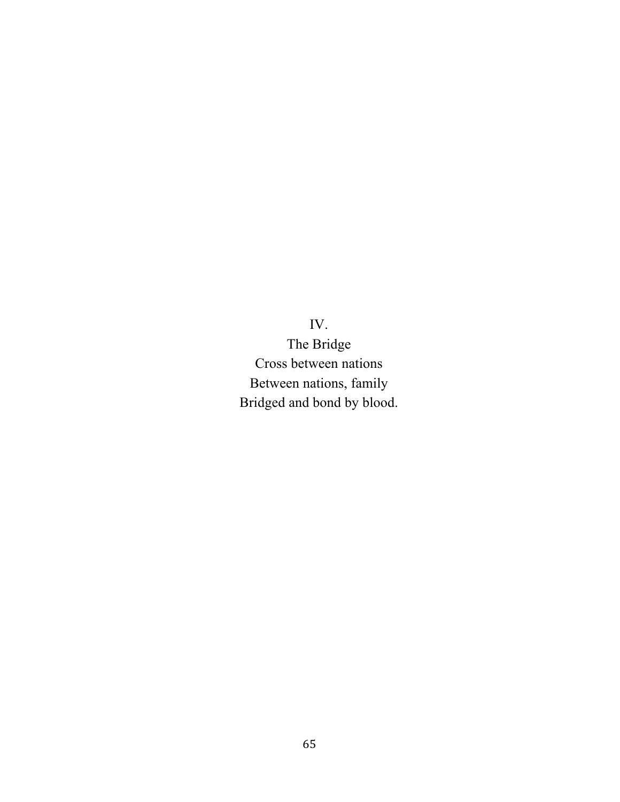IV.

The Bridge Cross between nations Between nations, family Bridged and bond by blood.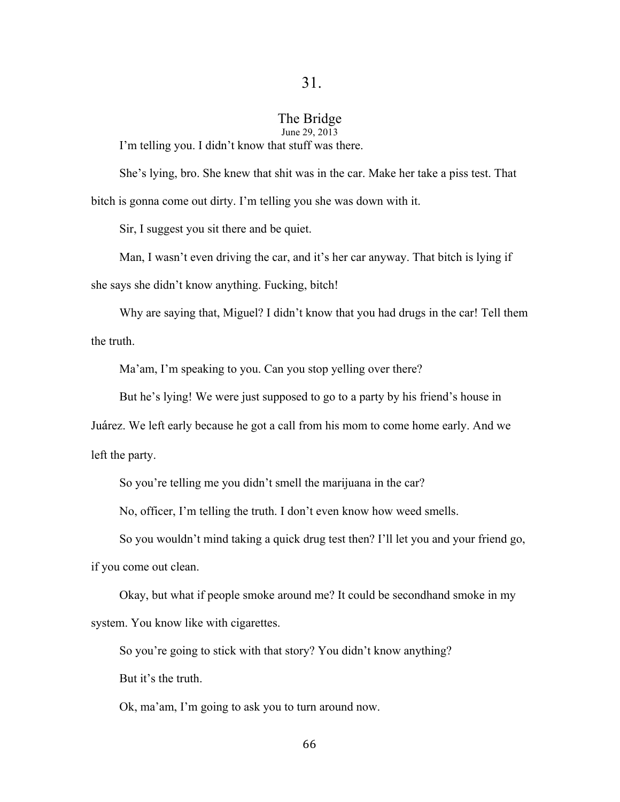### The Bridge June 29, 2013

I'm telling you. I didn't know that stuff was there.

She's lying, bro. She knew that shit was in the car. Make her take a piss test. That bitch is gonna come out dirty. I'm telling you she was down with it.

Sir, I suggest you sit there and be quiet.

Man, I wasn't even driving the car, and it's her car anyway. That bitch is lying if she says she didn't know anything. Fucking, bitch!

Why are saying that, Miguel? I didn't know that you had drugs in the car! Tell them the truth.

Ma'am, I'm speaking to you. Can you stop yelling over there?

But he's lying! We were just supposed to go to a party by his friend's house in

Juárez. We left early because he got a call from his mom to come home early. And we

left the party.

So you're telling me you didn't smell the marijuana in the car?

No, officer, I'm telling the truth. I don't even know how weed smells.

So you wouldn't mind taking a quick drug test then? I'll let you and your friend go,

if you come out clean.

Okay, but what if people smoke around me? It could be secondhand smoke in my system. You know like with cigarettes.

So you're going to stick with that story? You didn't know anything?

But it's the truth.

Ok, ma'am, I'm going to ask you to turn around now.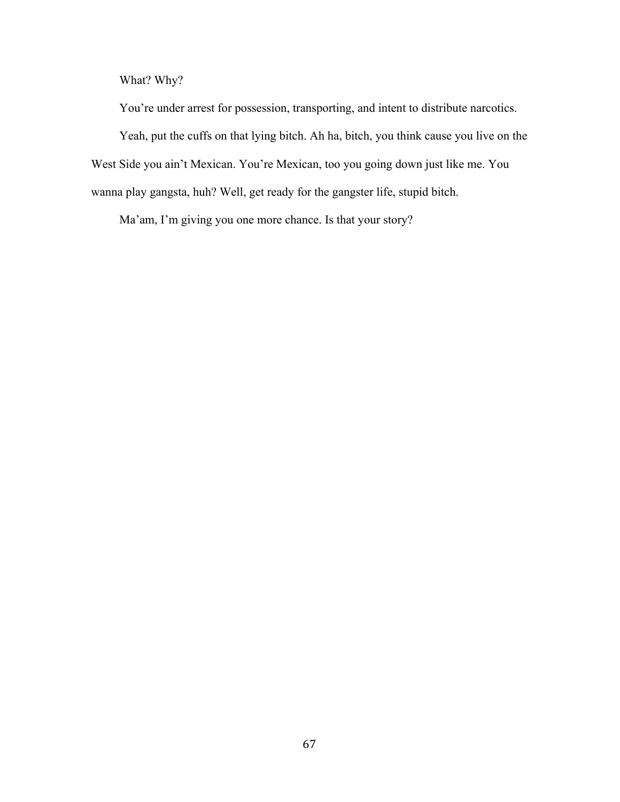What? Why?

You're under arrest for possession, transporting, and intent to distribute narcotics. Yeah, put the cuffs on that lying bitch. Ah ha, bitch, you think cause you live on the West Side you ain't Mexican. You're Mexican, too you going down just like me. You wanna play gangsta, huh? Well, get ready for the gangster life, stupid bitch.

Ma'am, I'm giving you one more chance. Is that your story?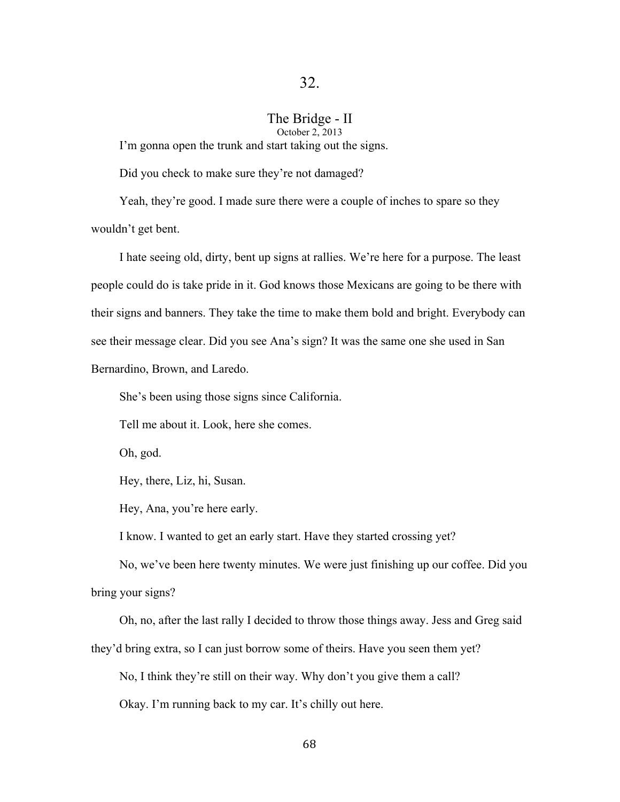## The Bridge - II

October 2, 2013

I'm gonna open the trunk and start taking out the signs.

Did you check to make sure they're not damaged?

Yeah, they're good. I made sure there were a couple of inches to spare so they wouldn't get bent.

I hate seeing old, dirty, bent up signs at rallies. We're here for a purpose. The least people could do is take pride in it. God knows those Mexicans are going to be there with their signs and banners. They take the time to make them bold and bright. Everybody can see their message clear. Did you see Ana's sign? It was the same one she used in San Bernardino, Brown, and Laredo.

She's been using those signs since California.

Tell me about it. Look, here she comes.

Oh, god.

Hey, there, Liz, hi, Susan.

Hey, Ana, you're here early.

I know. I wanted to get an early start. Have they started crossing yet?

No, we've been here twenty minutes. We were just finishing up our coffee. Did you bring your signs?

Oh, no, after the last rally I decided to throw those things away. Jess and Greg said they'd bring extra, so I can just borrow some of theirs. Have you seen them yet?

No, I think they're still on their way. Why don't you give them a call?

Okay. I'm running back to my car. It's chilly out here.

68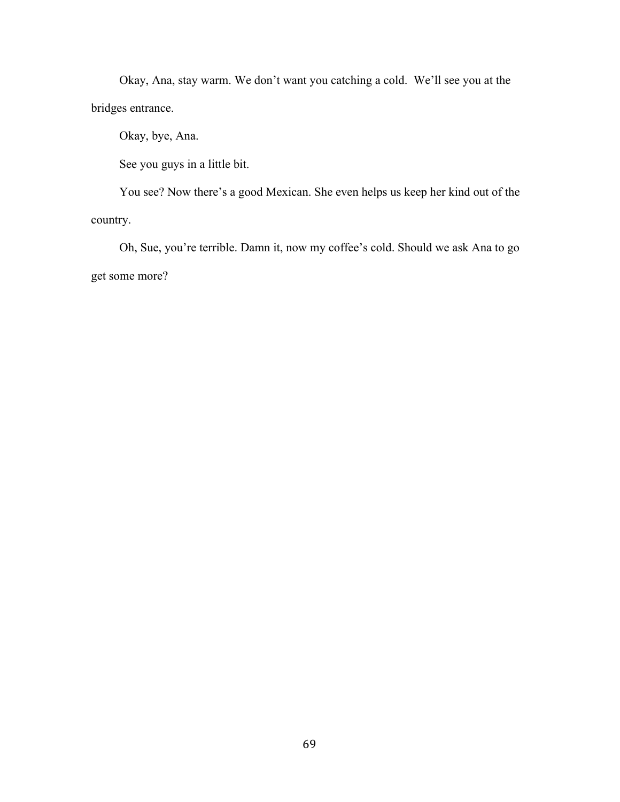Okay, Ana, stay warm. We don't want you catching a cold. We'll see you at the bridges entrance.

Okay, bye, Ana.

See you guys in a little bit.

You see? Now there's a good Mexican. She even helps us keep her kind out of the country.

Oh, Sue, you're terrible. Damn it, now my coffee's cold. Should we ask Ana to go get some more?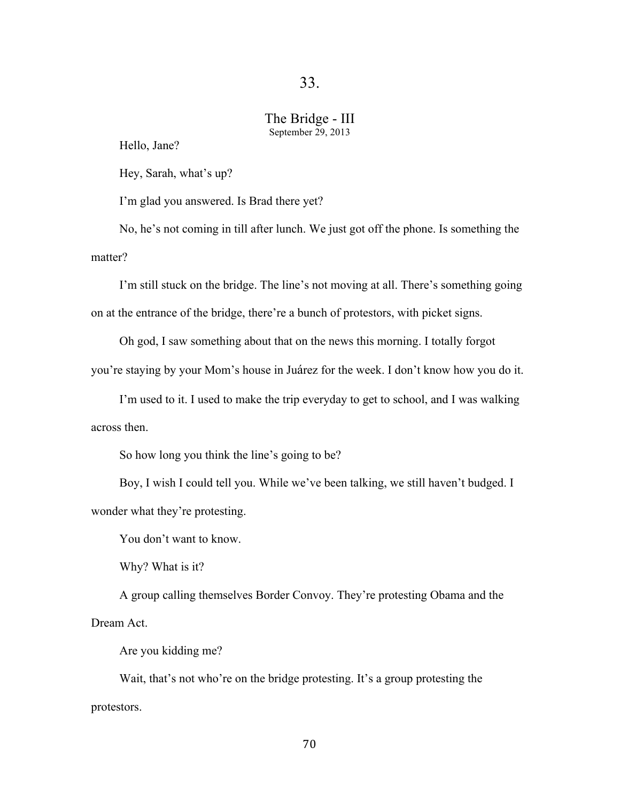## The Bridge - III September 29, 2013

Hello, Jane?

Hey, Sarah, what's up?

I'm glad you answered. Is Brad there yet?

No, he's not coming in till after lunch. We just got off the phone. Is something the matter?

I'm still stuck on the bridge. The line's not moving at all. There's something going on at the entrance of the bridge, there're a bunch of protestors, with picket signs.

Oh god, I saw something about that on the news this morning. I totally forgot

you're staying by your Mom's house in Juárez for the week. I don't know how you do it.

I'm used to it. I used to make the trip everyday to get to school, and I was walking across then.

So how long you think the line's going to be?

Boy, I wish I could tell you. While we've been talking, we still haven't budged. I wonder what they're protesting.

You don't want to know.

Why? What is it?

A group calling themselves Border Convoy. They're protesting Obama and the Dream Act.

Are you kidding me?

Wait, that's not who're on the bridge protesting. It's a group protesting the protestors.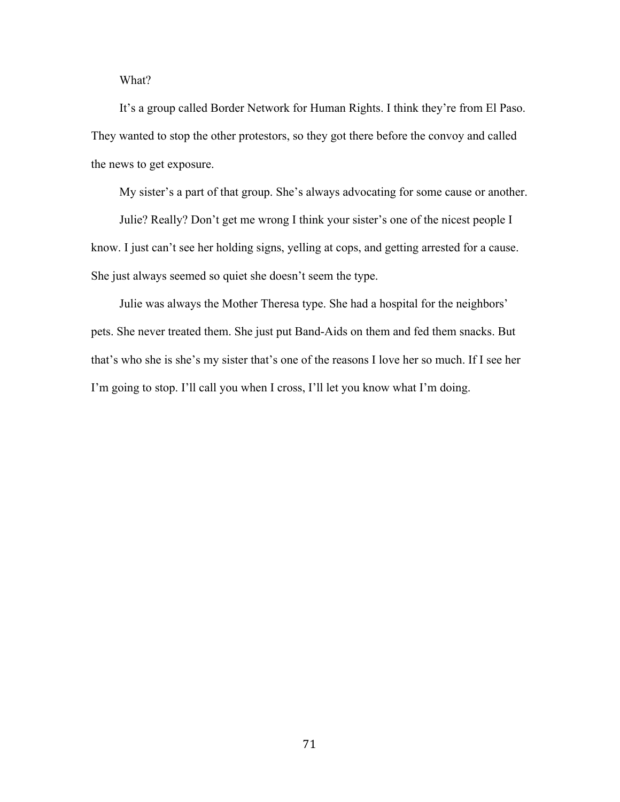What?

It's a group called Border Network for Human Rights. I think they're from El Paso. They wanted to stop the other protestors, so they got there before the convoy and called the news to get exposure.

My sister's a part of that group. She's always advocating for some cause or another.

Julie? Really? Don't get me wrong I think your sister's one of the nicest people I know. I just can't see her holding signs, yelling at cops, and getting arrested for a cause. She just always seemed so quiet she doesn't seem the type.

Julie was always the Mother Theresa type. She had a hospital for the neighbors' pets. She never treated them. She just put Band-Aids on them and fed them snacks. But that's who she is she's my sister that's one of the reasons I love her so much. If I see her I'm going to stop. I'll call you when I cross, I'll let you know what I'm doing.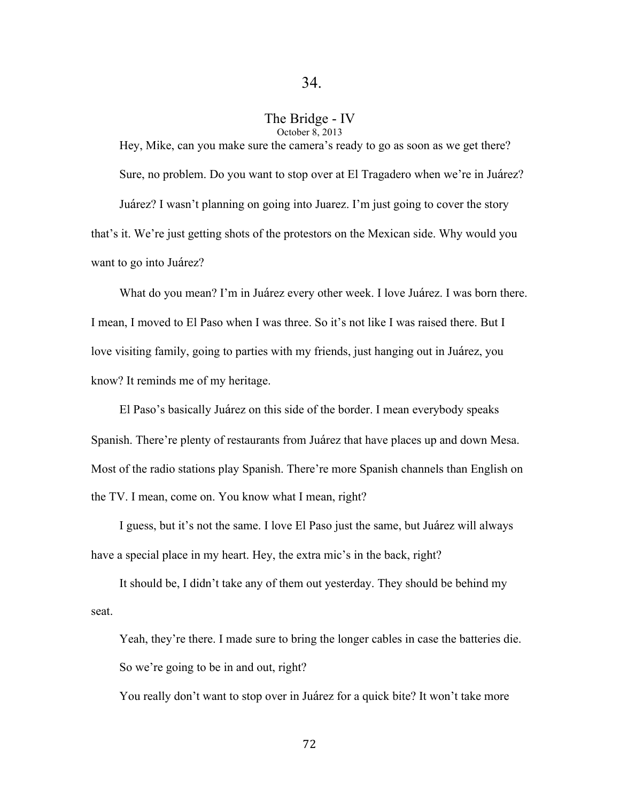### The Bridge - IV October 8, 2013

Hey, Mike, can you make sure the camera's ready to go as soon as we get there? Sure, no problem. Do you want to stop over at El Tragadero when we're in Juárez?

Juárez? I wasn't planning on going into Juarez. I'm just going to cover the story that's it. We're just getting shots of the protestors on the Mexican side. Why would you want to go into Juárez?

What do you mean? I'm in Juárez every other week. I love Juárez. I was born there. I mean, I moved to El Paso when I was three. So it's not like I was raised there. But I love visiting family, going to parties with my friends, just hanging out in Juárez, you know? It reminds me of my heritage.

El Paso's basically Juárez on this side of the border. I mean everybody speaks Spanish. There're plenty of restaurants from Juárez that have places up and down Mesa. Most of the radio stations play Spanish. There're more Spanish channels than English on the TV. I mean, come on. You know what I mean, right?

I guess, but it's not the same. I love El Paso just the same, but Juárez will always have a special place in my heart. Hey, the extra mic's in the back, right?

It should be, I didn't take any of them out yesterday. They should be behind my seat.

Yeah, they're there. I made sure to bring the longer cables in case the batteries die. So we're going to be in and out, right?

You really don't want to stop over in Juárez for a quick bite? It won't take more

72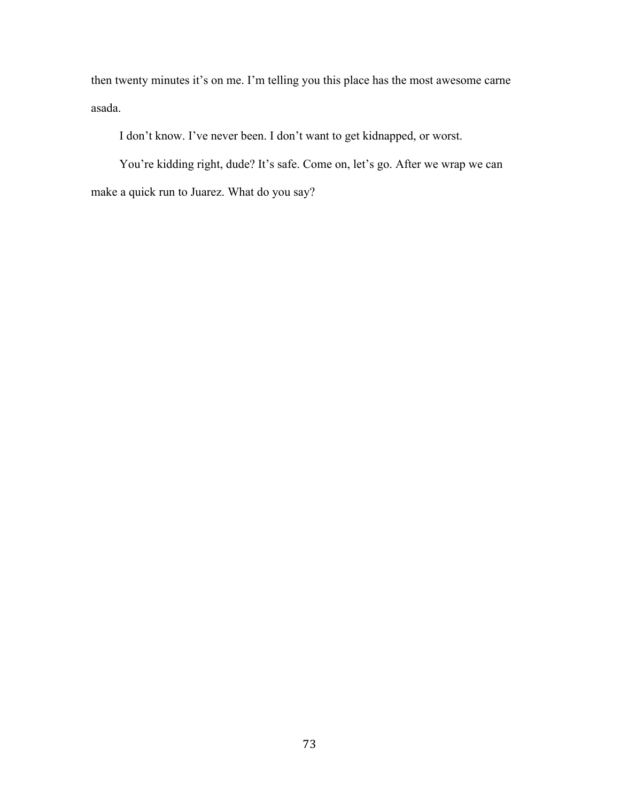then twenty minutes it's on me. I'm telling you this place has the most awesome carne asada.

I don't know. I've never been. I don't want to get kidnapped, or worst.

You're kidding right, dude? It's safe. Come on, let's go. After we wrap we can make a quick run to Juarez. What do you say?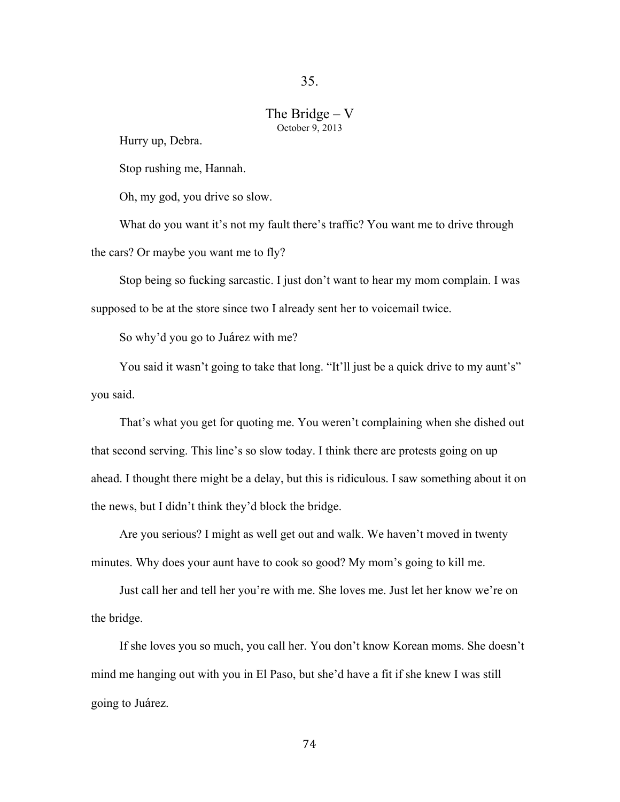## The Bridge – V October 9, 2013

Hurry up, Debra.

Stop rushing me, Hannah.

Oh, my god, you drive so slow.

What do you want it's not my fault there's traffic? You want me to drive through the cars? Or maybe you want me to fly?

Stop being so fucking sarcastic. I just don't want to hear my mom complain. I was supposed to be at the store since two I already sent her to voicemail twice.

So why'd you go to Juárez with me?

You said it wasn't going to take that long. "It'll just be a quick drive to my aunt's" you said.

That's what you get for quoting me. You weren't complaining when she dished out that second serving. This line's so slow today. I think there are protests going on up ahead. I thought there might be a delay, but this is ridiculous. I saw something about it on the news, but I didn't think they'd block the bridge.

Are you serious? I might as well get out and walk. We haven't moved in twenty minutes. Why does your aunt have to cook so good? My mom's going to kill me.

Just call her and tell her you're with me. She loves me. Just let her know we're on the bridge.

If she loves you so much, you call her. You don't know Korean moms. She doesn't mind me hanging out with you in El Paso, but she'd have a fit if she knew I was still going to Juárez.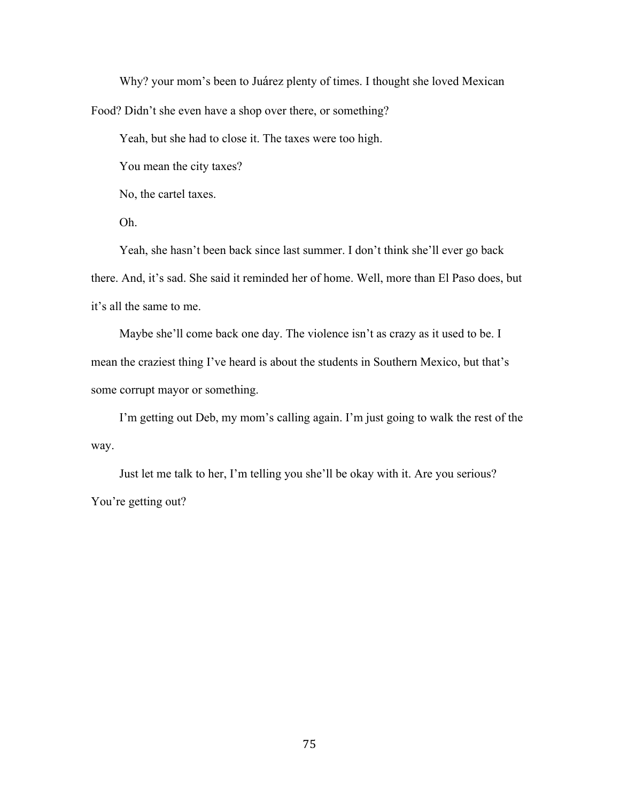Why? your mom's been to Juárez plenty of times. I thought she loved Mexican Food? Didn't she even have a shop over there, or something?

Yeah, but she had to close it. The taxes were too high.

You mean the city taxes?

No, the cartel taxes.

Oh.

Yeah, she hasn't been back since last summer. I don't think she'll ever go back there. And, it's sad. She said it reminded her of home. Well, more than El Paso does, but it's all the same to me.

Maybe she'll come back one day. The violence isn't as crazy as it used to be. I mean the craziest thing I've heard is about the students in Southern Mexico, but that's some corrupt mayor or something.

I'm getting out Deb, my mom's calling again. I'm just going to walk the rest of the way.

Just let me talk to her, I'm telling you she'll be okay with it. Are you serious? You're getting out?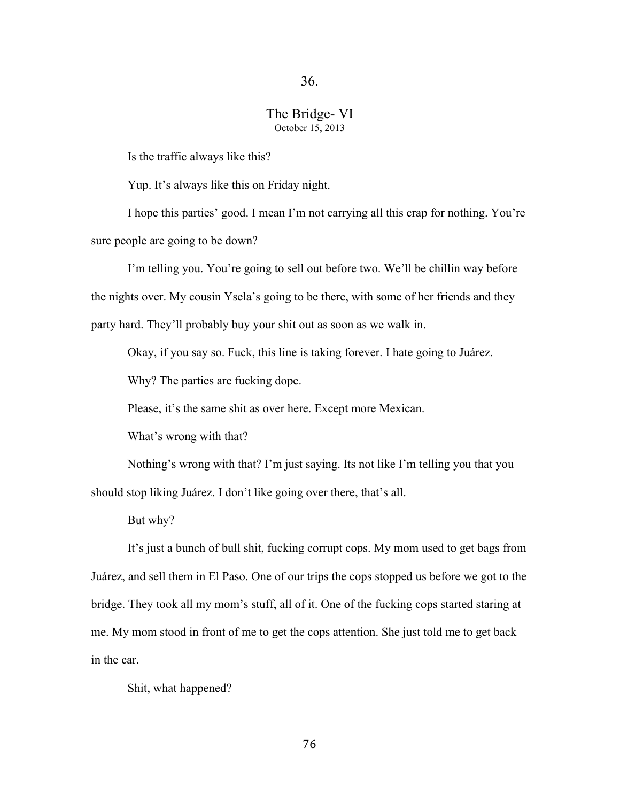## The Bridge- VI October 15, 2013

Is the traffic always like this?

Yup. It's always like this on Friday night.

I hope this parties' good. I mean I'm not carrying all this crap for nothing. You're sure people are going to be down?

I'm telling you. You're going to sell out before two. We'll be chillin way before the nights over. My cousin Ysela's going to be there, with some of her friends and they party hard. They'll probably buy your shit out as soon as we walk in.

Okay, if you say so. Fuck, this line is taking forever. I hate going to Juárez.

Why? The parties are fucking dope.

Please, it's the same shit as over here. Except more Mexican.

What's wrong with that?

Nothing's wrong with that? I'm just saying. Its not like I'm telling you that you should stop liking Juárez. I don't like going over there, that's all.

But why?

It's just a bunch of bull shit, fucking corrupt cops. My mom used to get bags from Juárez, and sell them in El Paso. One of our trips the cops stopped us before we got to the bridge. They took all my mom's stuff, all of it. One of the fucking cops started staring at me. My mom stood in front of me to get the cops attention. She just told me to get back in the car.

Shit, what happened?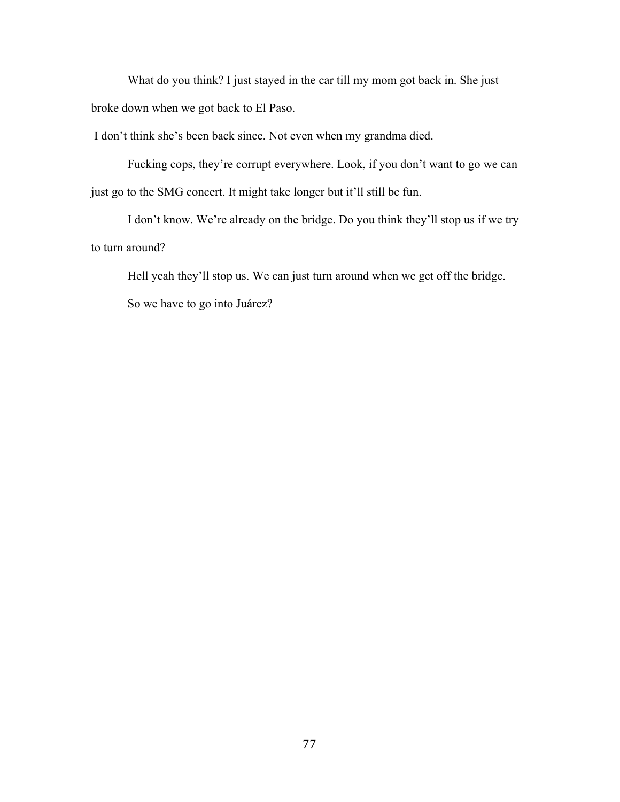What do you think? I just stayed in the car till my mom got back in. She just broke down when we got back to El Paso.

I don't think she's been back since. Not even when my grandma died.

Fucking cops, they're corrupt everywhere. Look, if you don't want to go we can just go to the SMG concert. It might take longer but it'll still be fun.

I don't know. We're already on the bridge. Do you think they'll stop us if we try to turn around?

Hell yeah they'll stop us. We can just turn around when we get off the bridge. So we have to go into Juárez?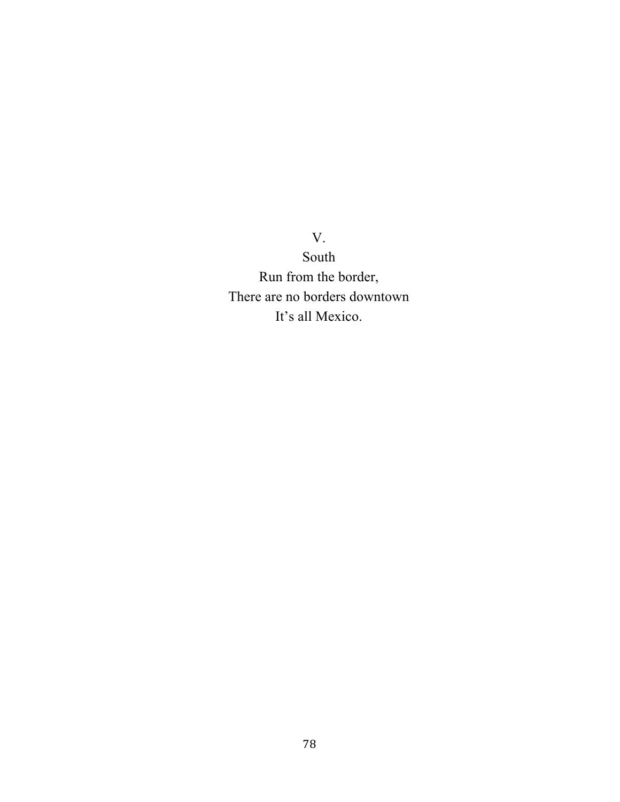V.

South Run from the border, There are no borders downtown It's all Mexico.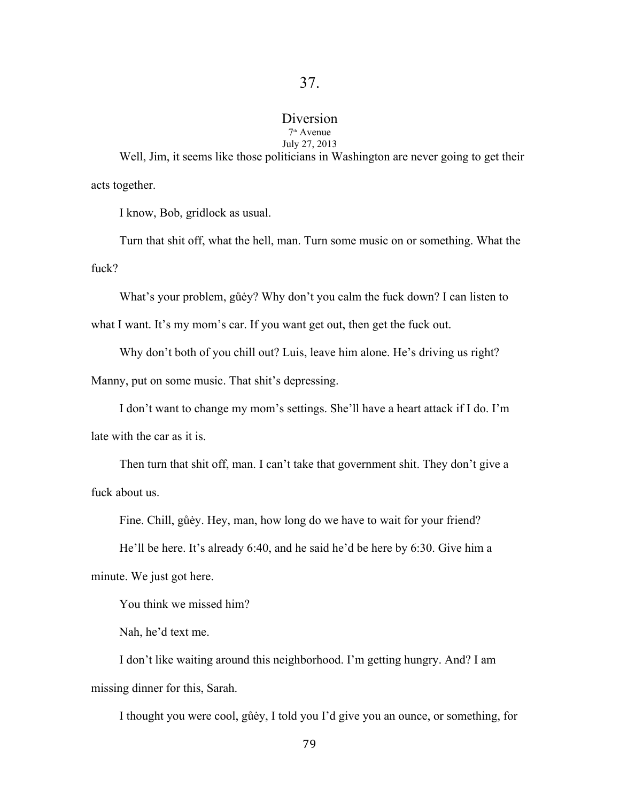# Diversion

#### 7th Avenue July 27, 2013

Well, Jim, it seems like those politicians in Washington are never going to get their acts together.

I know, Bob, gridlock as usual.

Turn that shit off, what the hell, man. Turn some music on or something. What the fuck?

What's your problem, gůėy? Why don't you calm the fuck down? I can listen to

what I want. It's my mom's car. If you want get out, then get the fuck out.

Why don't both of you chill out? Luis, leave him alone. He's driving us right?

Manny, put on some music. That shit's depressing.

I don't want to change my mom's settings. She'll have a heart attack if I do. I'm

late with the car as it is.

Then turn that shit off, man. I can't take that government shit. They don't give a fuck about us.

Fine. Chill, gůėy. Hey, man, how long do we have to wait for your friend?

He'll be here. It's already 6:40, and he said he'd be here by 6:30. Give him a minute. We just got here.

You think we missed him?

Nah, he'd text me.

I don't like waiting around this neighborhood. I'm getting hungry. And? I am missing dinner for this, Sarah.

I thought you were cool, gůėy, I told you I'd give you an ounce, or something, for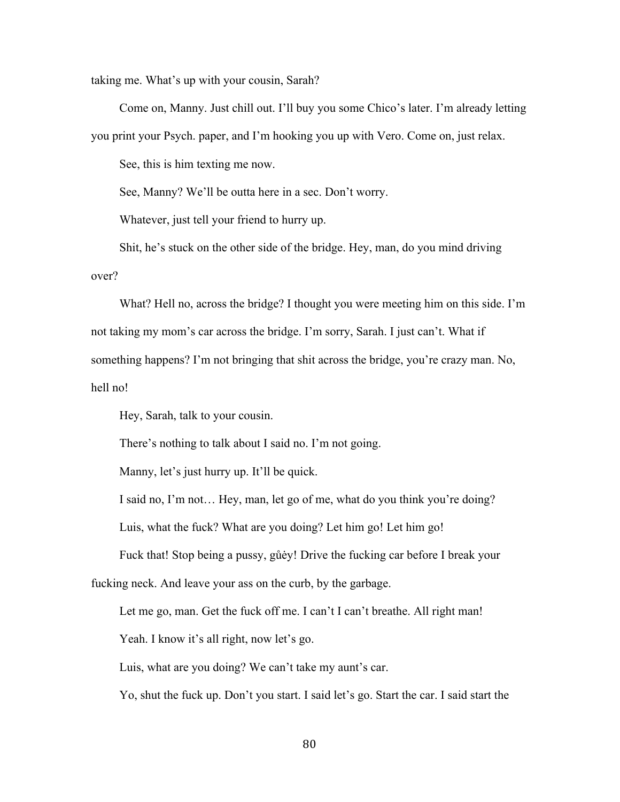taking me. What's up with your cousin, Sarah?

Come on, Manny. Just chill out. I'll buy you some Chico's later. I'm already letting you print your Psych. paper, and I'm hooking you up with Vero. Come on, just relax.

See, this is him texting me now.

See, Manny? We'll be outta here in a sec. Don't worry.

Whatever, just tell your friend to hurry up.

Shit, he's stuck on the other side of the bridge. Hey, man, do you mind driving over?

What? Hell no, across the bridge? I thought you were meeting him on this side. I'm not taking my mom's car across the bridge. I'm sorry, Sarah. I just can't. What if something happens? I'm not bringing that shit across the bridge, you're crazy man. No, hell no!

Hey, Sarah, talk to your cousin.

There's nothing to talk about I said no. I'm not going.

Manny, let's just hurry up. It'll be quick.

I said no, I'm not… Hey, man, let go of me, what do you think you're doing?

Luis, what the fuck? What are you doing? Let him go! Let him go!

Fuck that! Stop being a pussy, gůėy! Drive the fucking car before I break your

fucking neck. And leave your ass on the curb, by the garbage.

Let me go, man. Get the fuck off me. I can't I can't breathe. All right man!

Yeah. I know it's all right, now let's go.

Luis, what are you doing? We can't take my aunt's car.

Yo, shut the fuck up. Don't you start. I said let's go. Start the car. I said start the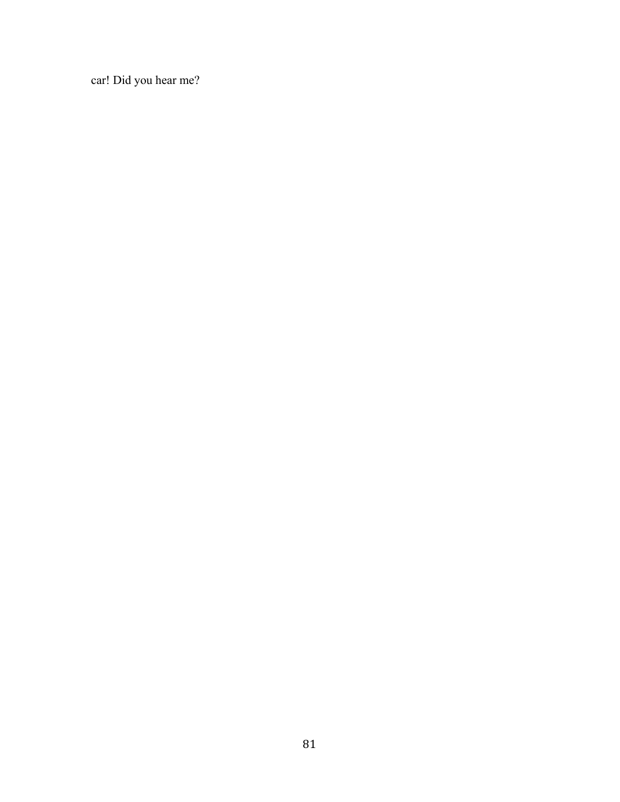car! Did you hear me?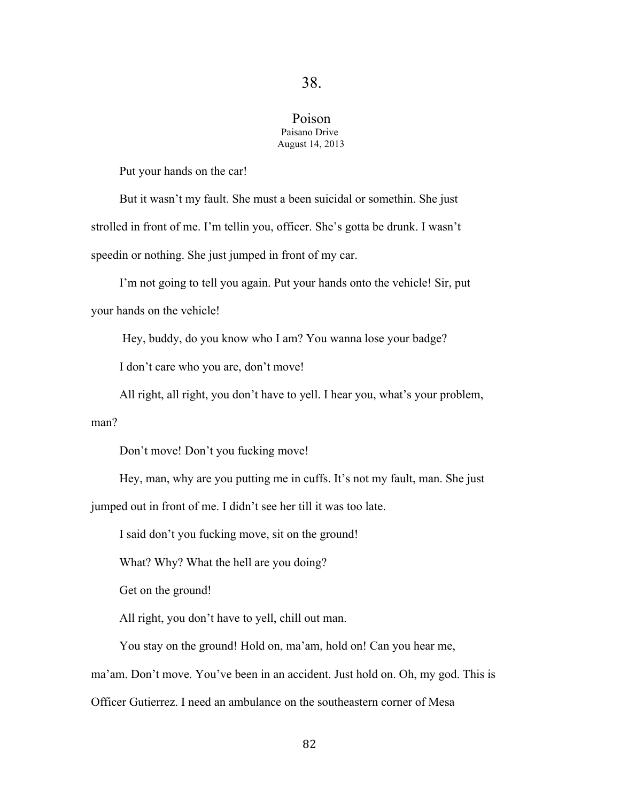### Poison Paisano Drive August 14, 2013

Put your hands on the car!

But it wasn't my fault. She must a been suicidal or somethin. She just strolled in front of me. I'm tellin you, officer. She's gotta be drunk. I wasn't speedin or nothing. She just jumped in front of my car.

I'm not going to tell you again. Put your hands onto the vehicle! Sir, put your hands on the vehicle!

Hey, buddy, do you know who I am? You wanna lose your badge?

I don't care who you are, don't move!

All right, all right, you don't have to yell. I hear you, what's your problem,

man?

Don't move! Don't you fucking move!

Hey, man, why are you putting me in cuffs. It's not my fault, man. She just

jumped out in front of me. I didn't see her till it was too late.

I said don't you fucking move, sit on the ground!

What? Why? What the hell are you doing?

Get on the ground!

All right, you don't have to yell, chill out man.

You stay on the ground! Hold on, ma'am, hold on! Can you hear me,

ma'am. Don't move. You've been in an accident. Just hold on. Oh, my god. This is

Officer Gutierrez. I need an ambulance on the southeastern corner of Mesa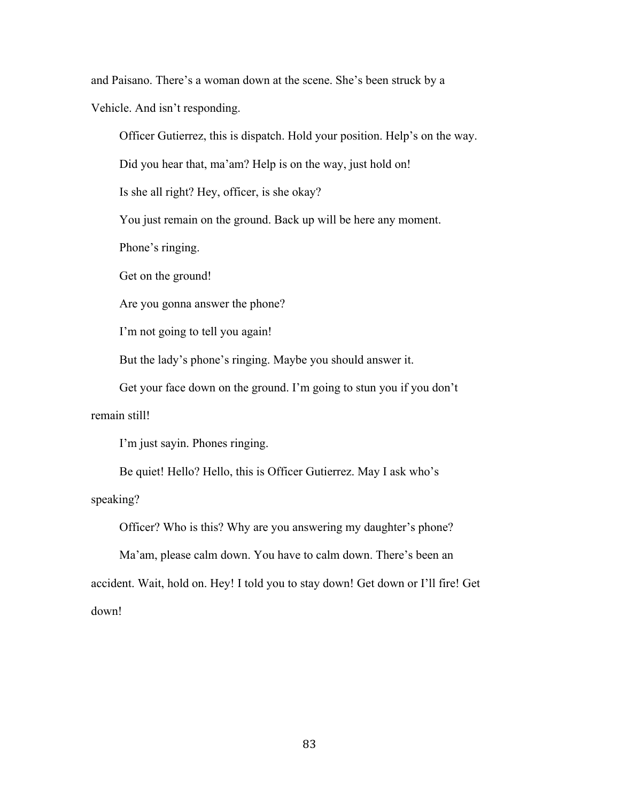and Paisano. There's a woman down at the scene. She's been struck by a

Vehicle. And isn't responding.

Officer Gutierrez, this is dispatch. Hold your position. Help's on the way.

Did you hear that, ma'am? Help is on the way, just hold on!

Is she all right? Hey, officer, is she okay?

You just remain on the ground. Back up will be here any moment.

Phone's ringing.

Get on the ground!

Are you gonna answer the phone?

I'm not going to tell you again!

But the lady's phone's ringing. Maybe you should answer it.

Get your face down on the ground. I'm going to stun you if you don't remain still!

I'm just sayin. Phones ringing.

Be quiet! Hello? Hello, this is Officer Gutierrez. May I ask who's speaking?

Officer? Who is this? Why are you answering my daughter's phone?

Ma'am, please calm down. You have to calm down. There's been an accident. Wait, hold on. Hey! I told you to stay down! Get down or I'll fire! Get down!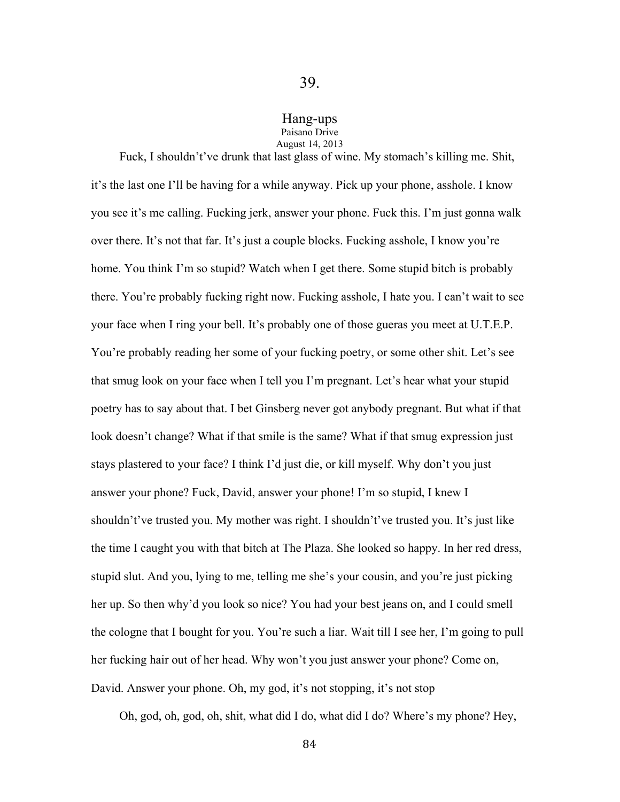### Hang-ups Paisano Drive

August 14, 2013

Fuck, I shouldn't've drunk that last glass of wine. My stomach's killing me. Shit, it's the last one I'll be having for a while anyway. Pick up your phone, asshole. I know you see it's me calling. Fucking jerk, answer your phone. Fuck this. I'm just gonna walk over there. It's not that far. It's just a couple blocks. Fucking asshole, I know you're home. You think I'm so stupid? Watch when I get there. Some stupid bitch is probably there. You're probably fucking right now. Fucking asshole, I hate you. I can't wait to see your face when I ring your bell. It's probably one of those gueras you meet at U.T.E.P. You're probably reading her some of your fucking poetry, or some other shit. Let's see that smug look on your face when I tell you I'm pregnant. Let's hear what your stupid poetry has to say about that. I bet Ginsberg never got anybody pregnant. But what if that look doesn't change? What if that smile is the same? What if that smug expression just stays plastered to your face? I think I'd just die, or kill myself. Why don't you just answer your phone? Fuck, David, answer your phone! I'm so stupid, I knew I shouldn't've trusted you. My mother was right. I shouldn't've trusted you. It's just like the time I caught you with that bitch at The Plaza. She looked so happy. In her red dress, stupid slut. And you, lying to me, telling me she's your cousin, and you're just picking her up. So then why'd you look so nice? You had your best jeans on, and I could smell the cologne that I bought for you. You're such a liar. Wait till I see her, I'm going to pull her fucking hair out of her head. Why won't you just answer your phone? Come on, David. Answer your phone. Oh, my god, it's not stopping, it's not stop

Oh, god, oh, god, oh, shit, what did I do, what did I do? Where's my phone? Hey,

84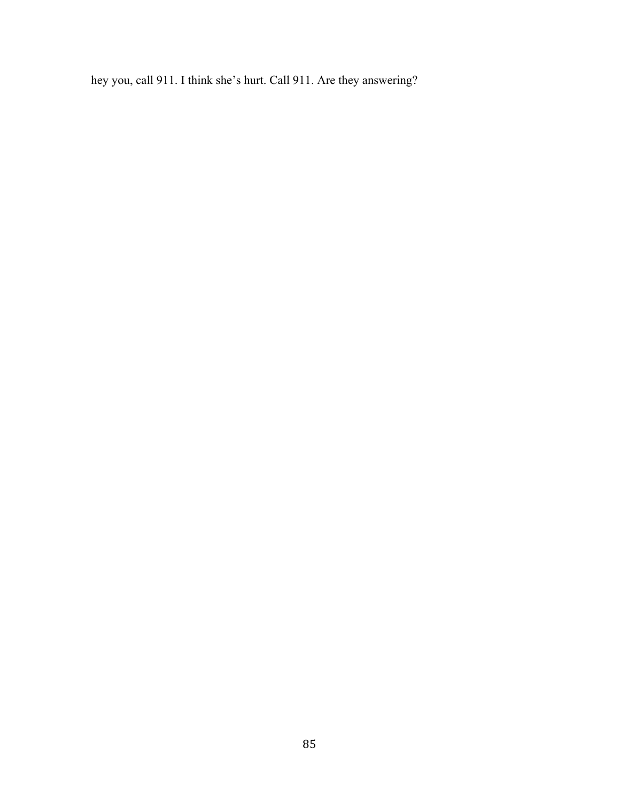hey you, call 911. I think she's hurt. Call 911. Are they answering?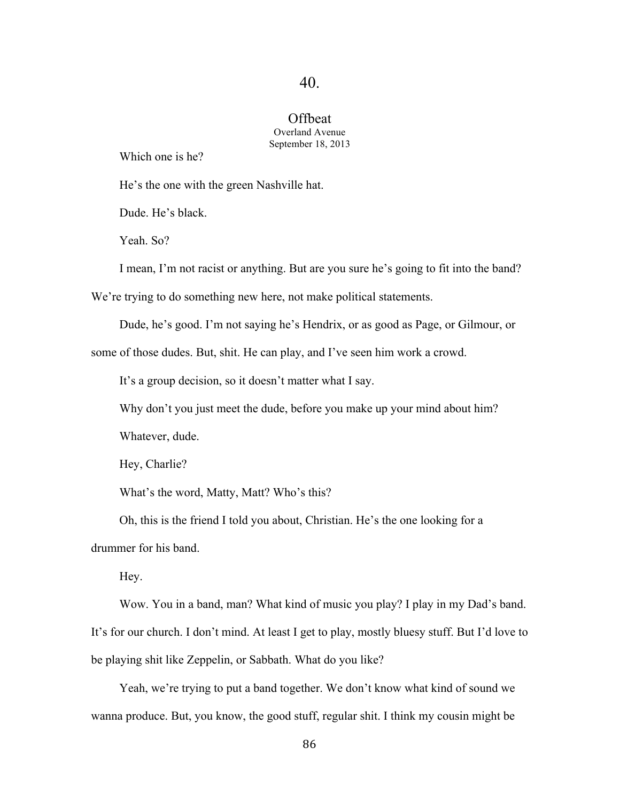#### Offbeat Overland Avenue September 18, 2013

Which one is he?

He's the one with the green Nashville hat.

Dude. He's black.

Yeah. So?

I mean, I'm not racist or anything. But are you sure he's going to fit into the band?

We're trying to do something new here, not make political statements.

Dude, he's good. I'm not saying he's Hendrix, or as good as Page, or Gilmour, or

some of those dudes. But, shit. He can play, and I've seen him work a crowd.

It's a group decision, so it doesn't matter what I say.

Why don't you just meet the dude, before you make up your mind about him?

Whatever, dude.

Hey, Charlie?

What's the word, Matty, Matt? Who's this?

Oh, this is the friend I told you about, Christian. He's the one looking for a drummer for his band.

Hey.

Wow. You in a band, man? What kind of music you play? I play in my Dad's band. It's for our church. I don't mind. At least I get to play, mostly bluesy stuff. But I'd love to be playing shit like Zeppelin, or Sabbath. What do you like?

Yeah, we're trying to put a band together. We don't know what kind of sound we wanna produce. But, you know, the good stuff, regular shit. I think my cousin might be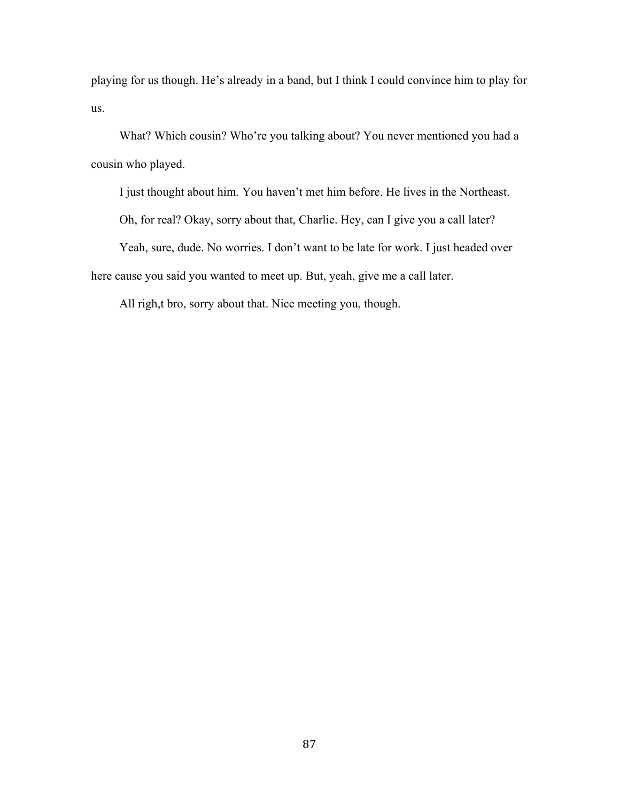playing for us though. He's already in a band, but I think I could convince him to play for us.

What? Which cousin? Who're you talking about? You never mentioned you had a cousin who played.

I just thought about him. You haven't met him before. He lives in the Northeast.

Oh, for real? Okay, sorry about that, Charlie. Hey, can I give you a call later?

Yeah, sure, dude. No worries. I don't want to be late for work. I just headed over here cause you said you wanted to meet up. But, yeah, give me a call later.

All righ,t bro, sorry about that. Nice meeting you, though.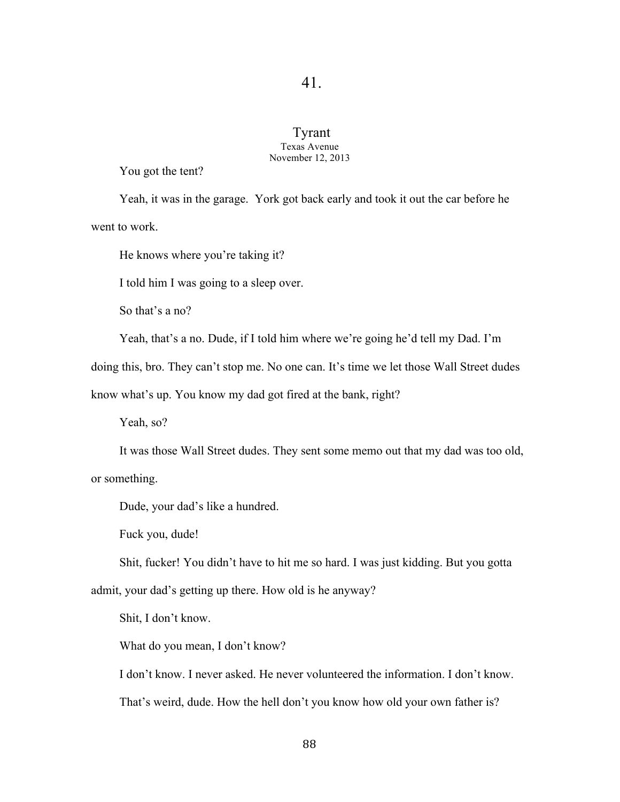### Tyrant Texas Avenue November 12, 2013

You got the tent?

Yeah, it was in the garage. York got back early and took it out the car before he went to work.

He knows where you're taking it?

I told him I was going to a sleep over.

So that's a no?

Yeah, that's a no. Dude, if I told him where we're going he'd tell my Dad. I'm

doing this, bro. They can't stop me. No one can. It's time we let those Wall Street dudes

know what's up. You know my dad got fired at the bank, right?

Yeah, so?

It was those Wall Street dudes. They sent some memo out that my dad was too old,

or something.

Dude, your dad's like a hundred.

Fuck you, dude!

Shit, fucker! You didn't have to hit me so hard. I was just kidding. But you gotta admit, your dad's getting up there. How old is he anyway?

Shit, I don't know.

What do you mean, I don't know?

I don't know. I never asked. He never volunteered the information. I don't know.

That's weird, dude. How the hell don't you know how old your own father is?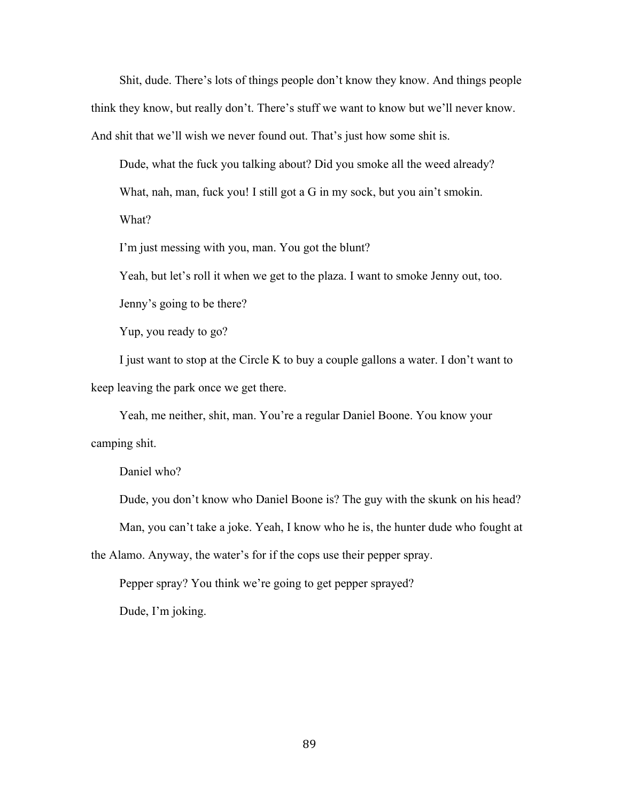Shit, dude. There's lots of things people don't know they know. And things people think they know, but really don't. There's stuff we want to know but we'll never know. And shit that we'll wish we never found out. That's just how some shit is.

Dude, what the fuck you talking about? Did you smoke all the weed already? What, nah, man, fuck you! I still got a G in my sock, but you ain't smokin. What?

I'm just messing with you, man. You got the blunt?

Yeah, but let's roll it when we get to the plaza. I want to smoke Jenny out, too.

Jenny's going to be there?

Yup, you ready to go?

I just want to stop at the Circle K to buy a couple gallons a water. I don't want to keep leaving the park once we get there.

Yeah, me neither, shit, man. You're a regular Daniel Boone. You know your camping shit.

Daniel who?

Dude, you don't know who Daniel Boone is? The guy with the skunk on his head? Man, you can't take a joke. Yeah, I know who he is, the hunter dude who fought at

the Alamo. Anyway, the water's for if the cops use their pepper spray.

Pepper spray? You think we're going to get pepper sprayed?

Dude, I'm joking.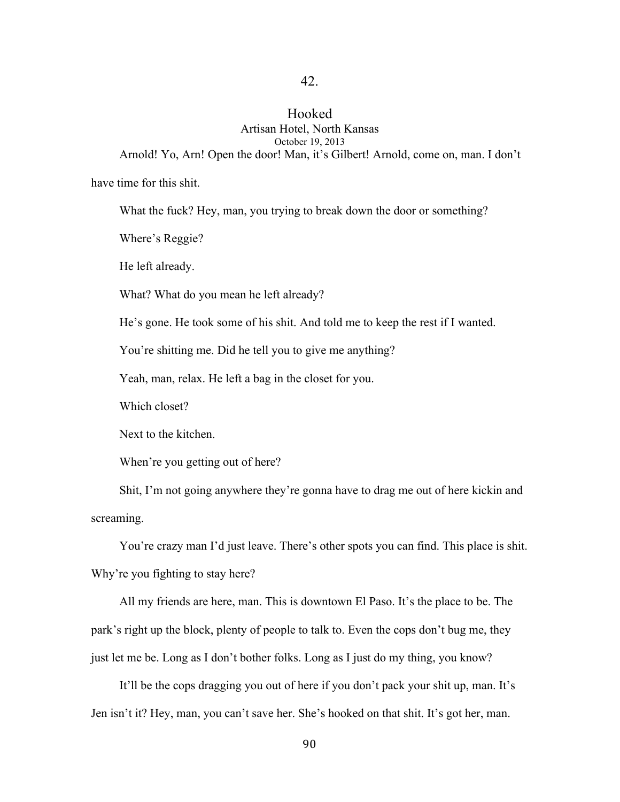### Hooked Artisan Hotel, North Kansas October 19, 2013 Arnold! Yo, Arn! Open the door! Man, it's Gilbert! Arnold, come on, man. I don't

have time for this shit.

What the fuck? Hey, man, you trying to break down the door or something?

Where's Reggie?

He left already.

What? What do you mean he left already?

He's gone. He took some of his shit. And told me to keep the rest if I wanted.

You're shitting me. Did he tell you to give me anything?

Yeah, man, relax. He left a bag in the closet for you.

Which closet?

Next to the kitchen.

When're you getting out of here?

Shit, I'm not going anywhere they're gonna have to drag me out of here kickin and screaming.

You're crazy man I'd just leave. There's other spots you can find. This place is shit. Why're you fighting to stay here?

All my friends are here, man. This is downtown El Paso. It's the place to be. The park's right up the block, plenty of people to talk to. Even the cops don't bug me, they just let me be. Long as I don't bother folks. Long as I just do my thing, you know?

It'll be the cops dragging you out of here if you don't pack your shit up, man. It's Jen isn't it? Hey, man, you can't save her. She's hooked on that shit. It's got her, man.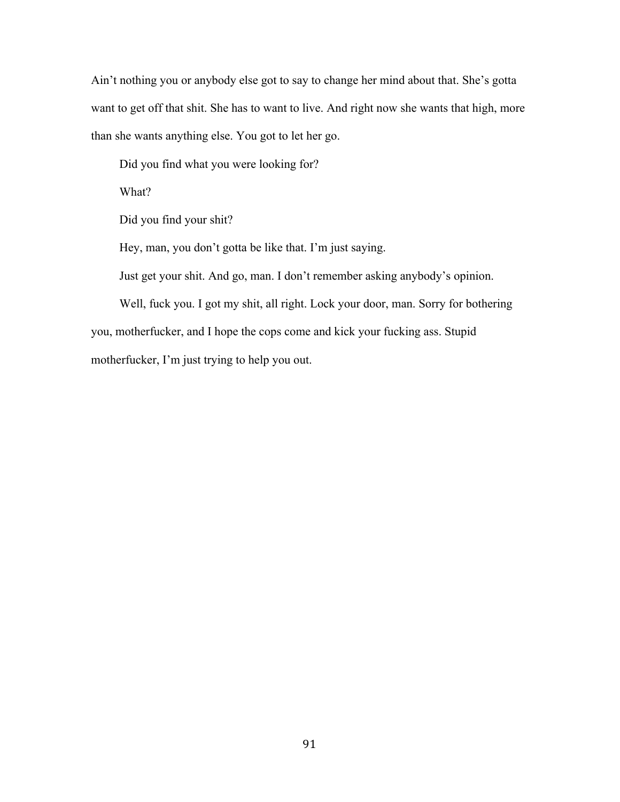Ain't nothing you or anybody else got to say to change her mind about that. She's gotta want to get off that shit. She has to want to live. And right now she wants that high, more than she wants anything else. You got to let her go.

Did you find what you were looking for?

What?

Did you find your shit?

Hey, man, you don't gotta be like that. I'm just saying.

Just get your shit. And go, man. I don't remember asking anybody's opinion.

Well, fuck you. I got my shit, all right. Lock your door, man. Sorry for bothering you, motherfucker, and I hope the cops come and kick your fucking ass. Stupid motherfucker, I'm just trying to help you out.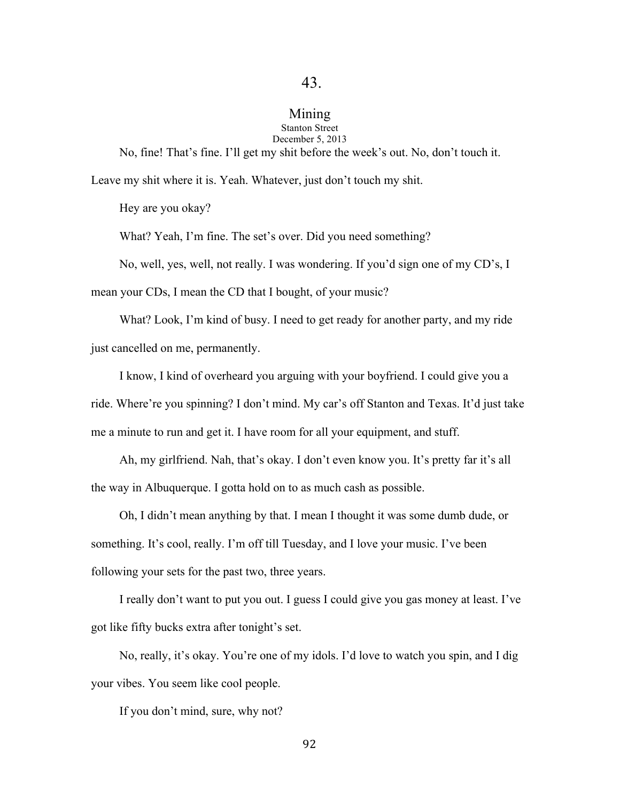#### Mining Stanton Street

# December 5, 2013

No, fine! That's fine. I'll get my shit before the week's out. No, don't touch it. Leave my shit where it is. Yeah. Whatever, just don't touch my shit.

Hey are you okay?

What? Yeah, I'm fine. The set's over. Did you need something?

No, well, yes, well, not really. I was wondering. If you'd sign one of my CD's, I

mean your CDs, I mean the CD that I bought, of your music?

What? Look, I'm kind of busy. I need to get ready for another party, and my ride just cancelled on me, permanently.

I know, I kind of overheard you arguing with your boyfriend. I could give you a ride. Where're you spinning? I don't mind. My car's off Stanton and Texas. It'd just take me a minute to run and get it. I have room for all your equipment, and stuff.

Ah, my girlfriend. Nah, that's okay. I don't even know you. It's pretty far it's all the way in Albuquerque. I gotta hold on to as much cash as possible.

Oh, I didn't mean anything by that. I mean I thought it was some dumb dude, or something. It's cool, really. I'm off till Tuesday, and I love your music. I've been following your sets for the past two, three years.

I really don't want to put you out. I guess I could give you gas money at least. I've got like fifty bucks extra after tonight's set.

No, really, it's okay. You're one of my idols. I'd love to watch you spin, and I dig your vibes. You seem like cool people.

If you don't mind, sure, why not?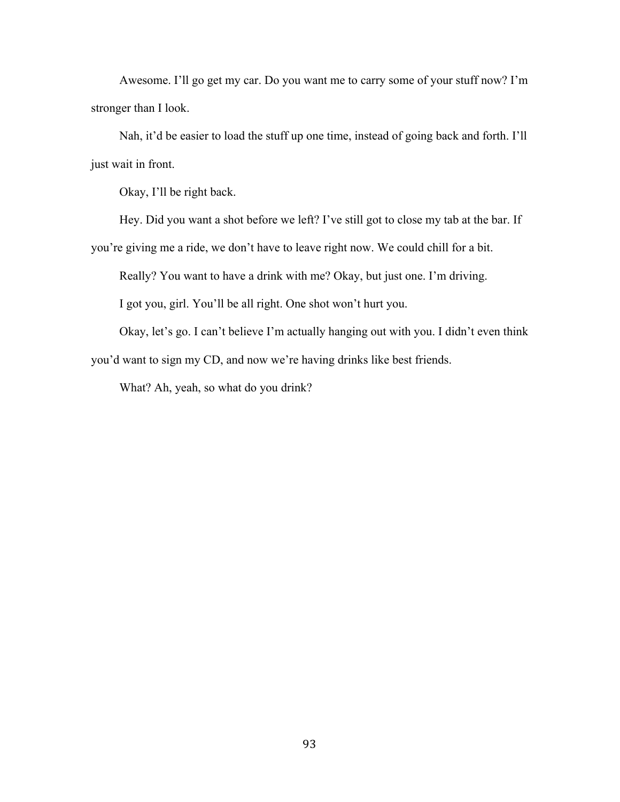Awesome. I'll go get my car. Do you want me to carry some of your stuff now? I'm stronger than I look.

Nah, it'd be easier to load the stuff up one time, instead of going back and forth. I'll just wait in front.

Okay, I'll be right back.

Hey. Did you want a shot before we left? I've still got to close my tab at the bar. If

you're giving me a ride, we don't have to leave right now. We could chill for a bit.

Really? You want to have a drink with me? Okay, but just one. I'm driving.

I got you, girl. You'll be all right. One shot won't hurt you.

Okay, let's go. I can't believe I'm actually hanging out with you. I didn't even think you'd want to sign my CD, and now we're having drinks like best friends.

What? Ah, yeah, so what do you drink?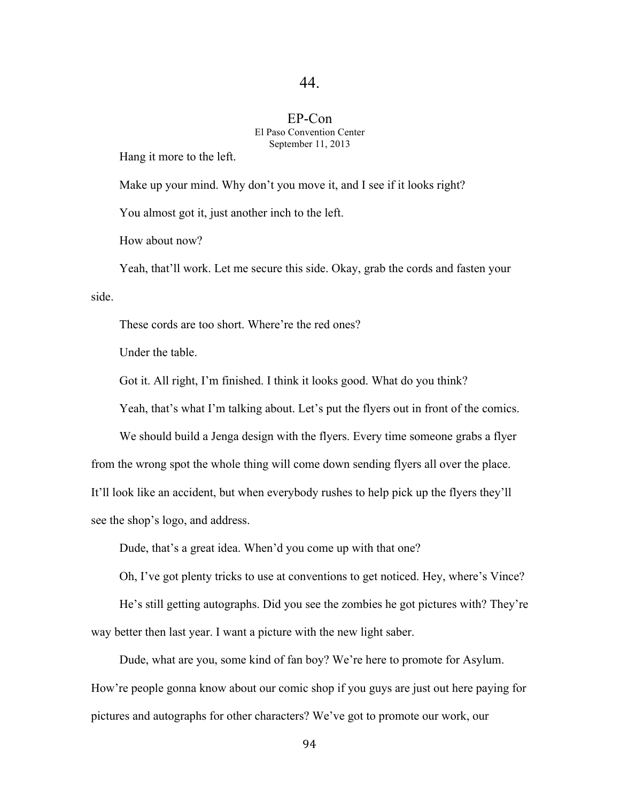### EP-Con El Paso Convention Center September 11, 2013

Hang it more to the left.

Make up your mind. Why don't you move it, and I see if it looks right?

You almost got it, just another inch to the left.

How about now?

Yeah, that'll work. Let me secure this side. Okay, grab the cords and fasten your side.

These cords are too short. Where're the red ones?

Under the table.

Got it. All right, I'm finished. I think it looks good. What do you think?

Yeah, that's what I'm talking about. Let's put the flyers out in front of the comics.

We should build a Jenga design with the flyers. Every time someone grabs a flyer from the wrong spot the whole thing will come down sending flyers all over the place. It'll look like an accident, but when everybody rushes to help pick up the flyers they'll see the shop's logo, and address.

Dude, that's a great idea. When'd you come up with that one?

Oh, I've got plenty tricks to use at conventions to get noticed. Hey, where's Vince?

He's still getting autographs. Did you see the zombies he got pictures with? They're way better then last year. I want a picture with the new light saber.

Dude, what are you, some kind of fan boy? We're here to promote for Asylum. How're people gonna know about our comic shop if you guys are just out here paying for pictures and autographs for other characters? We've got to promote our work, our

94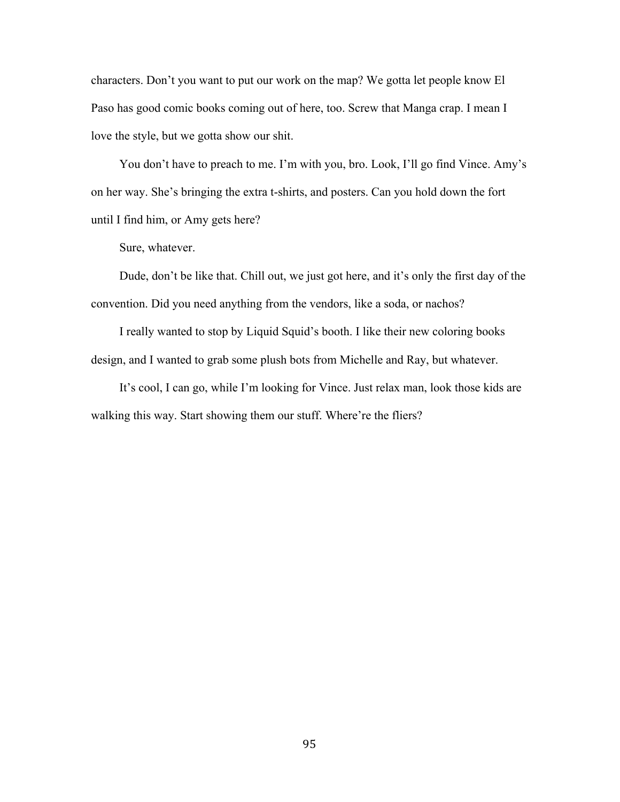characters. Don't you want to put our work on the map? We gotta let people know El Paso has good comic books coming out of here, too. Screw that Manga crap. I mean I love the style, but we gotta show our shit.

You don't have to preach to me. I'm with you, bro. Look, I'll go find Vince. Amy's on her way. She's bringing the extra t-shirts, and posters. Can you hold down the fort until I find him, or Amy gets here?

Sure, whatever.

Dude, don't be like that. Chill out, we just got here, and it's only the first day of the convention. Did you need anything from the vendors, like a soda, or nachos?

I really wanted to stop by Liquid Squid's booth. I like their new coloring books design, and I wanted to grab some plush bots from Michelle and Ray, but whatever.

It's cool, I can go, while I'm looking for Vince. Just relax man, look those kids are walking this way. Start showing them our stuff. Where're the fliers?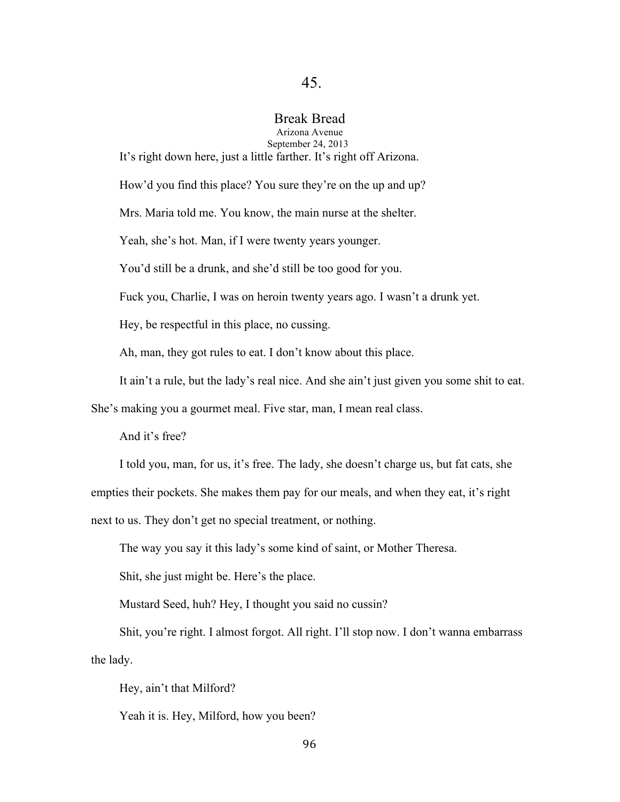# Break Bread

Arizona Avenue September 24, 2013

It's right down here, just a little farther. It's right off Arizona.

How'd you find this place? You sure they're on the up and up?

Mrs. Maria told me. You know, the main nurse at the shelter.

Yeah, she's hot. Man, if I were twenty years younger.

You'd still be a drunk, and she'd still be too good for you.

Fuck you, Charlie, I was on heroin twenty years ago. I wasn't a drunk yet.

Hey, be respectful in this place, no cussing.

Ah, man, they got rules to eat. I don't know about this place.

It ain't a rule, but the lady's real nice. And she ain't just given you some shit to eat.

She's making you a gourmet meal. Five star, man, I mean real class.

And it's free?

I told you, man, for us, it's free. The lady, she doesn't charge us, but fat cats, she empties their pockets. She makes them pay for our meals, and when they eat, it's right next to us. They don't get no special treatment, or nothing.

The way you say it this lady's some kind of saint, or Mother Theresa.

Shit, she just might be. Here's the place.

Mustard Seed, huh? Hey, I thought you said no cussin?

Shit, you're right. I almost forgot. All right. I'll stop now. I don't wanna embarrass the lady.

Hey, ain't that Milford?

Yeah it is. Hey, Milford, how you been?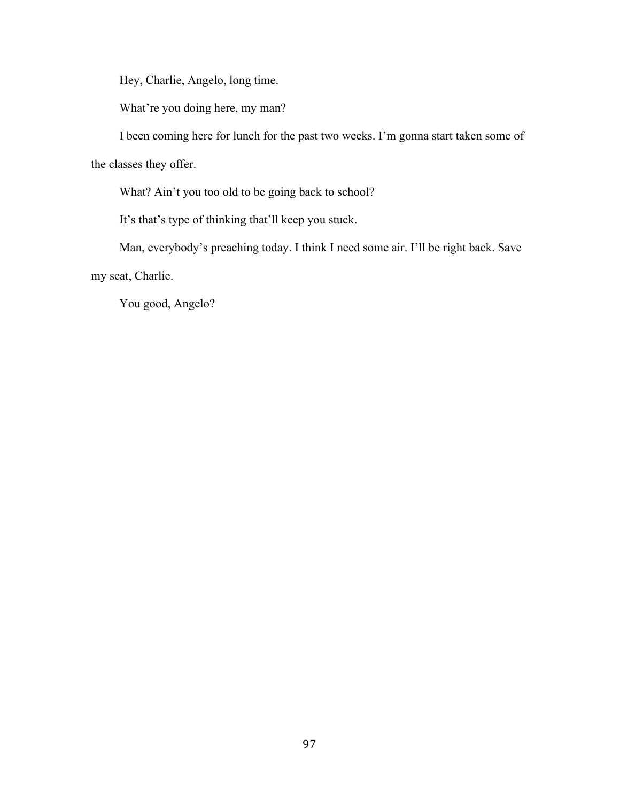Hey, Charlie, Angelo, long time.

What're you doing here, my man?

I been coming here for lunch for the past two weeks. I'm gonna start taken some of the classes they offer.

What? Ain't you too old to be going back to school?

It's that's type of thinking that'll keep you stuck.

Man, everybody's preaching today. I think I need some air. I'll be right back. Save my seat, Charlie.

You good, Angelo?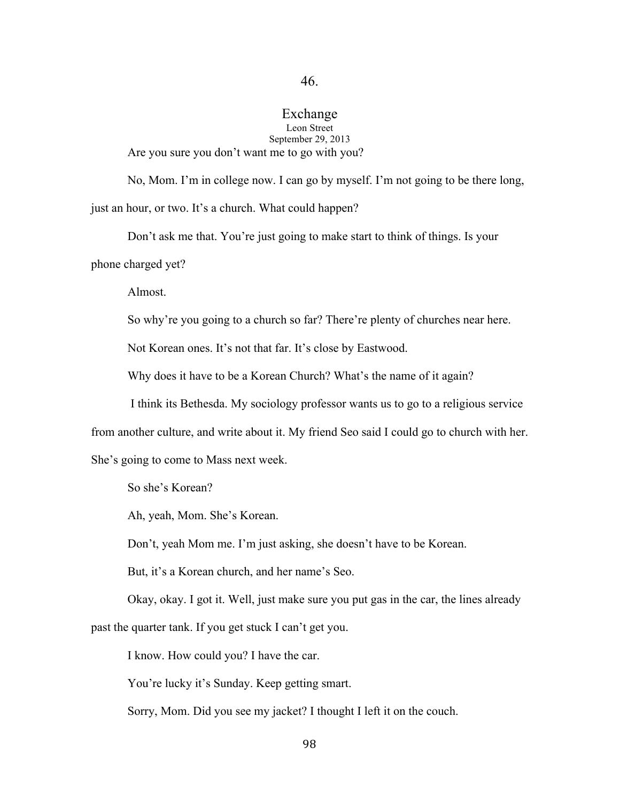## Exchange Leon Street September 29, 2013

Are you sure you don't want me to go with you?

No, Mom. I'm in college now. I can go by myself. I'm not going to be there long, just an hour, or two. It's a church. What could happen?

Don't ask me that. You're just going to make start to think of things. Is your phone charged yet?

Almost.

So why're you going to a church so far? There're plenty of churches near here.

Not Korean ones. It's not that far. It's close by Eastwood.

Why does it have to be a Korean Church? What's the name of it again?

I think its Bethesda. My sociology professor wants us to go to a religious service

from another culture, and write about it. My friend Seo said I could go to church with her.

She's going to come to Mass next week.

So she's Korean?

Ah, yeah, Mom. She's Korean.

Don't, yeah Mom me. I'm just asking, she doesn't have to be Korean.

But, it's a Korean church, and her name's Seo.

Okay, okay. I got it. Well, just make sure you put gas in the car, the lines already

past the quarter tank. If you get stuck I can't get you.

I know. How could you? I have the car.

You're lucky it's Sunday. Keep getting smart.

Sorry, Mom. Did you see my jacket? I thought I left it on the couch.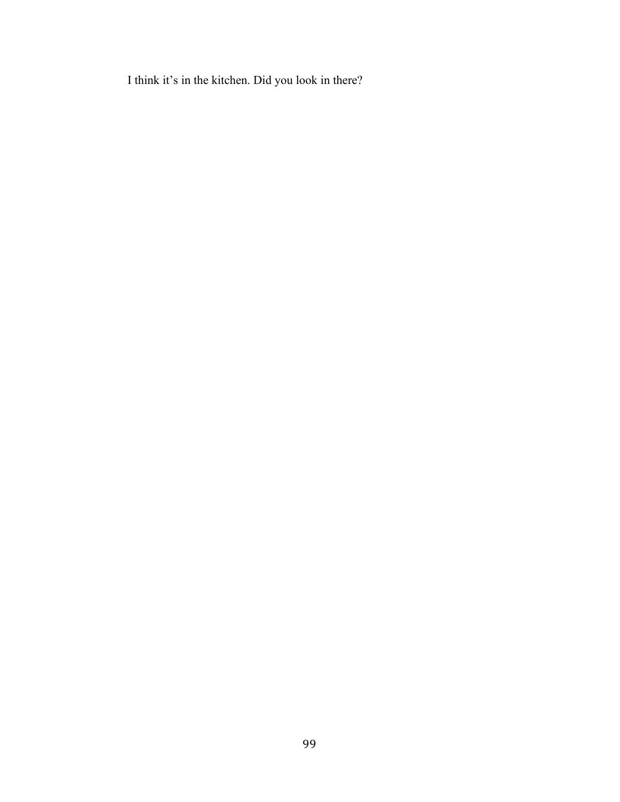I think it's in the kitchen. Did you look in there?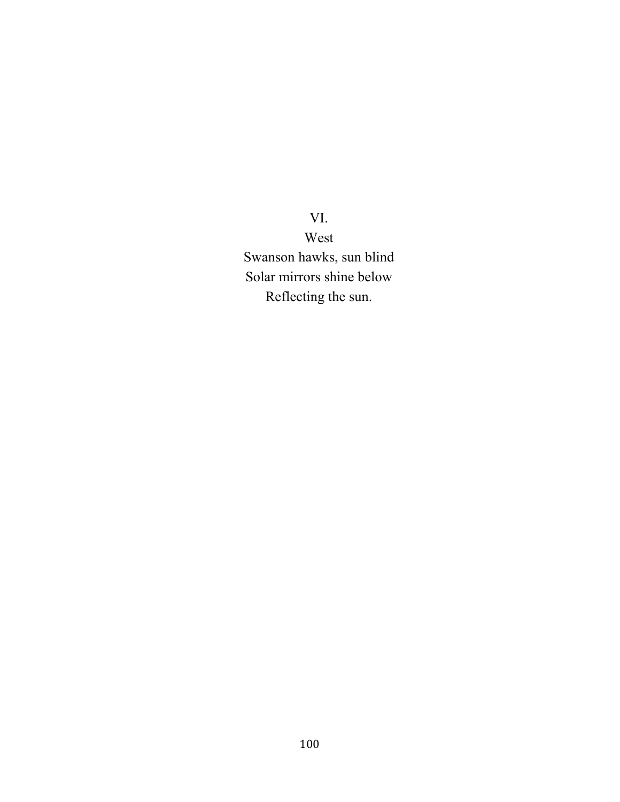VI. West Swanson hawks, sun blind Solar mirrors shine below Reflecting the sun.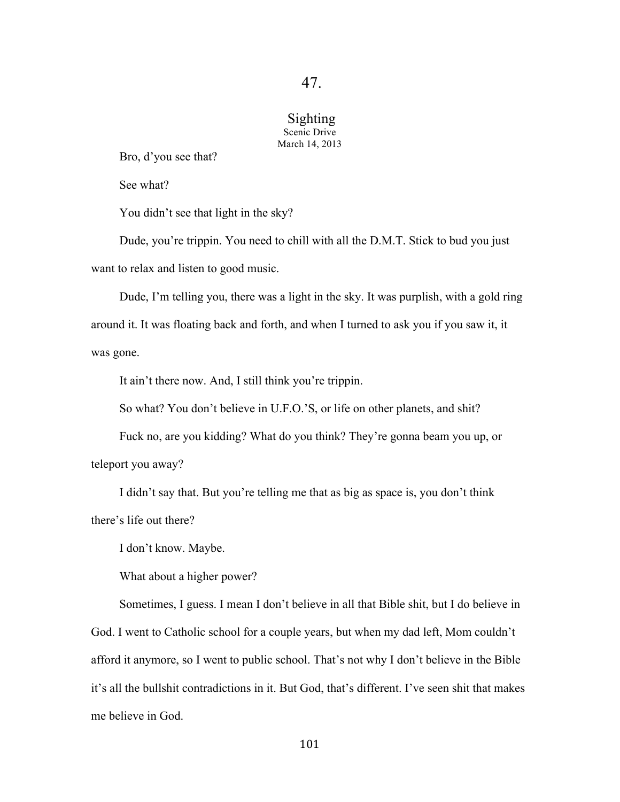### Sighting Scenic Drive March 14, 2013

Bro, d'you see that?

See what?

You didn't see that light in the sky?

Dude, you're trippin. You need to chill with all the D.M.T. Stick to bud you just want to relax and listen to good music.

Dude, I'm telling you, there was a light in the sky. It was purplish, with a gold ring around it. It was floating back and forth, and when I turned to ask you if you saw it, it was gone.

It ain't there now. And, I still think you're trippin.

So what? You don't believe in U.F.O.'S, or life on other planets, and shit?

Fuck no, are you kidding? What do you think? They're gonna beam you up, or teleport you away?

I didn't say that. But you're telling me that as big as space is, you don't think there's life out there?

I don't know. Maybe.

What about a higher power?

Sometimes, I guess. I mean I don't believe in all that Bible shit, but I do believe in God. I went to Catholic school for a couple years, but when my dad left, Mom couldn't afford it anymore, so I went to public school. That's not why I don't believe in the Bible it's all the bullshit contradictions in it. But God, that's different. I've seen shit that makes me believe in God.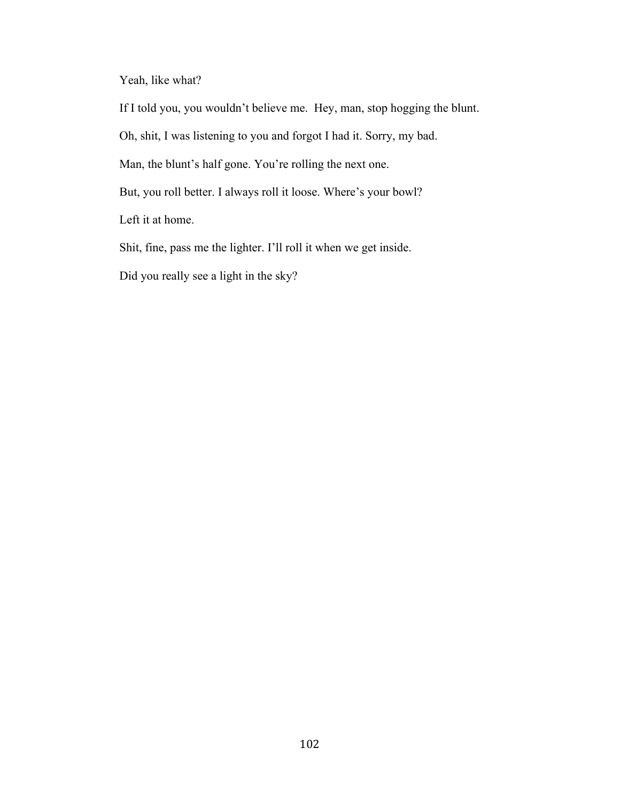Yeah, like what?

If I told you, you wouldn't believe me. Hey, man, stop hogging the blunt.

Oh, shit, I was listening to you and forgot I had it. Sorry, my bad.

Man, the blunt's half gone. You're rolling the next one.

But, you roll better. I always roll it loose. Where's your bowl?

Left it at home.

Shit, fine, pass me the lighter. I'll roll it when we get inside.

Did you really see a light in the sky?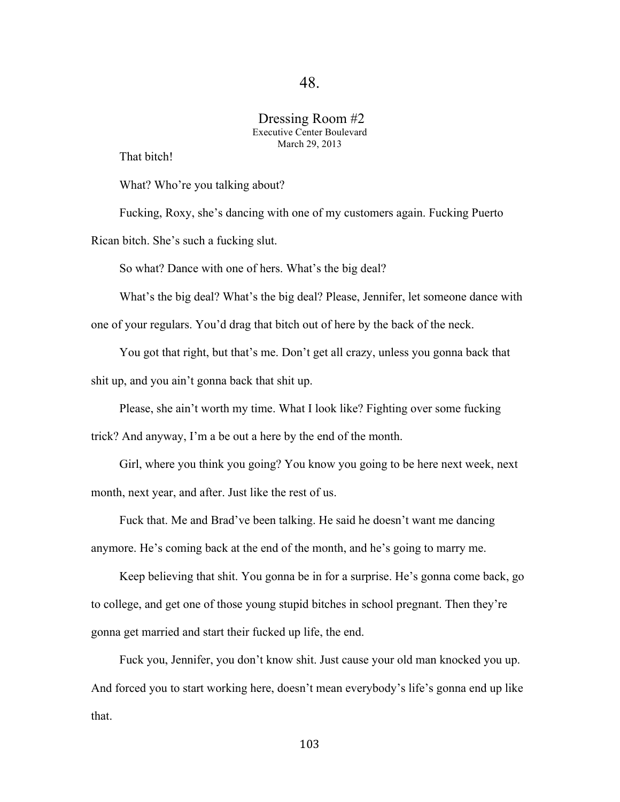### Dressing Room #2 Executive Center Boulevard March 29, 2013

That bitch!

What? Who're you talking about?

Fucking, Roxy, she's dancing with one of my customers again. Fucking Puerto Rican bitch. She's such a fucking slut.

So what? Dance with one of hers. What's the big deal?

What's the big deal? What's the big deal? Please, Jennifer, let someone dance with

one of your regulars. You'd drag that bitch out of here by the back of the neck.

You got that right, but that's me. Don't get all crazy, unless you gonna back that

shit up, and you ain't gonna back that shit up.

Please, she ain't worth my time. What I look like? Fighting over some fucking

trick? And anyway, I'm a be out a here by the end of the month.

Girl, where you think you going? You know you going to be here next week, next month, next year, and after. Just like the rest of us.

Fuck that. Me and Brad've been talking. He said he doesn't want me dancing anymore. He's coming back at the end of the month, and he's going to marry me.

Keep believing that shit. You gonna be in for a surprise. He's gonna come back, go to college, and get one of those young stupid bitches in school pregnant. Then they're gonna get married and start their fucked up life, the end.

Fuck you, Jennifer, you don't know shit. Just cause your old man knocked you up. And forced you to start working here, doesn't mean everybody's life's gonna end up like that.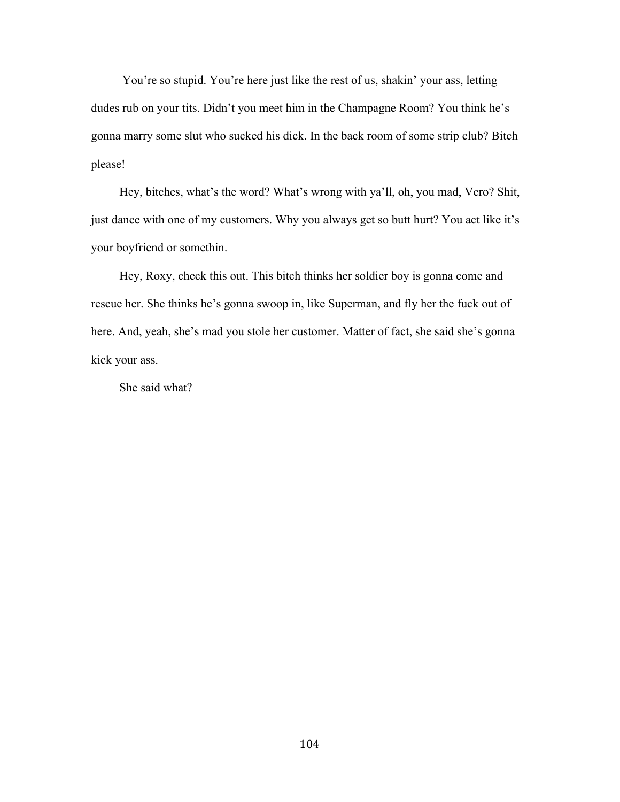You're so stupid. You're here just like the rest of us, shakin' your ass, letting dudes rub on your tits. Didn't you meet him in the Champagne Room? You think he's gonna marry some slut who sucked his dick. In the back room of some strip club? Bitch please!

Hey, bitches, what's the word? What's wrong with ya'll, oh, you mad, Vero? Shit, just dance with one of my customers. Why you always get so butt hurt? You act like it's your boyfriend or somethin.

Hey, Roxy, check this out. This bitch thinks her soldier boy is gonna come and rescue her. She thinks he's gonna swoop in, like Superman, and fly her the fuck out of here. And, yeah, she's mad you stole her customer. Matter of fact, she said she's gonna kick your ass.

She said what?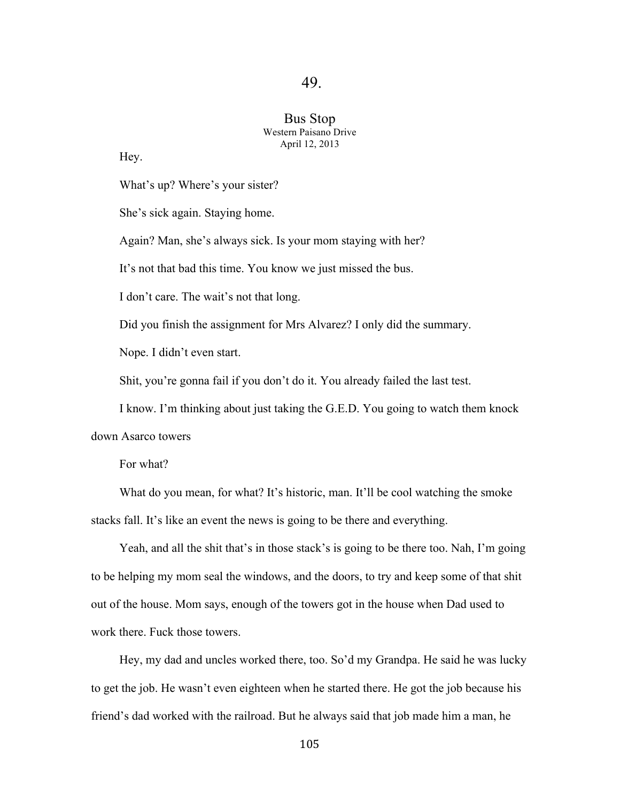### Bus Stop Western Paisano Drive April 12, 2013

Hey.

What's up? Where's your sister?

She's sick again. Staying home.

Again? Man, she's always sick. Is your mom staying with her?

It's not that bad this time. You know we just missed the bus.

I don't care. The wait's not that long.

Did you finish the assignment for Mrs Alvarez? I only did the summary.

Nope. I didn't even start.

Shit, you're gonna fail if you don't do it. You already failed the last test.

I know. I'm thinking about just taking the G.E.D. You going to watch them knock

down Asarco towers

For what?

What do you mean, for what? It's historic, man. It'll be cool watching the smoke stacks fall. It's like an event the news is going to be there and everything.

Yeah, and all the shit that's in those stack's is going to be there too. Nah, I'm going to be helping my mom seal the windows, and the doors, to try and keep some of that shit out of the house. Mom says, enough of the towers got in the house when Dad used to work there. Fuck those towers.

Hey, my dad and uncles worked there, too. So'd my Grandpa. He said he was lucky to get the job. He wasn't even eighteen when he started there. He got the job because his friend's dad worked with the railroad. But he always said that job made him a man, he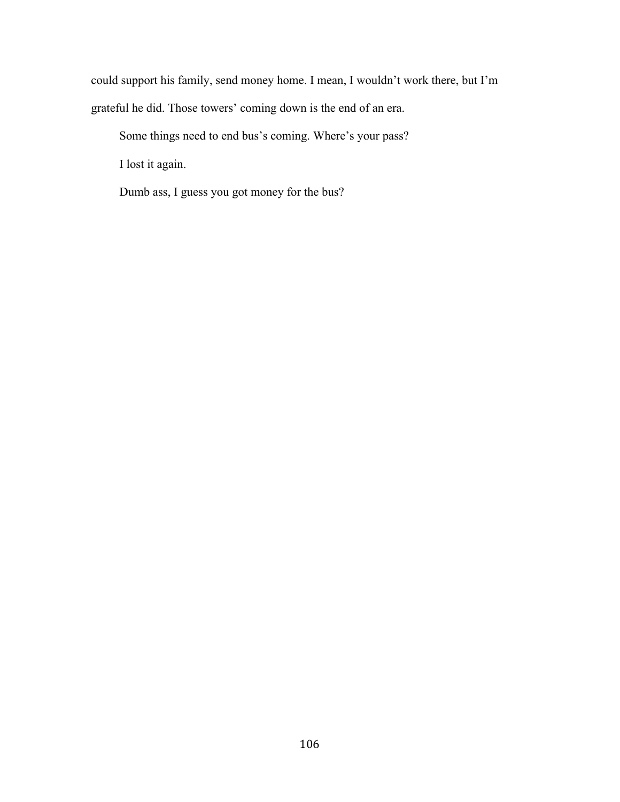could support his family, send money home. I mean, I wouldn't work there, but I'm grateful he did. Those towers' coming down is the end of an era.

Some things need to end bus's coming. Where's your pass?

I lost it again.

Dumb ass, I guess you got money for the bus?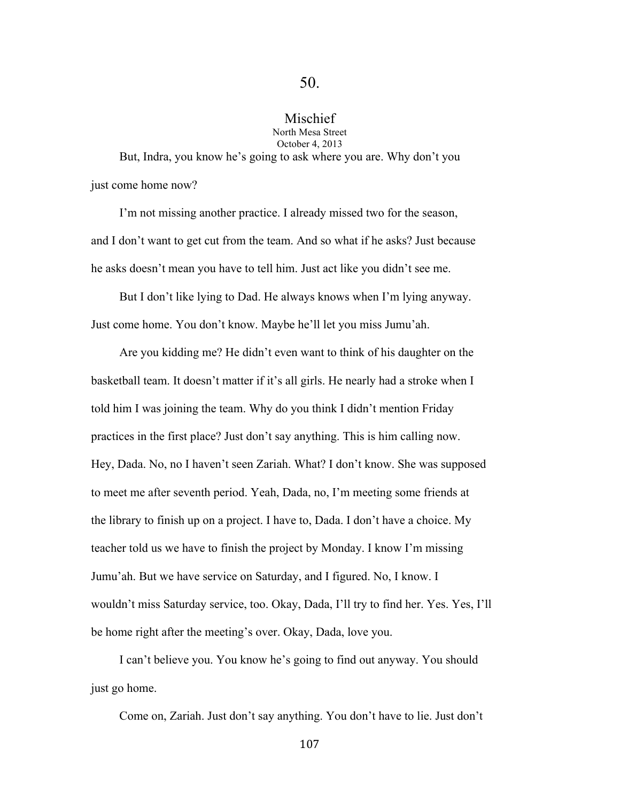## Mischief

North Mesa Street October 4, 2013

But, Indra, you know he's going to ask where you are. Why don't you just come home now?

I'm not missing another practice. I already missed two for the season, and I don't want to get cut from the team. And so what if he asks? Just because he asks doesn't mean you have to tell him. Just act like you didn't see me.

But I don't like lying to Dad. He always knows when I'm lying anyway. Just come home. You don't know. Maybe he'll let you miss Jumu'ah.

Are you kidding me? He didn't even want to think of his daughter on the basketball team. It doesn't matter if it's all girls. He nearly had a stroke when I told him I was joining the team. Why do you think I didn't mention Friday practices in the first place? Just don't say anything. This is him calling now. Hey, Dada. No, no I haven't seen Zariah. What? I don't know. She was supposed to meet me after seventh period. Yeah, Dada, no, I'm meeting some friends at the library to finish up on a project. I have to, Dada. I don't have a choice. My teacher told us we have to finish the project by Monday. I know I'm missing Jumu'ah. But we have service on Saturday, and I figured. No, I know. I wouldn't miss Saturday service, too. Okay, Dada, I'll try to find her. Yes. Yes, I'll be home right after the meeting's over. Okay, Dada, love you.

I can't believe you. You know he's going to find out anyway. You should just go home.

Come on, Zariah. Just don't say anything. You don't have to lie. Just don't

107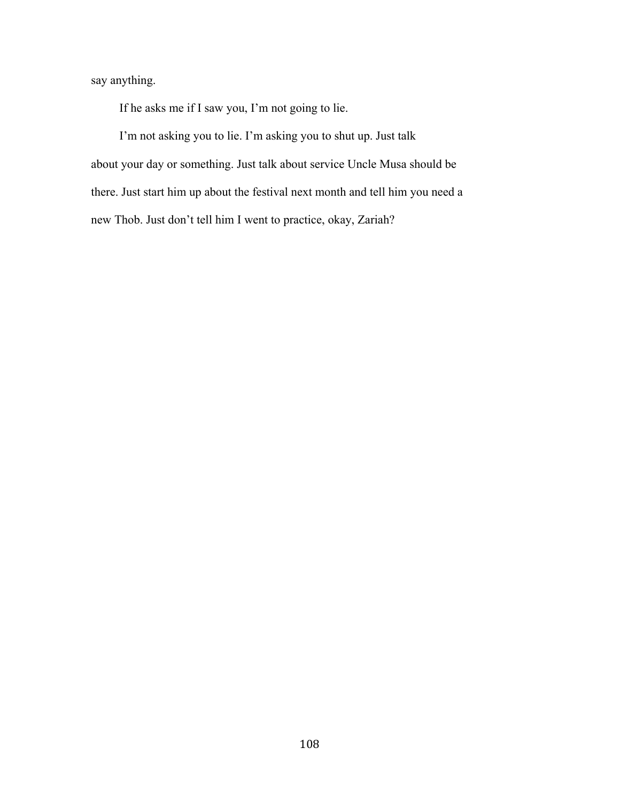say anything.

If he asks me if I saw you, I'm not going to lie.

I'm not asking you to lie. I'm asking you to shut up. Just talk about your day or something. Just talk about service Uncle Musa should be there. Just start him up about the festival next month and tell him you need a new Thob. Just don't tell him I went to practice, okay, Zariah?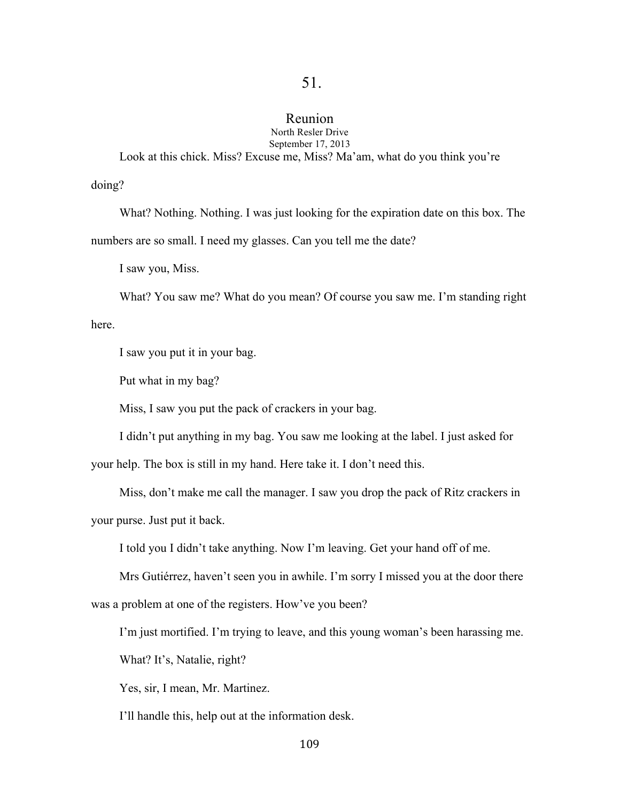# Reunion

North Resler Drive September 17, 2013

Look at this chick. Miss? Excuse me, Miss? Ma'am, what do you think you're

doing?

What? Nothing. Nothing. I was just looking for the expiration date on this box. The numbers are so small. I need my glasses. Can you tell me the date?

I saw you, Miss.

What? You saw me? What do you mean? Of course you saw me. I'm standing right

here.

I saw you put it in your bag.

Put what in my bag?

Miss, I saw you put the pack of crackers in your bag.

I didn't put anything in my bag. You saw me looking at the label. I just asked for

your help. The box is still in my hand. Here take it. I don't need this.

Miss, don't make me call the manager. I saw you drop the pack of Ritz crackers in your purse. Just put it back.

I told you I didn't take anything. Now I'm leaving. Get your hand off of me.

Mrs Gutiérrez, haven't seen you in awhile. I'm sorry I missed you at the door there

was a problem at one of the registers. How've you been?

I'm just mortified. I'm trying to leave, and this young woman's been harassing me.

What? It's, Natalie, right?

Yes, sir, I mean, Mr. Martinez.

I'll handle this, help out at the information desk.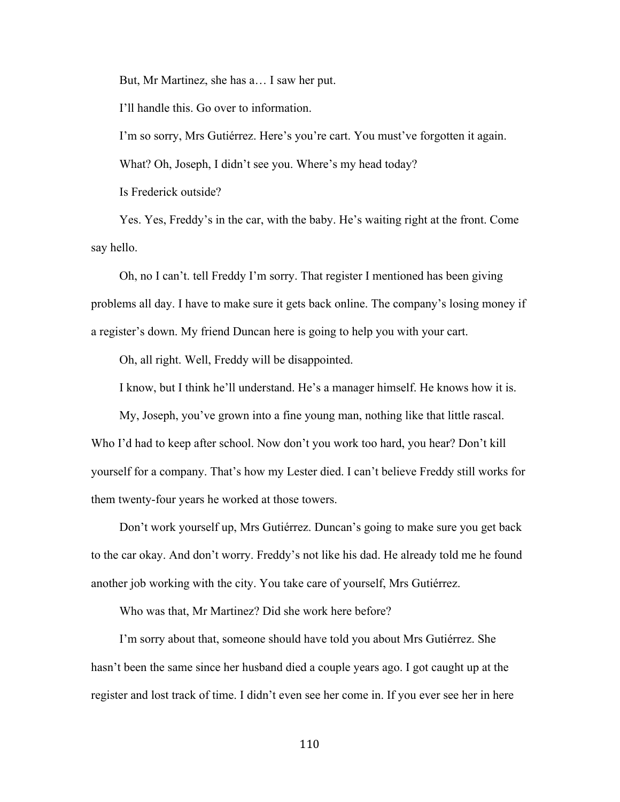But, Mr Martinez, she has a… I saw her put.

I'll handle this. Go over to information.

I'm so sorry, Mrs Gutiérrez. Here's you're cart. You must've forgotten it again.

What? Oh, Joseph, I didn't see you. Where's my head today?

Is Frederick outside?

Yes. Yes, Freddy's in the car, with the baby. He's waiting right at the front. Come say hello.

Oh, no I can't. tell Freddy I'm sorry. That register I mentioned has been giving problems all day. I have to make sure it gets back online. The company's losing money if a register's down. My friend Duncan here is going to help you with your cart.

Oh, all right. Well, Freddy will be disappointed.

I know, but I think he'll understand. He's a manager himself. He knows how it is.

My, Joseph, you've grown into a fine young man, nothing like that little rascal. Who I'd had to keep after school. Now don't you work too hard, you hear? Don't kill yourself for a company. That's how my Lester died. I can't believe Freddy still works for them twenty-four years he worked at those towers.

Don't work yourself up, Mrs Gutiérrez. Duncan's going to make sure you get back to the car okay. And don't worry. Freddy's not like his dad. He already told me he found another job working with the city. You take care of yourself, Mrs Gutiérrez.

Who was that, Mr Martinez? Did she work here before?

I'm sorry about that, someone should have told you about Mrs Gutiérrez. She hasn't been the same since her husband died a couple years ago. I got caught up at the register and lost track of time. I didn't even see her come in. If you ever see her in here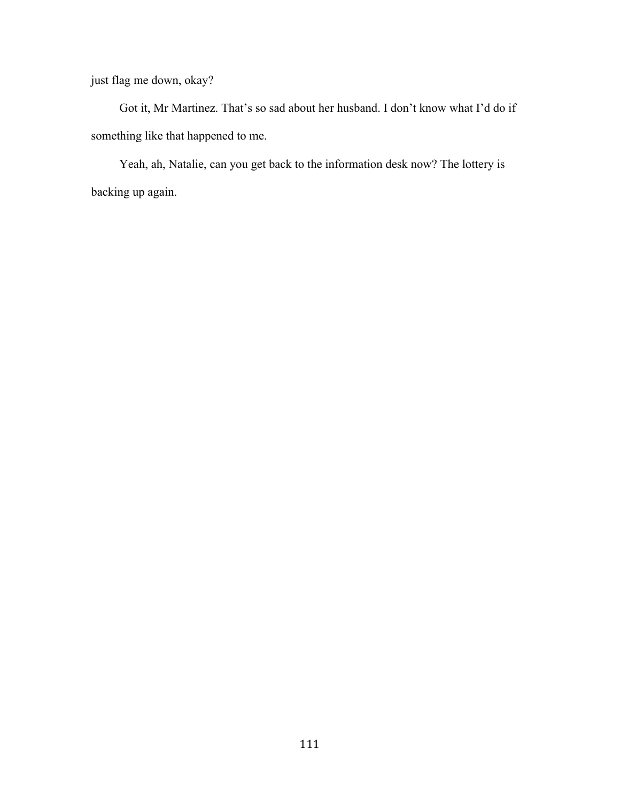just flag me down, okay?

Got it, Mr Martinez. That's so sad about her husband. I don't know what I'd do if something like that happened to me.

Yeah, ah, Natalie, can you get back to the information desk now? The lottery is backing up again.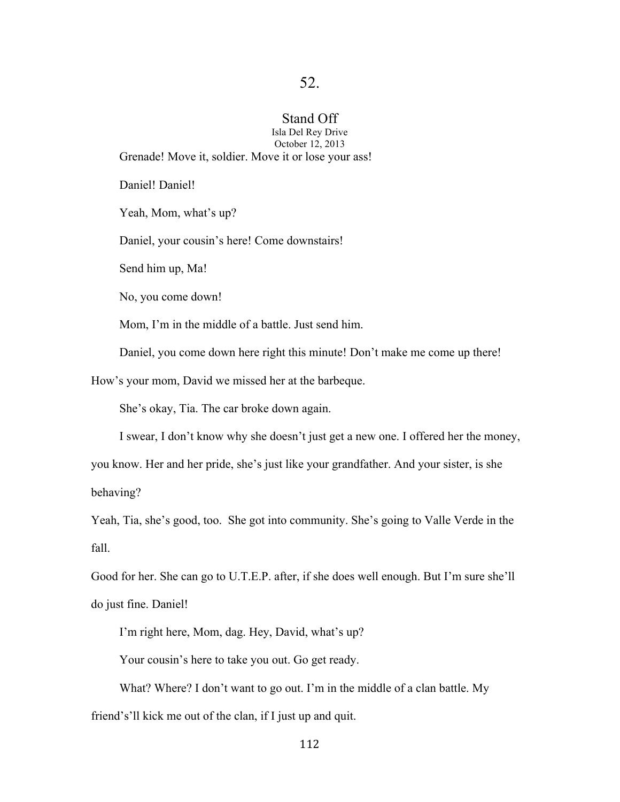# Stand Off

Isla Del Rey Drive October 12, 2013 Grenade! Move it, soldier. Move it or lose your ass!

Daniel! Daniel!

Yeah, Mom, what's up?

Daniel, your cousin's here! Come downstairs!

Send him up, Ma!

No, you come down!

Mom, I'm in the middle of a battle. Just send him.

Daniel, you come down here right this minute! Don't make me come up there!

How's your mom, David we missed her at the barbeque.

She's okay, Tia. The car broke down again.

I swear, I don't know why she doesn't just get a new one. I offered her the money,

you know. Her and her pride, she's just like your grandfather. And your sister, is she behaving?

Yeah, Tia, she's good, too. She got into community. She's going to Valle Verde in the fall.

Good for her. She can go to U.T.E.P. after, if she does well enough. But I'm sure she'll do just fine. Daniel!

I'm right here, Mom, dag. Hey, David, what's up?

Your cousin's here to take you out. Go get ready.

What? Where? I don't want to go out. I'm in the middle of a clan battle. My friend's'll kick me out of the clan, if I just up and quit.

112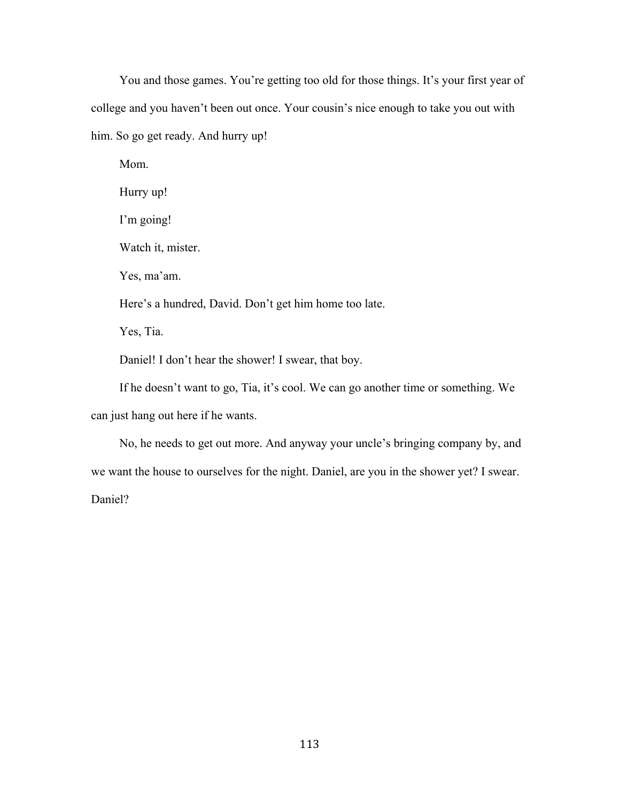You and those games. You're getting too old for those things. It's your first year of college and you haven't been out once. Your cousin's nice enough to take you out with him. So go get ready. And hurry up!

Mom. Hurry up!

I'm going!

Watch it, mister.

Yes, ma'am.

Here's a hundred, David. Don't get him home too late.

Yes, Tia.

Daniel! I don't hear the shower! I swear, that boy.

If he doesn't want to go, Tia, it's cool. We can go another time or something. We can just hang out here if he wants.

No, he needs to get out more. And anyway your uncle's bringing company by, and we want the house to ourselves for the night. Daniel, are you in the shower yet? I swear. Daniel?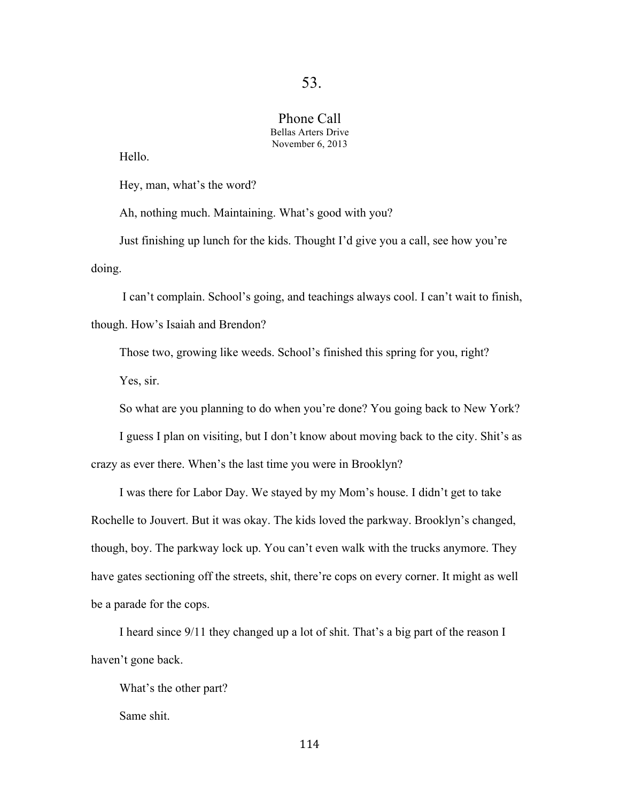### Phone Call Bellas Arters Drive November 6, 2013

Hello.

Hey, man, what's the word?

Ah, nothing much. Maintaining. What's good with you?

Just finishing up lunch for the kids. Thought I'd give you a call, see how you're doing.

I can't complain. School's going, and teachings always cool. I can't wait to finish, though. How's Isaiah and Brendon?

Those two, growing like weeds. School's finished this spring for you, right?

Yes, sir.

So what are you planning to do when you're done? You going back to New York?

I guess I plan on visiting, but I don't know about moving back to the city. Shit's as crazy as ever there. When's the last time you were in Brooklyn?

I was there for Labor Day. We stayed by my Mom's house. I didn't get to take Rochelle to Jouvert. But it was okay. The kids loved the parkway. Brooklyn's changed, though, boy. The parkway lock up. You can't even walk with the trucks anymore. They have gates sectioning off the streets, shit, there're cops on every corner. It might as well be a parade for the cops.

I heard since 9/11 they changed up a lot of shit. That's a big part of the reason I haven't gone back.

What's the other part?

Same shit.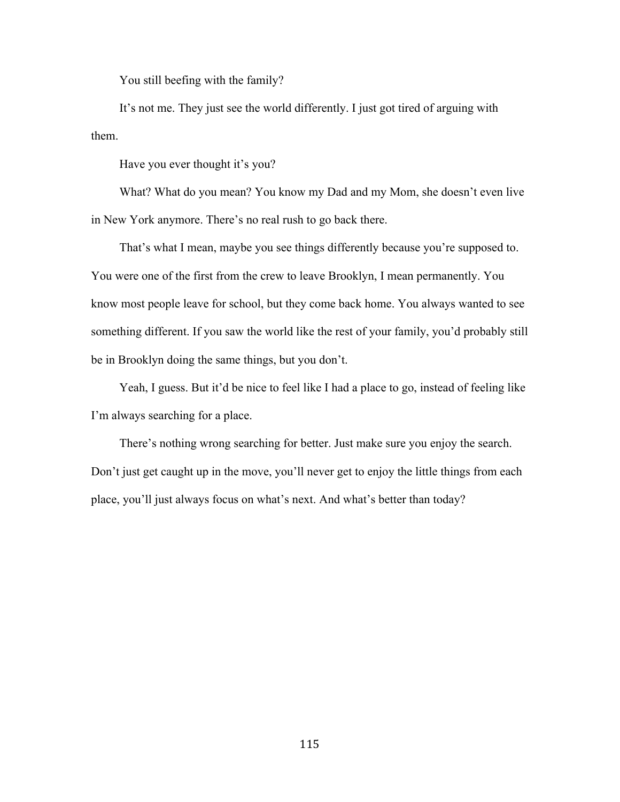You still beefing with the family?

It's not me. They just see the world differently. I just got tired of arguing with them.

Have you ever thought it's you?

What? What do you mean? You know my Dad and my Mom, she doesn't even live in New York anymore. There's no real rush to go back there.

That's what I mean, maybe you see things differently because you're supposed to. You were one of the first from the crew to leave Brooklyn, I mean permanently. You know most people leave for school, but they come back home. You always wanted to see something different. If you saw the world like the rest of your family, you'd probably still be in Brooklyn doing the same things, but you don't.

Yeah, I guess. But it'd be nice to feel like I had a place to go, instead of feeling like I'm always searching for a place.

There's nothing wrong searching for better. Just make sure you enjoy the search. Don't just get caught up in the move, you'll never get to enjoy the little things from each place, you'll just always focus on what's next. And what's better than today?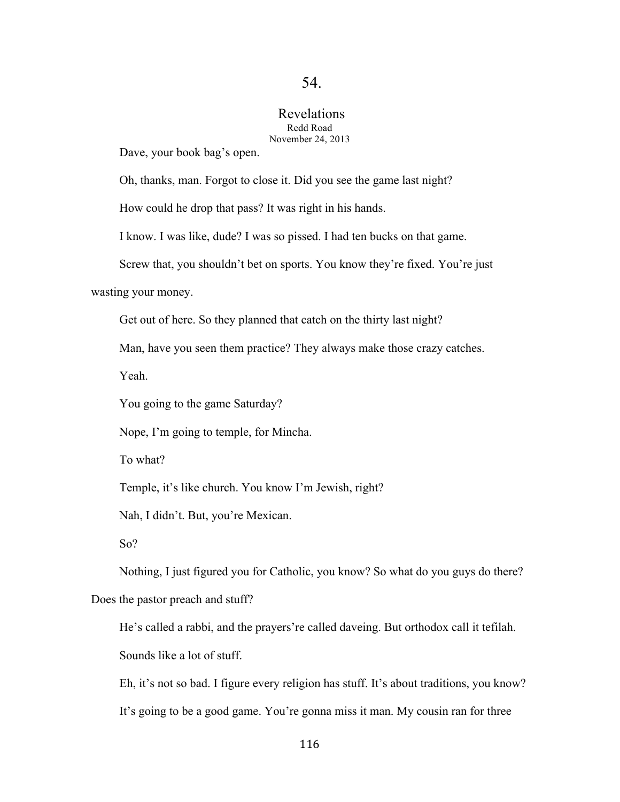#### Revelations Redd Road November 24, 2013

Dave, your book bag's open.

Oh, thanks, man. Forgot to close it. Did you see the game last night?

How could he drop that pass? It was right in his hands.

I know. I was like, dude? I was so pissed. I had ten bucks on that game.

Screw that, you shouldn't bet on sports. You know they're fixed. You're just

wasting your money.

Get out of here. So they planned that catch on the thirty last night?

Man, have you seen them practice? They always make those crazy catches.

Yeah.

You going to the game Saturday?

Nope, I'm going to temple, for Mincha.

To what?

Temple, it's like church. You know I'm Jewish, right?

Nah, I didn't. But, you're Mexican.

So?

Nothing, I just figured you for Catholic, you know? So what do you guys do there?

Does the pastor preach and stuff?

He's called a rabbi, and the prayers're called daveing. But orthodox call it tefilah. Sounds like a lot of stuff.

Eh, it's not so bad. I figure every religion has stuff. It's about traditions, you know? It's going to be a good game. You're gonna miss it man. My cousin ran for three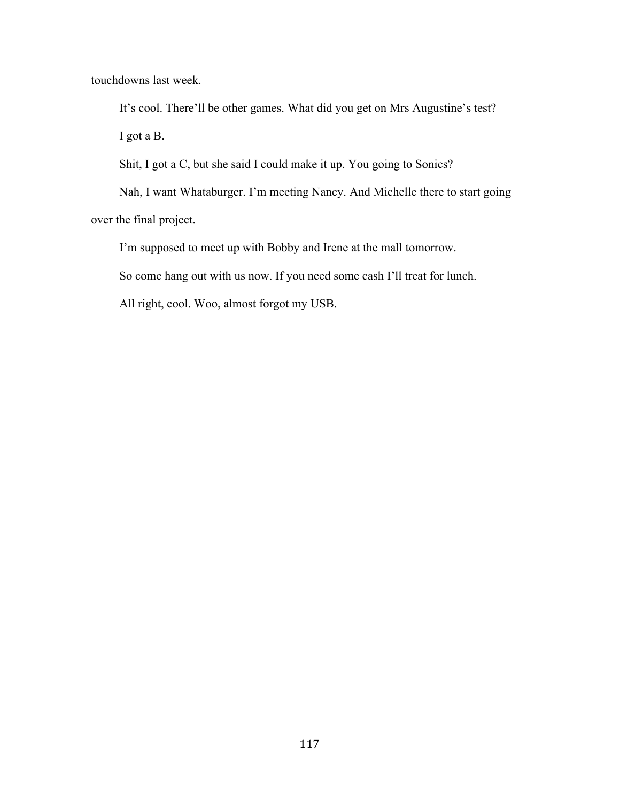touchdowns last week.

It's cool. There'll be other games. What did you get on Mrs Augustine's test? I got a B.

Shit, I got a C, but she said I could make it up. You going to Sonics?

Nah, I want Whataburger. I'm meeting Nancy. And Michelle there to start going over the final project.

I'm supposed to meet up with Bobby and Irene at the mall tomorrow.

So come hang out with us now. If you need some cash I'll treat for lunch.

All right, cool. Woo, almost forgot my USB.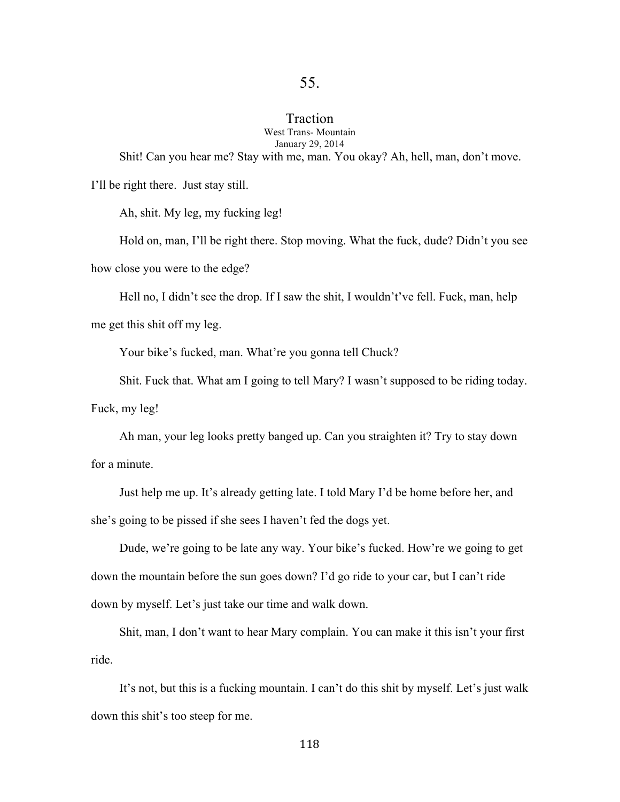# Traction

West Trans- Mountain January 29, 2014

Shit! Can you hear me? Stay with me, man. You okay? Ah, hell, man, don't move.

I'll be right there. Just stay still.

Ah, shit. My leg, my fucking leg!

Hold on, man, I'll be right there. Stop moving. What the fuck, dude? Didn't you see how close you were to the edge?

Hell no, I didn't see the drop. If I saw the shit, I wouldn't've fell. Fuck, man, help

me get this shit off my leg.

Your bike's fucked, man. What're you gonna tell Chuck?

Shit. Fuck that. What am I going to tell Mary? I wasn't supposed to be riding today.

Fuck, my leg!

Ah man, your leg looks pretty banged up. Can you straighten it? Try to stay down for a minute.

Just help me up. It's already getting late. I told Mary I'd be home before her, and she's going to be pissed if she sees I haven't fed the dogs yet.

Dude, we're going to be late any way. Your bike's fucked. How're we going to get down the mountain before the sun goes down? I'd go ride to your car, but I can't ride down by myself. Let's just take our time and walk down.

Shit, man, I don't want to hear Mary complain. You can make it this isn't your first ride.

It's not, but this is a fucking mountain. I can't do this shit by myself. Let's just walk down this shit's too steep for me.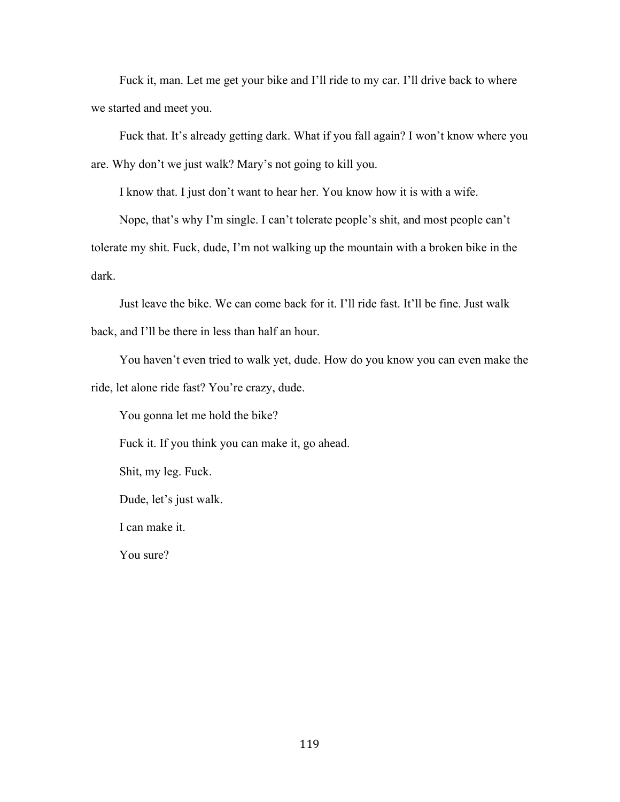Fuck it, man. Let me get your bike and I'll ride to my car. I'll drive back to where we started and meet you.

Fuck that. It's already getting dark. What if you fall again? I won't know where you are. Why don't we just walk? Mary's not going to kill you.

I know that. I just don't want to hear her. You know how it is with a wife.

Nope, that's why I'm single. I can't tolerate people's shit, and most people can't tolerate my shit. Fuck, dude, I'm not walking up the mountain with a broken bike in the dark.

Just leave the bike. We can come back for it. I'll ride fast. It'll be fine. Just walk back, and I'll be there in less than half an hour.

You haven't even tried to walk yet, dude. How do you know you can even make the ride, let alone ride fast? You're crazy, dude.

You gonna let me hold the bike?

Fuck it. If you think you can make it, go ahead.

Shit, my leg. Fuck.

Dude, let's just walk.

I can make it.

You sure?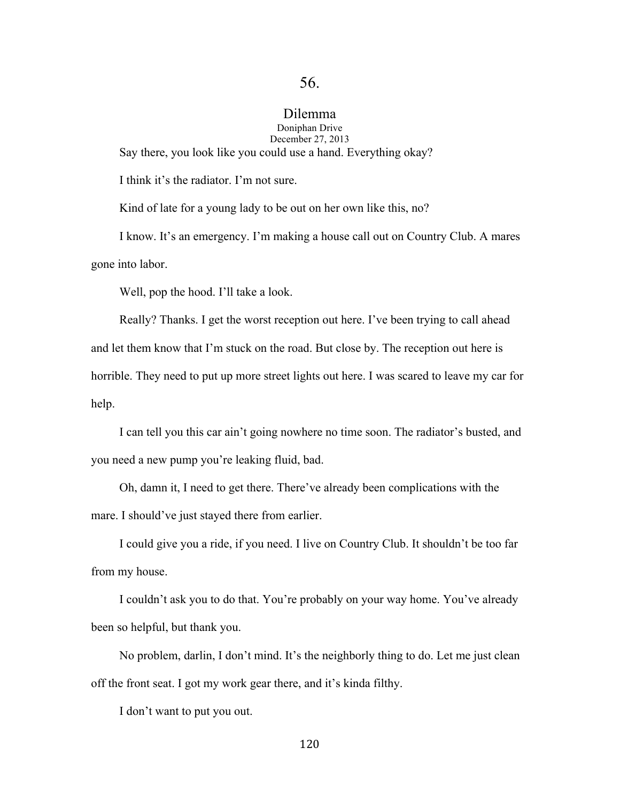#### Dilemma Doniphan Drive December 27, 2013

Say there, you look like you could use a hand. Everything okay?

I think it's the radiator. I'm not sure.

Kind of late for a young lady to be out on her own like this, no?

I know. It's an emergency. I'm making a house call out on Country Club. A mares gone into labor.

Well, pop the hood. I'll take a look.

Really? Thanks. I get the worst reception out here. I've been trying to call ahead and let them know that I'm stuck on the road. But close by. The reception out here is horrible. They need to put up more street lights out here. I was scared to leave my car for help.

I can tell you this car ain't going nowhere no time soon. The radiator's busted, and you need a new pump you're leaking fluid, bad.

Oh, damn it, I need to get there. There've already been complications with the mare. I should've just stayed there from earlier.

I could give you a ride, if you need. I live on Country Club. It shouldn't be too far from my house.

I couldn't ask you to do that. You're probably on your way home. You've already been so helpful, but thank you.

No problem, darlin, I don't mind. It's the neighborly thing to do. Let me just clean off the front seat. I got my work gear there, and it's kinda filthy.

I don't want to put you out.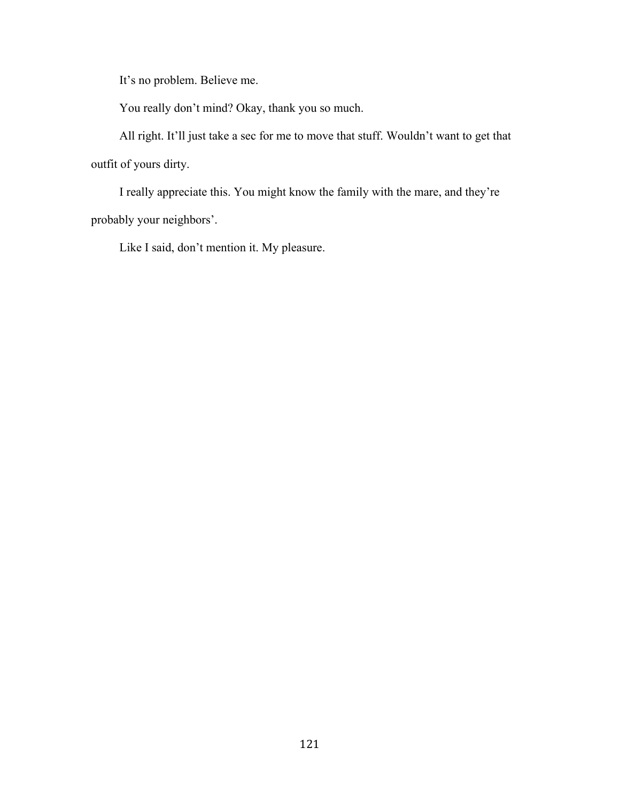It's no problem. Believe me.

You really don't mind? Okay, thank you so much.

All right. It'll just take a sec for me to move that stuff. Wouldn't want to get that outfit of yours dirty.

I really appreciate this. You might know the family with the mare, and they're probably your neighbors'.

Like I said, don't mention it. My pleasure.